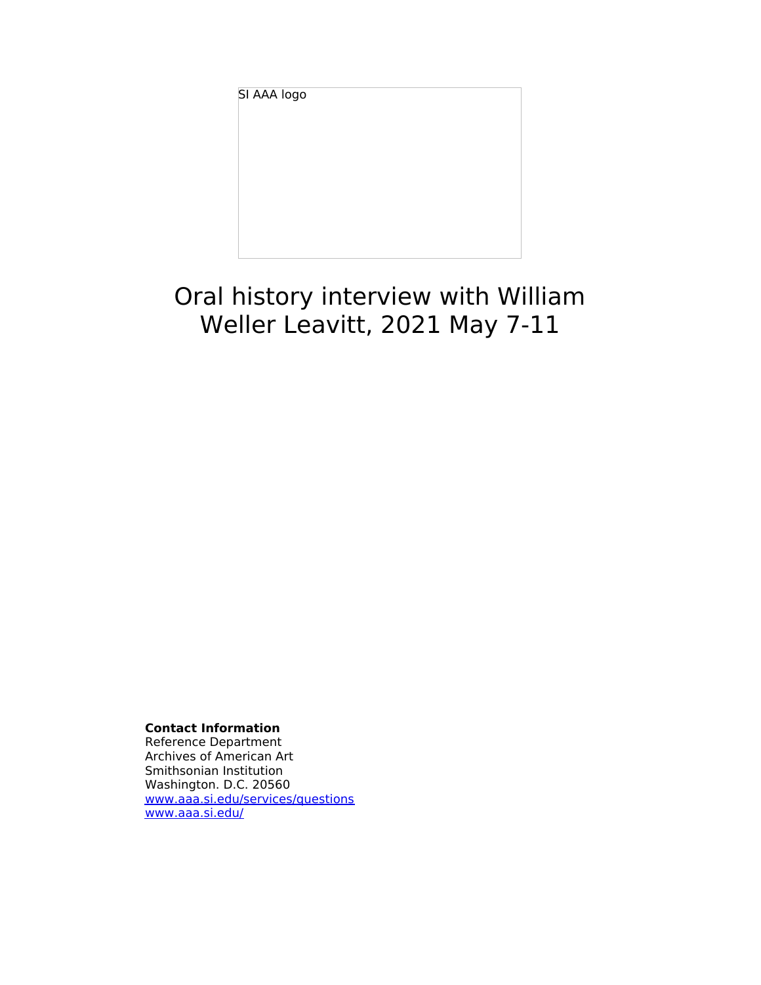SI AAA logo

# Oral history interview with William Weller Leavitt, 2021 May 7-11

**Contact Information**

Reference Department Archives of American Art Smithsonian Institution Washington. D.C. 20560 [www.aaa.si.edu/services/questions](http://www.aaa.si.edu/services/questions) [www.aaa.si.edu/](http://www.aaa.si.edu/)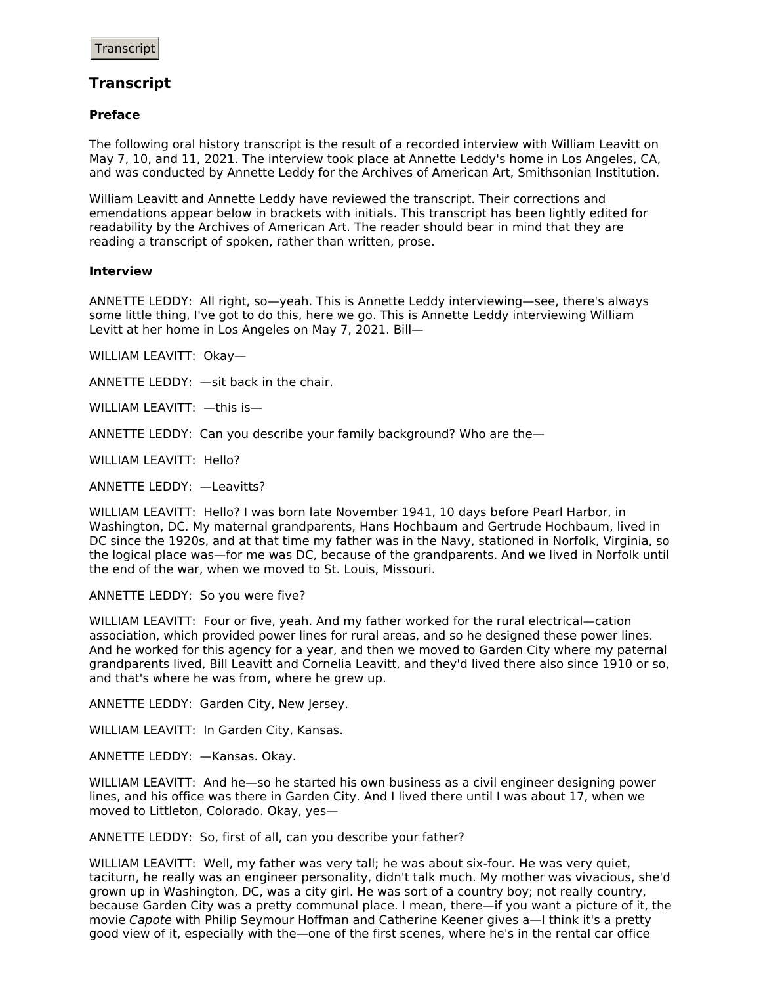# **Transcript**

## **Preface**

The following oral history transcript is the result of a recorded interview with William Leavitt on May 7, 10, and 11, 2021. The interview took place at Annette Leddy's home in Los Angeles, CA, and was conducted by Annette Leddy for the Archives of American Art, Smithsonian Institution.

William Leavitt and Annette Leddy have reviewed the transcript. Their corrections and emendations appear below in brackets with initials. This transcript has been lightly edited for readability by the Archives of American Art. The reader should bear in mind that they are reading a transcript of spoken, rather than written, prose.

#### **Interview**

ANNETTE LEDDY: All right, so—yeah. This is Annette Leddy interviewing—see, there's always some little thing, I've got to do this, here we go. This is Annette Leddy interviewing William Levitt at her home in Los Angeles on May 7, 2021. Bill—

WILLIAM LEAVITT: Okay—

ANNETTE LEDDY: —sit back in the chair.

WILLIAM LEAVITT: —this is—

ANNETTE LEDDY: Can you describe your family background? Who are the—

WILLIAM LEAVITT: Hello?

ANNETTE LEDDY: —Leavitts?

WILLIAM LEAVITT: Hello? I was born late November 1941, 10 days before Pearl Harbor, in Washington, DC. My maternal grandparents, Hans Hochbaum and Gertrude Hochbaum, lived in DC since the 1920s, and at that time my father was in the Navy, stationed in Norfolk, Virginia, so the logical place was—for me was DC, because of the grandparents. And we lived in Norfolk until the end of the war, when we moved to St. Louis, Missouri.

ANNETTE LEDDY: So you were five?

WILLIAM LEAVITT: Four or five, yeah. And my father worked for the rural electrical—cation association, which provided power lines for rural areas, and so he designed these power lines. And he worked for this agency for a year, and then we moved to Garden City where my paternal grandparents lived, Bill Leavitt and Cornelia Leavitt, and they'd lived there also since 1910 or so, and that's where he was from, where he grew up.

ANNETTE LEDDY: Garden City, New Jersey.

WILLIAM LEAVITT: In Garden City, Kansas.

ANNETTE LEDDY: —Kansas. Okay.

WILLIAM LEAVITT: And he—so he started his own business as a civil engineer designing power lines, and his office was there in Garden City. And I lived there until I was about 17, when we moved to Littleton, Colorado. Okay, yes—

ANNETTE LEDDY: So, first of all, can you describe your father?

WILLIAM LEAVITT: Well, my father was very tall; he was about six-four. He was very quiet, taciturn, he really was an engineer personality, didn't talk much. My mother was vivacious, she'd grown up in Washington, DC, was a city girl. He was sort of a country boy; not really country, because Garden City was a pretty communal place. I mean, there—if you want a picture of it, the movie Capote with Philip Seymour Hoffman and Catherine Keener gives a—I think it's a pretty good view of it, especially with the—one of the first scenes, where he's in the rental car office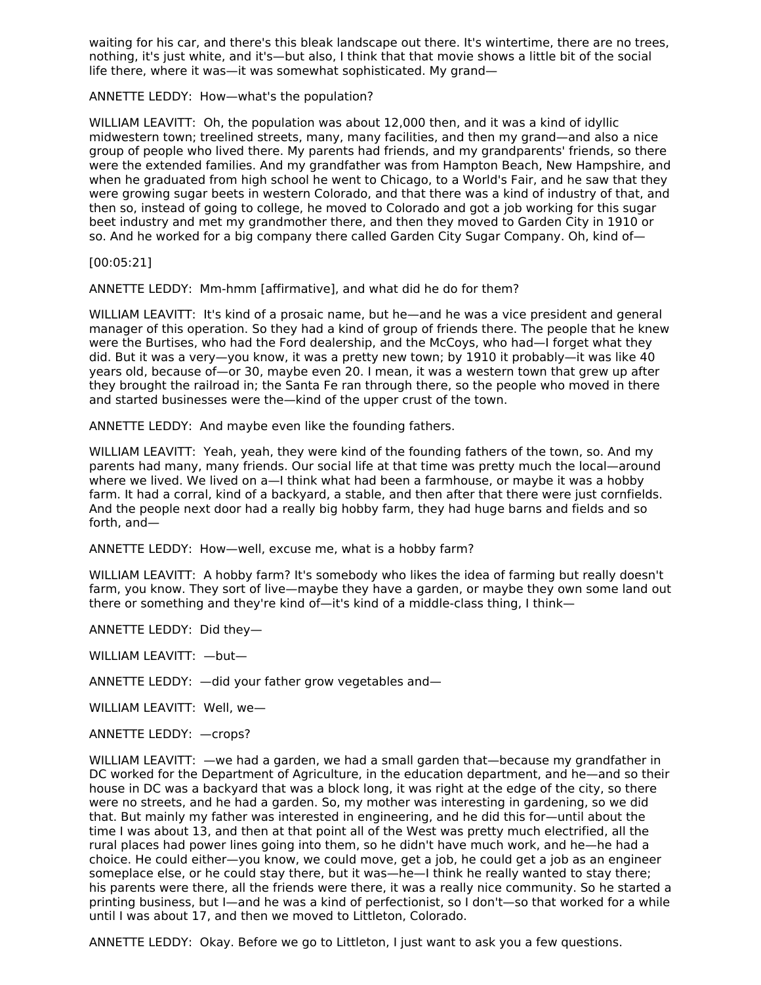waiting for his car, and there's this bleak landscape out there. It's wintertime, there are no trees, nothing, it's just white, and it's—but also, I think that that movie shows a little bit of the social life there, where it was—it was somewhat sophisticated. My grand—

ANNETTE LEDDY: How—what's the population?

WILLIAM LEAVITT: Oh, the population was about 12,000 then, and it was a kind of idyllic midwestern town; treelined streets, many, many facilities, and then my grand—and also a nice group of people who lived there. My parents had friends, and my grandparents' friends, so there were the extended families. And my grandfather was from Hampton Beach, New Hampshire, and when he graduated from high school he went to Chicago, to a World's Fair, and he saw that they were growing sugar beets in western Colorado, and that there was a kind of industry of that, and then so, instead of going to college, he moved to Colorado and got a job working for this sugar beet industry and met my grandmother there, and then they moved to Garden City in 1910 or so. And he worked for a big company there called Garden City Sugar Company. Oh, kind of—

[00:05:21]

ANNETTE LEDDY: Mm-hmm [affirmative], and what did he do for them?

WILLIAM LEAVITT: It's kind of a prosaic name, but he—and he was a vice president and general manager of this operation. So they had a kind of group of friends there. The people that he knew were the Burtises, who had the Ford dealership, and the McCoys, who had—I forget what they did. But it was a very—you know, it was a pretty new town; by 1910 it probably—it was like 40 years old, because of—or 30, maybe even 20. I mean, it was a western town that grew up after they brought the railroad in; the Santa Fe ran through there, so the people who moved in there and started businesses were the—kind of the upper crust of the town.

ANNETTE LEDDY: And maybe even like the founding fathers.

WILLIAM LEAVITT: Yeah, yeah, they were kind of the founding fathers of the town, so. And my parents had many, many friends. Our social life at that time was pretty much the local—around where we lived. We lived on a—I think what had been a farmhouse, or maybe it was a hobby farm. It had a corral, kind of a backyard, a stable, and then after that there were just cornfields. And the people next door had a really big hobby farm, they had huge barns and fields and so forth, and—

ANNETTE LEDDY: How—well, excuse me, what is a hobby farm?

WILLIAM LEAVITT: A hobby farm? It's somebody who likes the idea of farming but really doesn't farm, you know. They sort of live—maybe they have a garden, or maybe they own some land out there or something and they're kind of—it's kind of a middle-class thing, I think—

ANNETTE LEDDY: Did they—

WILLIAM LEAVITT: —but—

ANNETTE LEDDY: —did your father grow vegetables and—

WILLIAM LEAVITT: Well, we—

ANNETTE LEDDY: —crops?

WILLIAM LEAVITT: —we had a garden, we had a small garden that—because my grandfather in DC worked for the Department of Agriculture, in the education department, and he—and so their house in DC was a backyard that was a block long, it was right at the edge of the city, so there were no streets, and he had a garden. So, my mother was interesting in gardening, so we did that. But mainly my father was interested in engineering, and he did this for—until about the time I was about 13, and then at that point all of the West was pretty much electrified, all the rural places had power lines going into them, so he didn't have much work, and he—he had a choice. He could either—you know, we could move, get a job, he could get a job as an engineer someplace else, or he could stay there, but it was—he—I think he really wanted to stay there; his parents were there, all the friends were there, it was a really nice community. So he started a printing business, but I—and he was a kind of perfectionist, so I don't—so that worked for a while until I was about 17, and then we moved to Littleton, Colorado.

ANNETTE LEDDY: Okay. Before we go to Littleton, I just want to ask you a few questions.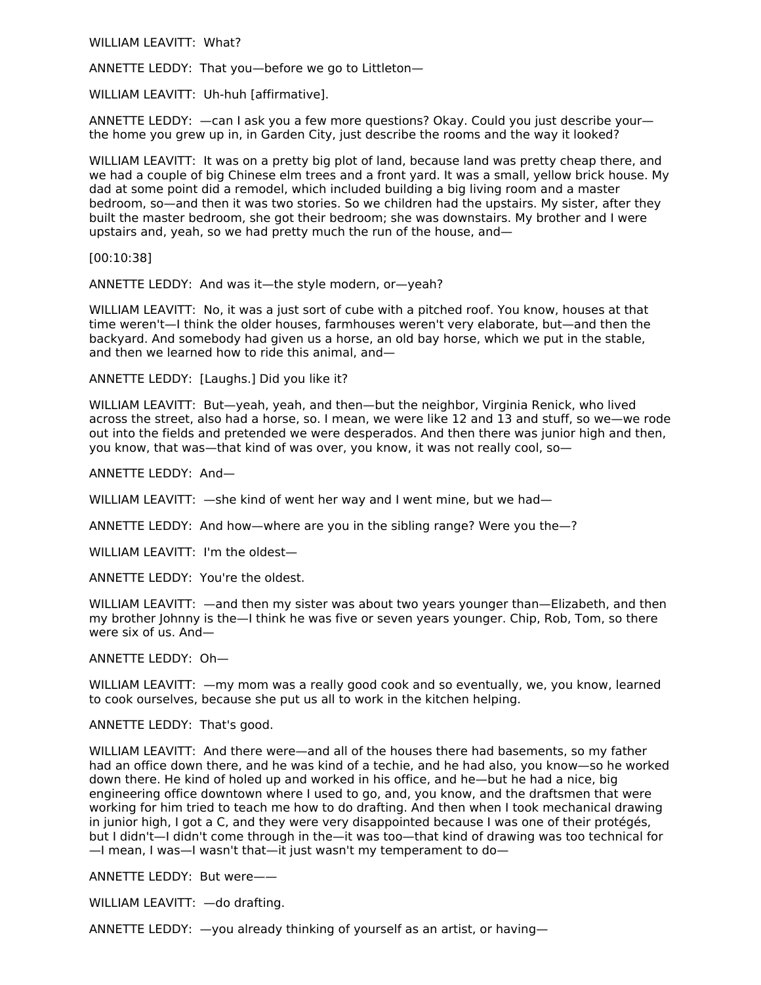WILLIAM LEAVITT: What?

ANNETTE LEDDY: That you—before we go to Littleton—

WILLIAM LEAVITT: Uh-huh [affirmative].

ANNETTE LEDDY: —can I ask you a few more questions? Okay. Could you just describe your the home you grew up in, in Garden City, just describe the rooms and the way it looked?

WILLIAM LEAVITT: It was on a pretty big plot of land, because land was pretty cheap there, and we had a couple of big Chinese elm trees and a front yard. It was a small, yellow brick house. My dad at some point did a remodel, which included building a big living room and a master bedroom, so—and then it was two stories. So we children had the upstairs. My sister, after they built the master bedroom, she got their bedroom; she was downstairs. My brother and I were upstairs and, yeah, so we had pretty much the run of the house, and—

[00:10:38]

ANNETTE LEDDY: And was it—the style modern, or—yeah?

WILLIAM LEAVITT: No, it was a just sort of cube with a pitched roof. You know, houses at that time weren't—I think the older houses, farmhouses weren't very elaborate, but—and then the backyard. And somebody had given us a horse, an old bay horse, which we put in the stable, and then we learned how to ride this animal, and—

ANNETTE LEDDY: [Laughs.] Did you like it?

WILLIAM LEAVITT: But—yeah, yeah, and then—but the neighbor, Virginia Renick, who lived across the street, also had a horse, so. I mean, we were like 12 and 13 and stuff, so we—we rode out into the fields and pretended we were desperados. And then there was junior high and then, you know, that was—that kind of was over, you know, it was not really cool, so—

ANNETTE LEDDY: And—

WILLIAM LEAVITT:  $-$ she kind of went her way and I went mine, but we had-

ANNETTE LEDDY: And how—where are you in the sibling range? Were you the—?

WILLIAM LEAVITT: I'm the oldest—

ANNETTE LEDDY: You're the oldest.

WILLIAM LEAVITT:  $-$ and then my sister was about two years vounger than-Elizabeth. and then my brother Johnny is the—I think he was five or seven years younger. Chip, Rob, Tom, so there were six of us. And—

ANNETTE LEDDY: Oh—

WILLIAM LEAVITT: —my mom was a really good cook and so eventually, we, you know, learned to cook ourselves, because she put us all to work in the kitchen helping.

ANNETTE LEDDY: That's good.

WILLIAM LEAVITT: And there were—and all of the houses there had basements, so my father had an office down there, and he was kind of a techie, and he had also, you know—so he worked down there. He kind of holed up and worked in his office, and he—but he had a nice, big engineering office downtown where I used to go, and, you know, and the draftsmen that were working for him tried to teach me how to do drafting. And then when I took mechanical drawing in junior high, I got a C, and they were very disappointed because I was one of their protégés, but I didn't—I didn't come through in the—it was too—that kind of drawing was too technical for —I mean, I was—I wasn't that—it just wasn't my temperament to do—

ANNETTE LEDDY: But were——

WILLIAM LEAVITT: —do drafting.

ANNETTE LEDDY: —you already thinking of yourself as an artist, or having—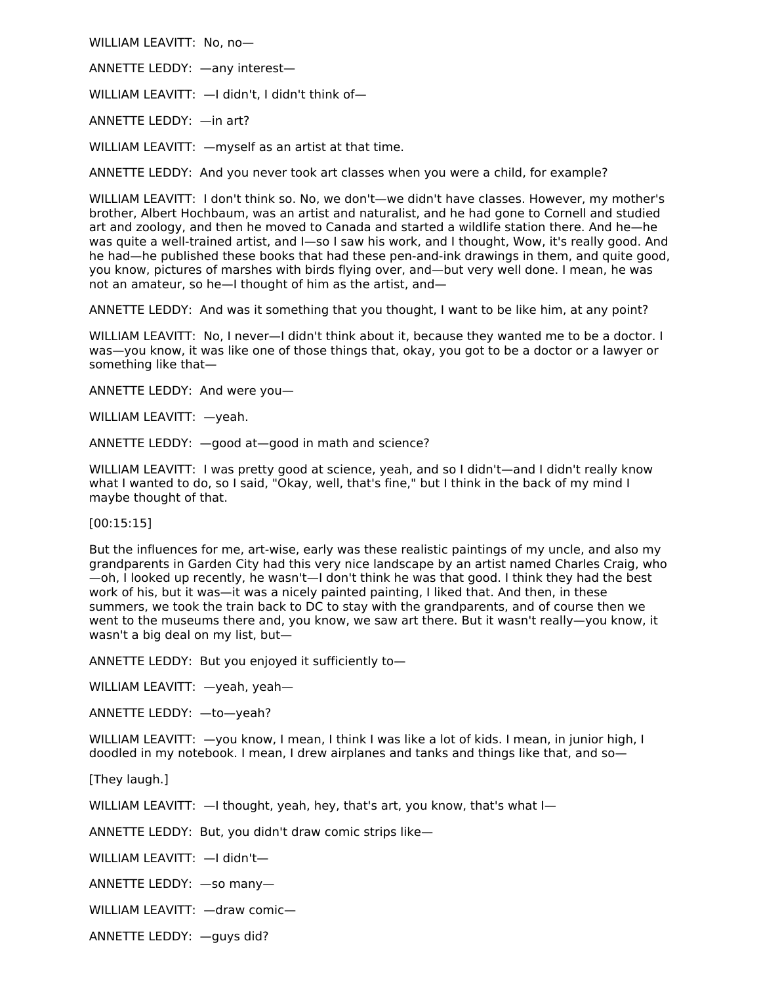WILLIAM LEAVITT: No, no—

ANNETTE LEDDY: —any interest—

WILLIAM LEAVITT: - I didn't, I didn't think of-

ANNETTE LEDDY: —in art?

WILLIAM LEAVITT: - myself as an artist at that time.

ANNETTE LEDDY: And you never took art classes when you were a child, for example?

WILLIAM LEAVITT: I don't think so. No, we don't—we didn't have classes. However, my mother's brother, Albert Hochbaum, was an artist and naturalist, and he had gone to Cornell and studied art and zoology, and then he moved to Canada and started a wildlife station there. And he—he was quite a well-trained artist, and I—so I saw his work, and I thought, Wow, it's really good. And he had—he published these books that had these pen-and-ink drawings in them, and quite good, you know, pictures of marshes with birds flying over, and—but very well done. I mean, he was not an amateur, so he—I thought of him as the artist, and—

ANNETTE LEDDY: And was it something that you thought, I want to be like him, at any point?

WILLIAM LEAVITT: No, I never-I didn't think about it, because they wanted me to be a doctor. I was—you know, it was like one of those things that, okay, you got to be a doctor or a lawyer or something like that—

ANNETTE LEDDY: And were you—

WILLIAM LEAVITT: —yeah.

ANNETTE LEDDY: —good at—good in math and science?

WILLIAM LEAVITT: I was pretty good at science, yeah, and so I didn't—and I didn't really know what I wanted to do, so I said, "Okay, well, that's fine," but I think in the back of my mind I maybe thought of that.

[00:15:15]

But the influences for me, art-wise, early was these realistic paintings of my uncle, and also my grandparents in Garden City had this very nice landscape by an artist named Charles Craig, who —oh, I looked up recently, he wasn't—I don't think he was that good. I think they had the best work of his, but it was—it was a nicely painted painting, I liked that. And then, in these summers, we took the train back to DC to stay with the grandparents, and of course then we went to the museums there and, you know, we saw art there. But it wasn't really—you know, it wasn't a big deal on my list, but—

ANNETTE LEDDY: But you enjoyed it sufficiently to—

WILLIAM LEAVITT: —yeah, yeah—

ANNETTE LEDDY: —to—yeah?

WILLIAM LEAVITT: —you know, I mean, I think I was like a lot of kids. I mean, in junior high, I doodled in my notebook. I mean, I drew airplanes and tanks and things like that, and so—

[They laugh.]

WILLIAM LEAVITT:  $-$ I thought, yeah, hey, that's art, you know, that's what I-

ANNETTE LEDDY: But, you didn't draw comic strips like—

WILLIAM LEAVITT: —I didn't—

ANNETTE LEDDY: —so many—

WILLIAM LEAVITT: —draw comic—

ANNETTE LEDDY: —guys did?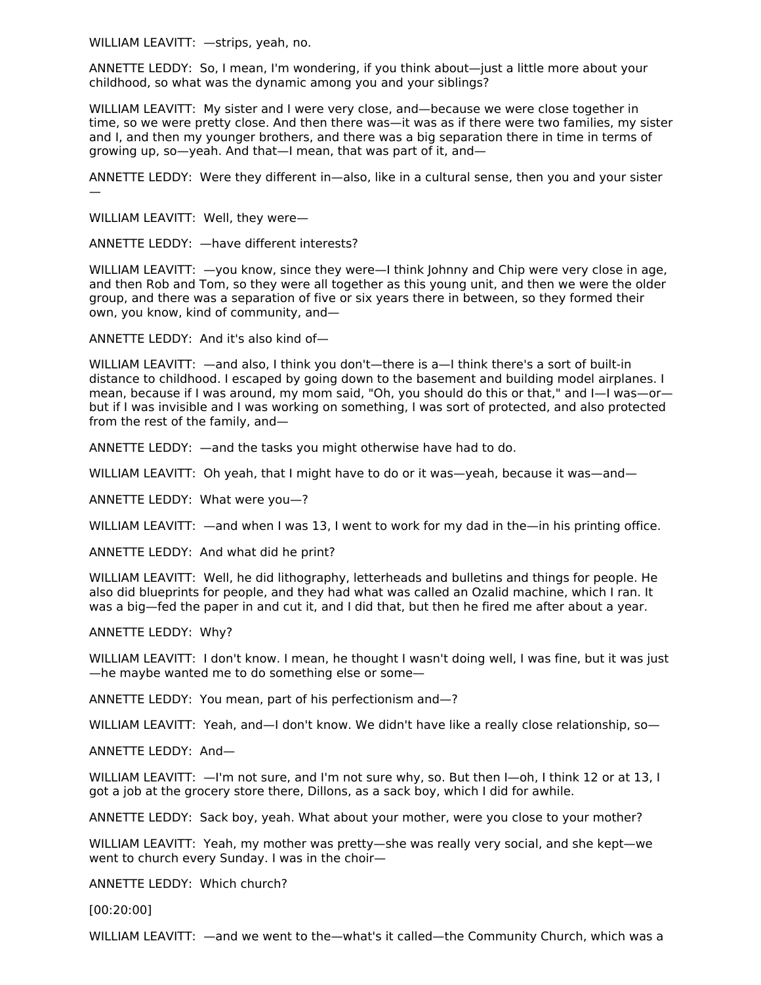WILLIAM LEAVITT: —strips, yeah, no.

ANNETTE LEDDY: So, I mean, I'm wondering, if you think about—just a little more about your childhood, so what was the dynamic among you and your siblings?

WILLIAM LEAVITT: My sister and I were very close, and—because we were close together in time, so we were pretty close. And then there was—it was as if there were two families, my sister and I, and then my younger brothers, and there was a big separation there in time in terms of growing up, so—yeah. And that—I mean, that was part of it, and—

ANNETTE LEDDY: Were they different in—also, like in a cultural sense, then you and your sister —

WILLIAM LEAVITT: Well, they were—

ANNETTE LEDDY: —have different interests?

WILLIAM LEAVITT:  $-y$ ou know, since they were—I think Johnny and Chip were very close in age, and then Rob and Tom, so they were all together as this young unit, and then we were the older group, and there was a separation of five or six years there in between, so they formed their own, you know, kind of community, and—

ANNETTE LEDDY: And it's also kind of—

WILLIAM LEAVITT: —and also, I think you don't—there is a—I think there's a sort of built-in distance to childhood. I escaped by going down to the basement and building model airplanes. I mean, because if I was around, my mom said, "Oh, you should do this or that," and I—I was—or but if I was invisible and I was working on something, I was sort of protected, and also protected from the rest of the family, and—

ANNETTE LEDDY: —and the tasks you might otherwise have had to do.

WILLIAM LEAVITT: Oh yeah, that I might have to do or it was—yeah, because it was—and—

ANNETTE LEDDY: What were you—?

WILLIAM LEAVITT: —and when I was 13, I went to work for my dad in the—in his printing office.

ANNETTE LEDDY: And what did he print?

WILLIAM LEAVITT: Well, he did lithography, letterheads and bulletins and things for people. He also did blueprints for people, and they had what was called an Ozalid machine, which I ran. It was a big—fed the paper in and cut it, and I did that, but then he fired me after about a year.

## ANNETTE LEDDY: Why?

WILLIAM LEAVITT: I don't know. I mean, he thought I wasn't doing well, I was fine, but it was just —he maybe wanted me to do something else or some—

ANNETTE LEDDY: You mean, part of his perfectionism and—?

WILLIAM LEAVITT: Yeah, and—I don't know. We didn't have like a really close relationship, so—

ANNETTE LEDDY: And—

WILLIAM LEAVITT:  $-1$ 'm not sure, and I'm not sure why, so. But then I-oh, I think 12 or at 13, I got a job at the grocery store there, Dillons, as a sack boy, which I did for awhile.

ANNETTE LEDDY: Sack boy, yeah. What about your mother, were you close to your mother?

WILLIAM LEAVITT: Yeah, my mother was pretty—she was really very social, and she kept—we went to church every Sunday. I was in the choir—

ANNETTE LEDDY: Which church?

[00:20:00]

WILLIAM LEAVITT: —and we went to the—what's it called—the Community Church, which was a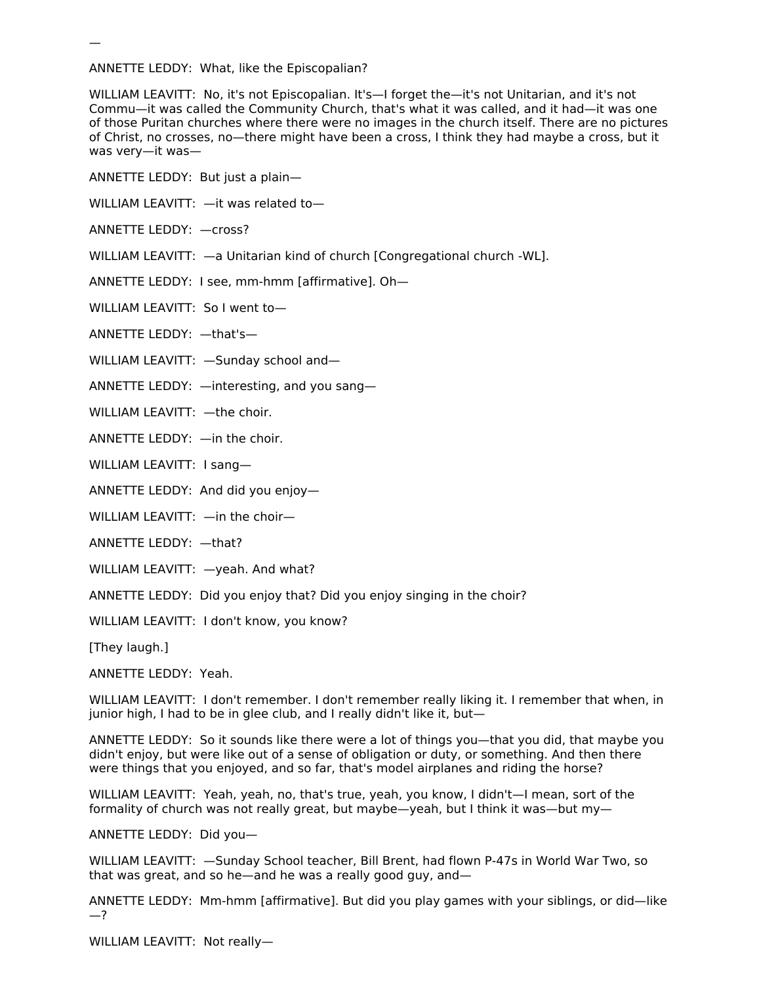ANNETTE LEDDY: What, like the Episcopalian?

WILLIAM LEAVITT: No, it's not Episcopalian. It's—I forget the—it's not Unitarian, and it's not Commu—it was called the Community Church, that's what it was called, and it had—it was one of those Puritan churches where there were no images in the church itself. There are no pictures of Christ, no crosses, no—there might have been a cross, I think they had maybe a cross, but it was very—it was—

ANNETTE LEDDY: But just a plain—

WILLIAM LEAVITT: —it was related to—

ANNETTE LEDDY: —cross?

—

WILLIAM LEAVITT: —a Unitarian kind of church [Congregational church -WL].

ANNETTE LEDDY: I see, mm-hmm [affirmative]. Oh—

WILLIAM LEAVITT: So I went to—

ANNETTE LEDDY: —that's—

WILLIAM LEAVITT: —Sunday school and—

ANNETTE LEDDY: —interesting, and you sang—

WILLIAM LEAVITT: —the choir.

ANNETTE LEDDY: —in the choir.

WILLIAM LEAVITT: I sang—

ANNETTE LEDDY: And did you enjoy—

WILLIAM LEAVITT: —in the choir—

ANNETTE LEDDY: —that?

WILLIAM LEAVITT: —yeah. And what?

ANNETTE LEDDY: Did you enjoy that? Did you enjoy singing in the choir?

WILLIAM LEAVITT: I don't know, you know?

[They laugh.]

ANNETTE LEDDY: Yeah.

WILLIAM LEAVITT: I don't remember. I don't remember really liking it. I remember that when, in junior high, I had to be in glee club, and I really didn't like it, but—

ANNETTE LEDDY: So it sounds like there were a lot of things you—that you did, that maybe you didn't enjoy, but were like out of a sense of obligation or duty, or something. And then there were things that you enjoyed, and so far, that's model airplanes and riding the horse?

WILLIAM LEAVITT: Yeah, yeah, no, that's true, yeah, you know, I didn't—I mean, sort of the formality of church was not really great, but maybe—yeah, but I think it was—but my—

ANNETTE LEDDY: Did you—

WILLIAM LEAVITT: —Sunday School teacher, Bill Brent, had flown P-47s in World War Two, so that was great, and so he—and he was a really good guy, and—

ANNETTE LEDDY: Mm-hmm [affirmative]. But did you play games with your siblings, or did—like —?

WILLIAM LEAVITT: Not really—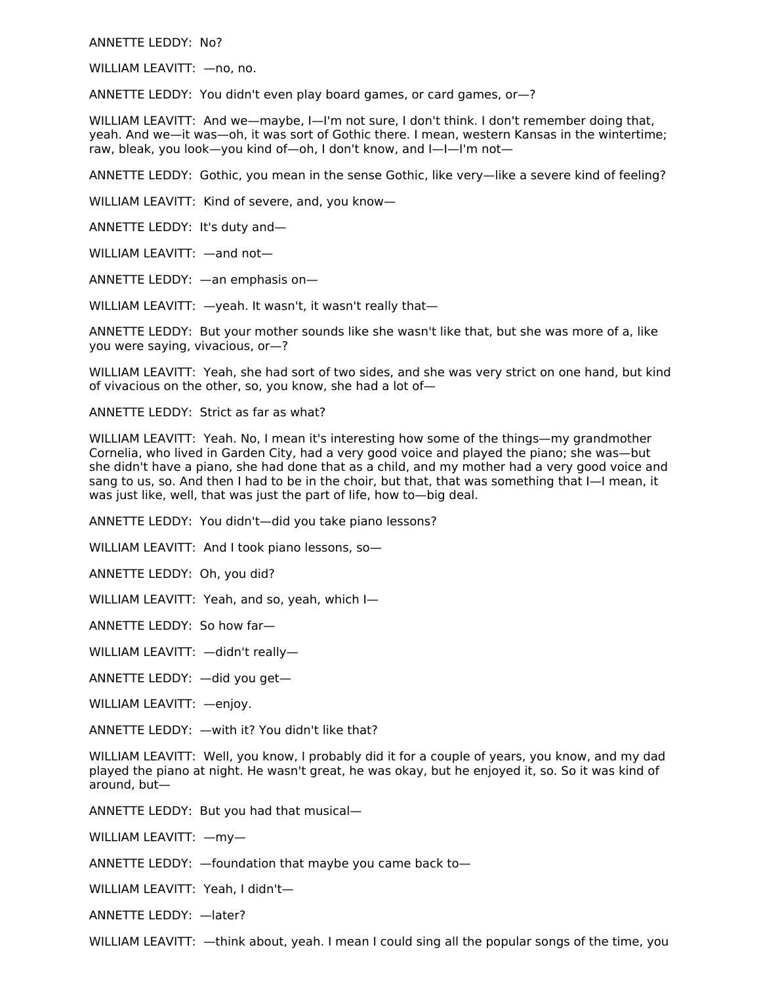ANNETTE LEDDY: No?

WILLIAM LEAVITT: —no, no.

ANNETTE LEDDY: You didn't even play board games, or card games, or—?

WILLIAM LEAVITT: And we—maybe, I—I'm not sure, I don't think. I don't remember doing that, yeah. And we—it was—oh, it was sort of Gothic there. I mean, western Kansas in the wintertime; raw, bleak, you look—you kind of—oh, I don't know, and I—I—I'm not—

ANNETTE LEDDY: Gothic, you mean in the sense Gothic, like very—like a severe kind of feeling?

WILLIAM LEAVITT: Kind of severe, and, you know—

ANNETTE LEDDY: It's duty and—

WILLIAM LEAVITT: —and not—

ANNETTE LEDDY: —an emphasis on—

WILLIAM LEAVITT:  $-$ yeah. It wasn't, it wasn't really that-

ANNETTE LEDDY: But your mother sounds like she wasn't like that, but she was more of a, like you were saying, vivacious, or—?

WILLIAM LEAVITT: Yeah, she had sort of two sides, and she was very strict on one hand, but kind of vivacious on the other, so, you know, she had a lot of—

ANNETTE LEDDY: Strict as far as what?

WILLIAM LEAVITT: Yeah. No, I mean it's interesting how some of the things—my grandmother Cornelia, who lived in Garden City, had a very good voice and played the piano; she was—but she didn't have a piano, she had done that as a child, and my mother had a very good voice and sang to us, so. And then I had to be in the choir, but that, that was something that I—I mean, it was just like, well, that was just the part of life, how to—big deal.

ANNETTE LEDDY: You didn't—did you take piano lessons?

WILLIAM LEAVITT: And I took piano lessons, so—

ANNETTE LEDDY: Oh, you did?

WILLIAM LEAVITT: Yeah, and so, yeah, which I—

ANNETTE LEDDY: So how far—

WILLIAM LEAVITT: —didn't really—

ANNETTE LEDDY: —did you get—

WILLIAM LEAVITT: —enjoy.

ANNETTE LEDDY: —with it? You didn't like that?

WILLIAM LEAVITT: Well, you know, I probably did it for a couple of years, you know, and my dad played the piano at night. He wasn't great, he was okay, but he enjoyed it, so. So it was kind of around, but—

ANNETTE LEDDY: But you had that musical—

WILLIAM LEAVITT: —my—

ANNETTE LEDDY: —foundation that maybe you came back to—

WILLIAM LEAVITT: Yeah, I didn't—

ANNETTE LEDDY: —later?

WILLIAM LEAVITT: —think about, yeah. I mean I could sing all the popular songs of the time, you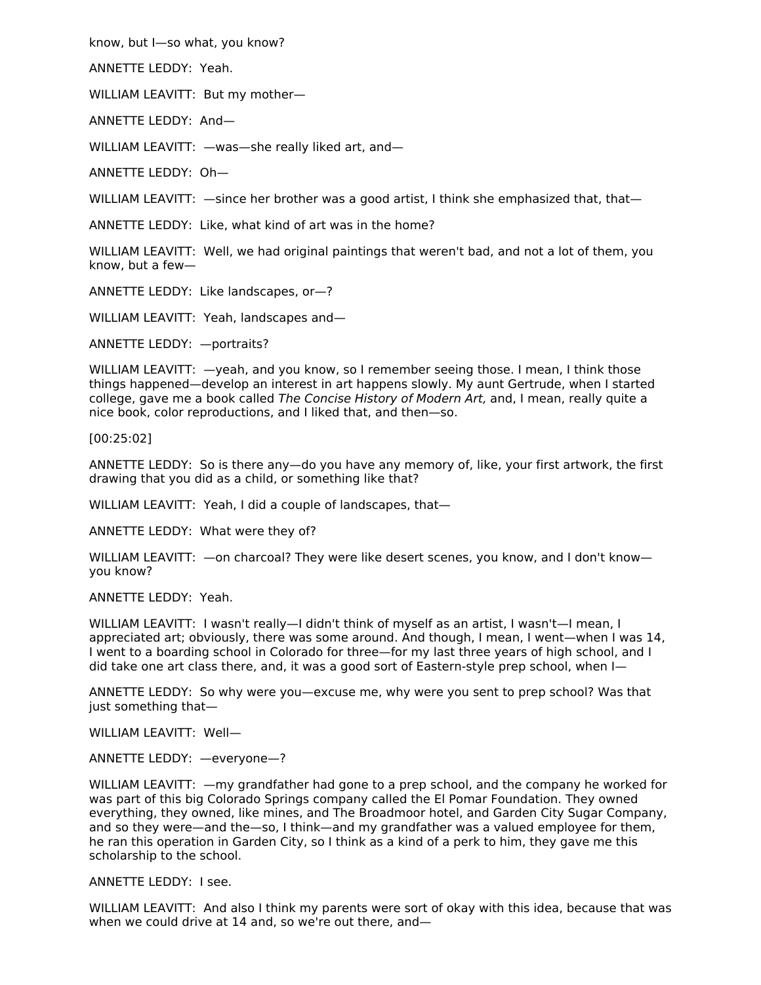know, but I—so what, you know?

ANNETTE LEDDY: Yeah.

WILLIAM LEAVITT: But my mother—

ANNETTE LEDDY: And—

WILLIAM LEAVITT: —was—she really liked art, and—

ANNETTE LEDDY: Oh—

WILLIAM LEAVITT:  $-$ since her brother was a good artist, I think she emphasized that, that-

ANNETTE LEDDY: Like, what kind of art was in the home?

WILLIAM LEAVITT: Well, we had original paintings that weren't bad, and not a lot of them, you know, but a few—

ANNETTE LEDDY: Like landscapes, or—?

WILLIAM LEAVITT: Yeah, landscapes and—

ANNETTE LEDDY: —portraits?

WILLIAM LEAVITT: —yeah, and you know, so I remember seeing those. I mean, I think those things happened—develop an interest in art happens slowly. My aunt Gertrude, when I started college, gave me a book called The Concise History of Modern Art, and, I mean, really quite a nice book, color reproductions, and I liked that, and then—so.

[00:25:02]

ANNETTE LEDDY: So is there any—do you have any memory of, like, your first artwork, the first drawing that you did as a child, or something like that?

WILLIAM LEAVITT: Yeah, I did a couple of landscapes, that—

ANNETTE LEDDY: What were they of?

WILLIAM LEAVITT:  $-$ on charcoal? They were like desert scenes, you know, and I don't knowyou know?

ANNETTE LEDDY: Yeah.

WILLIAM LEAVITT: I wasn't really—I didn't think of myself as an artist, I wasn't—I mean, I appreciated art; obviously, there was some around. And though, I mean, I went—when I was 14, I went to a boarding school in Colorado for three—for my last three years of high school, and I did take one art class there, and, it was a good sort of Eastern-style prep school, when I—

ANNETTE LEDDY: So why were you—excuse me, why were you sent to prep school? Was that just something that—

WILLIAM LEAVITT: Well—

ANNETTE LEDDY: —everyone—?

WILLIAM LEAVITT: —my grandfather had gone to a prep school, and the company he worked for was part of this big Colorado Springs company called the El Pomar Foundation. They owned everything, they owned, like mines, and The Broadmoor hotel, and Garden City Sugar Company, and so they were—and the—so, I think—and my grandfather was a valued employee for them, he ran this operation in Garden City, so I think as a kind of a perk to him, they gave me this scholarship to the school.

ANNETTE LEDDY: I see.

WILLIAM LEAVITT: And also I think my parents were sort of okay with this idea, because that was when we could drive at 14 and, so we're out there, and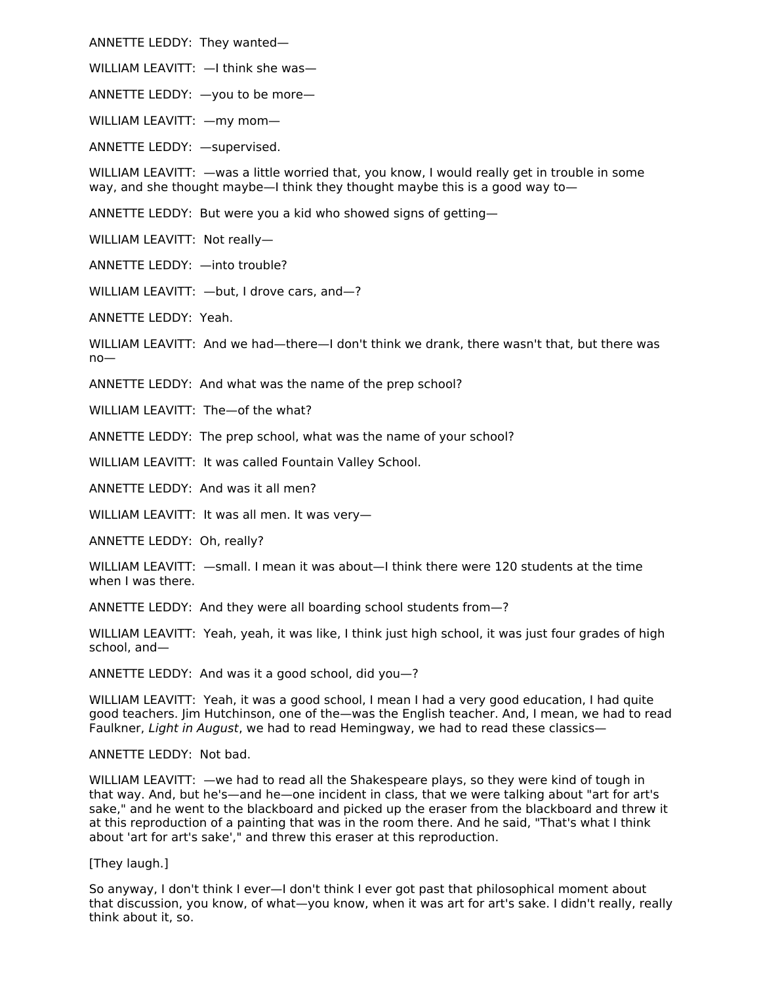ANNETTE LEDDY: They wanted—

WILLIAM LEAVITT: —I think she was—

ANNETTE LEDDY: —you to be more—

WILLIAM LEAVITT: —my mom—

ANNETTE LEDDY: —supervised.

WILLIAM LEAVITT: —was a little worried that, you know, I would really get in trouble in some way, and she thought maybe—I think they thought maybe this is a good way to—

ANNETTE LEDDY: But were you a kid who showed signs of getting—

WILLIAM LEAVITT: Not really—

ANNETTE LEDDY: —into trouble?

WILLIAM LEAVITT: —but, I drove cars, and—?

ANNETTE LEDDY: Yeah.

WILLIAM LEAVITT: And we had—there—I don't think we drank, there wasn't that, but there was no—

ANNETTE LEDDY: And what was the name of the prep school?

WILLIAM LEAVITT: The—of the what?

ANNETTE LEDDY: The prep school, what was the name of your school?

WILLIAM LEAVITT: It was called Fountain Valley School.

ANNETTE LEDDY: And was it all men?

WILLIAM LEAVITT: It was all men. It was very—

ANNETTE LEDDY: Oh, really?

WILLIAM LEAVITT: —small. I mean it was about—I think there were 120 students at the time when I was there.

ANNETTE LEDDY: And they were all boarding school students from—?

WILLIAM LEAVITT: Yeah, yeah, it was like, I think just high school, it was just four grades of high school, and—

ANNETTE LEDDY: And was it a good school, did you—?

WILLIAM LEAVITT: Yeah, it was a good school, I mean I had a very good education, I had quite good teachers. Jim Hutchinson, one of the—was the English teacher. And, I mean, we had to read Faulkner, Light in August, we had to read Hemingway, we had to read these classics—

ANNETTE LEDDY: Not bad.

WILLIAM LEAVITT: —we had to read all the Shakespeare plays, so they were kind of tough in that way. And, but he's—and he—one incident in class, that we were talking about "art for art's sake," and he went to the blackboard and picked up the eraser from the blackboard and threw it at this reproduction of a painting that was in the room there. And he said, "That's what I think about 'art for art's sake'," and threw this eraser at this reproduction.

[They laugh.]

So anyway, I don't think I ever—I don't think I ever got past that philosophical moment about that discussion, you know, of what—you know, when it was art for art's sake. I didn't really, really think about it, so.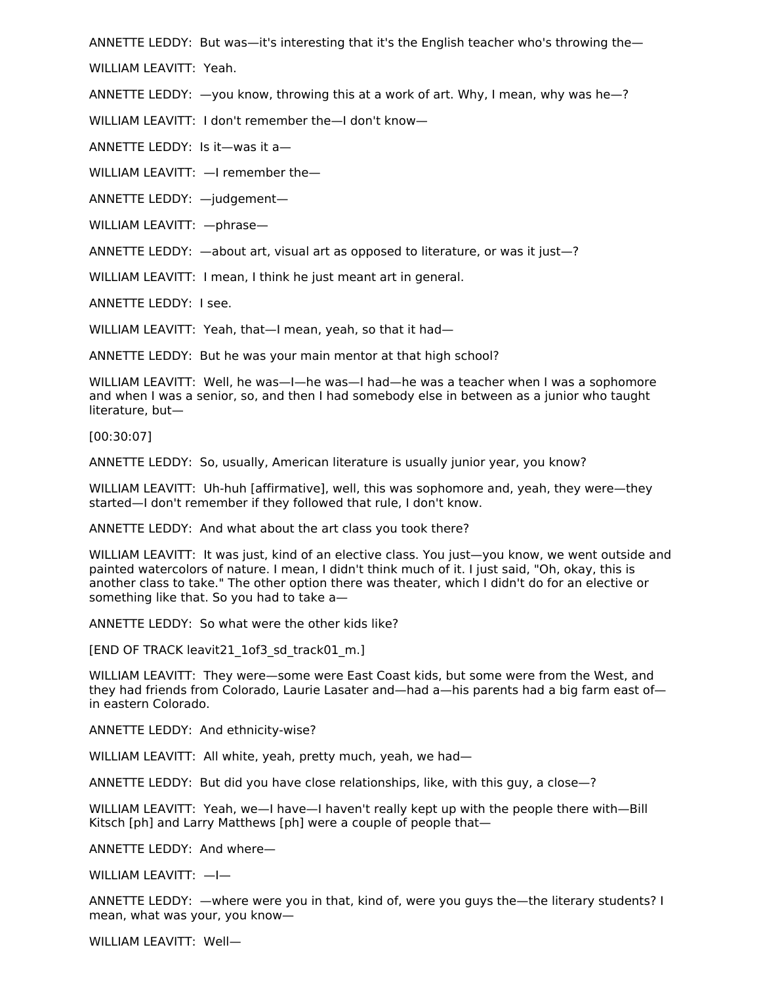ANNETTE LEDDY: But was—it's interesting that it's the English teacher who's throwing the—

WILLIAM LEAVITT: Yeah.

ANNETTE LEDDY: —you know, throwing this at a work of art. Why, I mean, why was he—?

WILLIAM LEAVITT: I don't remember the—I don't know—

ANNETTE LEDDY: Is it—was it a—

WILLIAM LEAVITT: —I remember the—

ANNETTE LEDDY: —judgement—

WILLIAM LEAVITT: —phrase—

ANNETTE LEDDY: —about art, visual art as opposed to literature, or was it just—?

WILLIAM LEAVITT: I mean, I think he just meant art in general.

ANNETTE LEDDY: I see.

WILLIAM LEAVITT: Yeah, that—I mean, yeah, so that it had—

ANNETTE LEDDY: But he was your main mentor at that high school?

WILLIAM LEAVITT: Well, he was—I—he was—I had—he was a teacher when I was a sophomore and when I was a senior, so, and then I had somebody else in between as a junior who taught literature, but—

[00:30:07]

ANNETTE LEDDY: So, usually, American literature is usually junior year, you know?

WILLIAM LEAVITT: Uh-huh [affirmative], well, this was sophomore and, yeah, they were—they started—I don't remember if they followed that rule, I don't know.

ANNETTE LEDDY: And what about the art class you took there?

WILLIAM LEAVITT: It was just, kind of an elective class. You just—you know, we went outside and painted watercolors of nature. I mean, I didn't think much of it. I just said, "Oh, okay, this is another class to take." The other option there was theater, which I didn't do for an elective or something like that. So you had to take a—

ANNETTE LEDDY: So what were the other kids like?

[END OF TRACK leavit21\_1of3\_sd\_track01\_m.]

WILLIAM LEAVITT: They were—some were East Coast kids, but some were from the West, and they had friends from Colorado, Laurie Lasater and—had a—his parents had a big farm east of in eastern Colorado.

ANNETTE LEDDY: And ethnicity-wise?

WILLIAM LEAVITT: All white, yeah, pretty much, yeah, we had—

ANNETTE LEDDY: But did you have close relationships, like, with this guy, a close—?

WILLIAM LEAVITT: Yeah, we—I have—I haven't really kept up with the people there with—Bill Kitsch [ph] and Larry Matthews [ph] were a couple of people that—

ANNETTE LEDDY: And where—

WILLIAM LEAVITT: —I—

ANNETTE LEDDY: —where were you in that, kind of, were you guys the—the literary students? I mean, what was your, you know—

WILLIAM LEAVITT: Well—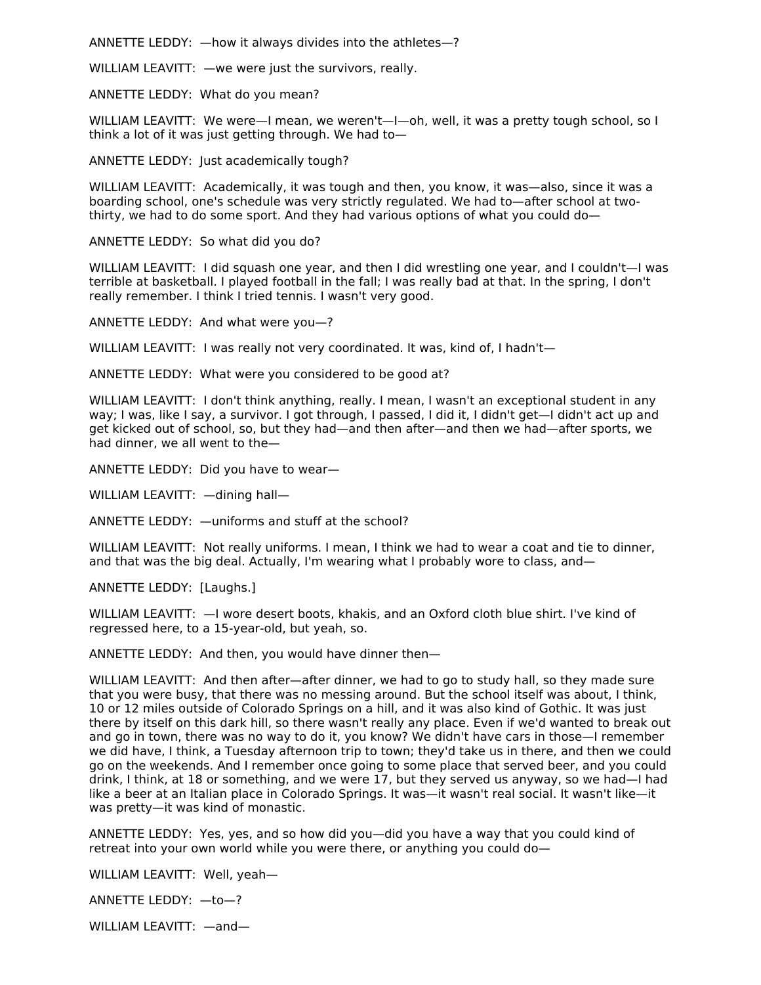ANNETTE LEDDY: —how it always divides into the athletes—?

WILLIAM LEAVITT: —we were just the survivors, really.

ANNETTE LEDDY: What do you mean?

WILLIAM LEAVITT: We were—I mean, we weren't—I—oh, well, it was a pretty tough school, so I think a lot of it was just getting through. We had to—

ANNETTE LEDDY: Just academically tough?

WILLIAM LEAVITT: Academically, it was tough and then, you know, it was—also, since it was a boarding school, one's schedule was very strictly regulated. We had to—after school at twothirty, we had to do some sport. And they had various options of what you could do—

ANNETTE LEDDY: So what did you do?

WILLIAM LEAVITT: I did squash one year, and then I did wrestling one year, and I couldn't—I was terrible at basketball. I played football in the fall; I was really bad at that. In the spring, I don't really remember. I think I tried tennis. I wasn't very good.

ANNETTE LEDDY: And what were you—?

WILLIAM LEAVITT: I was really not very coordinated. It was, kind of, I hadn't—

ANNETTE LEDDY: What were you considered to be good at?

WILLIAM LEAVITT: I don't think anything, really. I mean, I wasn't an exceptional student in any way; I was, like I say, a survivor. I got through, I passed, I did it, I didn't get—I didn't act up and get kicked out of school, so, but they had—and then after—and then we had—after sports, we had dinner, we all went to the—

ANNETTE LEDDY: Did you have to wear—

WILLIAM LEAVITT: —dining hall—

ANNETTE LEDDY: —uniforms and stuff at the school?

WILLIAM LEAVITT: Not really uniforms. I mean, I think we had to wear a coat and tie to dinner, and that was the big deal. Actually, I'm wearing what I probably wore to class, and—

ANNETTE LEDDY: [Laughs.]

WILLIAM LEAVITT: —I wore desert boots, khakis, and an Oxford cloth blue shirt. I've kind of regressed here, to a 15-year-old, but yeah, so.

ANNETTE LEDDY: And then, you would have dinner then—

WILLIAM LEAVITT: And then after—after dinner, we had to go to study hall, so they made sure that you were busy, that there was no messing around. But the school itself was about, I think, 10 or 12 miles outside of Colorado Springs on a hill, and it was also kind of Gothic. It was just there by itself on this dark hill, so there wasn't really any place. Even if we'd wanted to break out and go in town, there was no way to do it, you know? We didn't have cars in those—I remember we did have, I think, a Tuesday afternoon trip to town; they'd take us in there, and then we could go on the weekends. And I remember once going to some place that served beer, and you could drink, I think, at 18 or something, and we were 17, but they served us anyway, so we had—I had like a beer at an Italian place in Colorado Springs. It was—it wasn't real social. It wasn't like—it was pretty—it was kind of monastic.

ANNETTE LEDDY: Yes, yes, and so how did you—did you have a way that you could kind of retreat into your own world while you were there, or anything you could do—

WILLIAM LEAVITT: Well, yeah—

ANNETTE LEDDY: —to—?

WILLIAM LEAVITT: —and—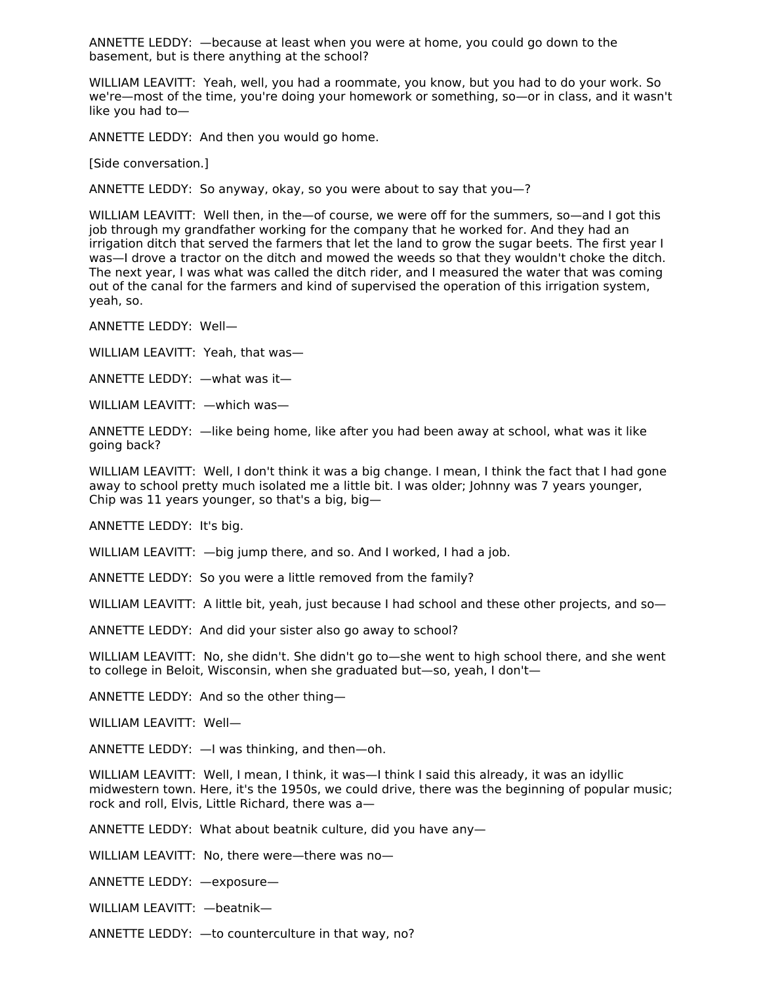ANNETTE LEDDY: —because at least when you were at home, you could go down to the basement, but is there anything at the school?

WILLIAM LEAVITT: Yeah, well, you had a roommate, you know, but you had to do your work. So we're—most of the time, you're doing your homework or something, so—or in class, and it wasn't like you had to—

ANNETTE LEDDY: And then you would go home.

[Side conversation.]

ANNETTE LEDDY: So anyway, okay, so you were about to say that you—?

WILLIAM LEAVITT: Well then, in the—of course, we were off for the summers, so—and I got this job through my grandfather working for the company that he worked for. And they had an irrigation ditch that served the farmers that let the land to grow the sugar beets. The first year I was—I drove a tractor on the ditch and mowed the weeds so that they wouldn't choke the ditch. The next year, I was what was called the ditch rider, and I measured the water that was coming out of the canal for the farmers and kind of supervised the operation of this irrigation system, yeah, so.

ANNETTE LEDDY: Well—

WILLIAM LEAVITT: Yeah, that was—

ANNETTE LEDDY: —what was it—

WILLIAM LEAVITT: —which was—

ANNETTE LEDDY: —like being home, like after you had been away at school, what was it like going back?

WILLIAM LEAVITT: Well, I don't think it was a big change. I mean, I think the fact that I had gone away to school pretty much isolated me a little bit. I was older; Johnny was 7 years younger, Chip was 11 years younger, so that's a big, big—

ANNETTE LEDDY: It's big.

WILLIAM LEAVITT:  $-\frac{1}{2}$  big jump there, and so. And I worked, I had a job.

ANNETTE LEDDY: So you were a little removed from the family?

WILLIAM LEAVITT: A little bit, yeah, just because I had school and these other projects, and so-

ANNETTE LEDDY: And did your sister also go away to school?

WILLIAM LEAVITT: No, she didn't. She didn't go to—she went to high school there, and she went to college in Beloit, Wisconsin, when she graduated but—so, yeah, I don't—

ANNETTE LEDDY: And so the other thing—

WILLIAM LEAVITT: Well—

ANNETTE LEDDY: —I was thinking, and then—oh.

WILLIAM LEAVITT: Well, I mean, I think, it was—I think I said this already, it was an idyllic midwestern town. Here, it's the 1950s, we could drive, there was the beginning of popular music; rock and roll, Elvis, Little Richard, there was a—

ANNETTE LEDDY: What about beatnik culture, did you have any—

WILLIAM LEAVITT: No, there were—there was no—

ANNETTE LEDDY: —exposure—

WILLIAM LEAVITT: —beatnik—

ANNETTE LEDDY: —to counterculture in that way, no?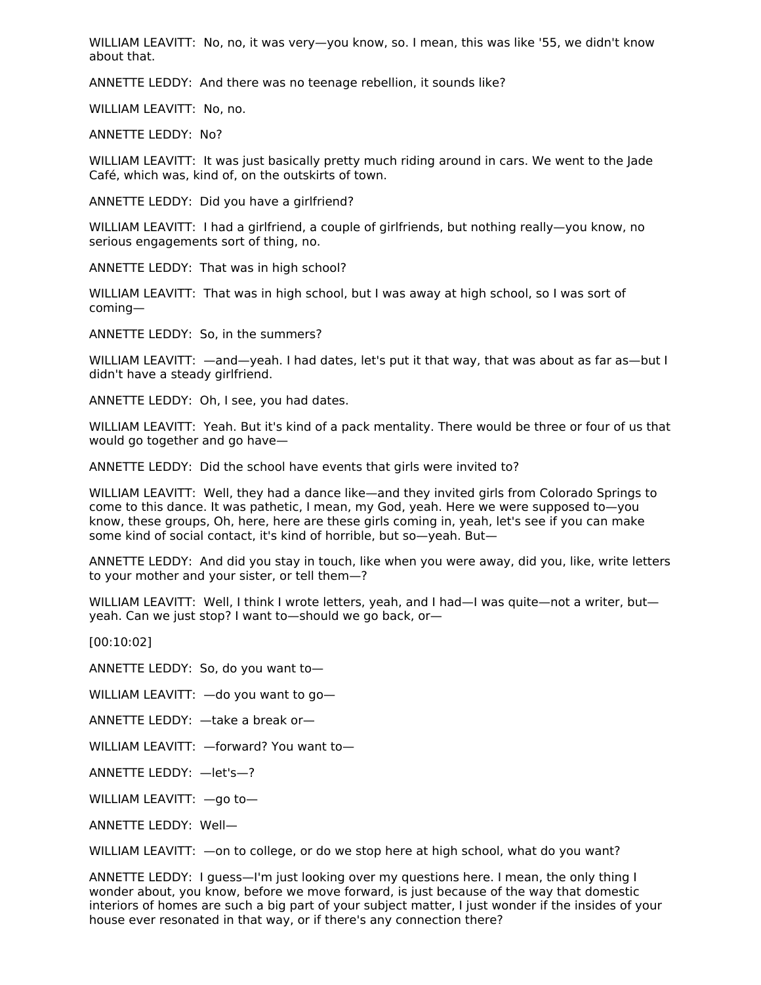WILLIAM LEAVITT: No, no, it was very—you know, so. I mean, this was like '55, we didn't know about that.

ANNETTE LEDDY: And there was no teenage rebellion, it sounds like?

WILLIAM LEAVITT: No, no.

ANNETTE LEDDY: No?

WILLIAM LEAVITT: It was just basically pretty much riding around in cars. We went to the Jade Café, which was, kind of, on the outskirts of town.

ANNETTE LEDDY: Did you have a girlfriend?

WILLIAM LEAVITT: I had a girlfriend, a couple of girlfriends, but nothing really—you know, no serious engagements sort of thing, no.

ANNETTE LEDDY: That was in high school?

WILLIAM LEAVITT: That was in high school, but I was away at high school, so I was sort of coming—

ANNETTE LEDDY: So, in the summers?

WILLIAM LEAVITT: —and—yeah. I had dates, let's put it that way, that was about as far as—but I didn't have a steady girlfriend.

ANNETTE LEDDY: Oh, I see, you had dates.

WILLIAM LEAVITT: Yeah. But it's kind of a pack mentality. There would be three or four of us that would go together and go have—

ANNETTE LEDDY: Did the school have events that girls were invited to?

WILLIAM LEAVITT: Well, they had a dance like—and they invited girls from Colorado Springs to come to this dance. It was pathetic, I mean, my God, yeah. Here we were supposed to—you know, these groups, Oh, here, here are these girls coming in, yeah, let's see if you can make some kind of social contact, it's kind of horrible, but so—yeah. But—

ANNETTE LEDDY: And did you stay in touch, like when you were away, did you, like, write letters to your mother and your sister, or tell them—?

WILLIAM LEAVITT: Well, I think I wrote letters, yeah, and I had—I was quite—not a writer, but yeah. Can we just stop? I want to—should we go back, or—

[00:10:02]

ANNETTE LEDDY: So, do you want to—

WILLIAM LEAVITT: —do you want to go—

ANNETTE LEDDY: —take a break or—

WILLIAM LEAVITT: - forward? You want to-

ANNETTE LEDDY: —let's—?

WILLIAM LEAVITT: —go to—

ANNETTE LEDDY: Well—

WILLIAM LEAVITT: —on to college, or do we stop here at high school, what do you want?

ANNETTE LEDDY: I guess—I'm just looking over my questions here. I mean, the only thing I wonder about, you know, before we move forward, is just because of the way that domestic interiors of homes are such a big part of your subject matter, I just wonder if the insides of your house ever resonated in that way, or if there's any connection there?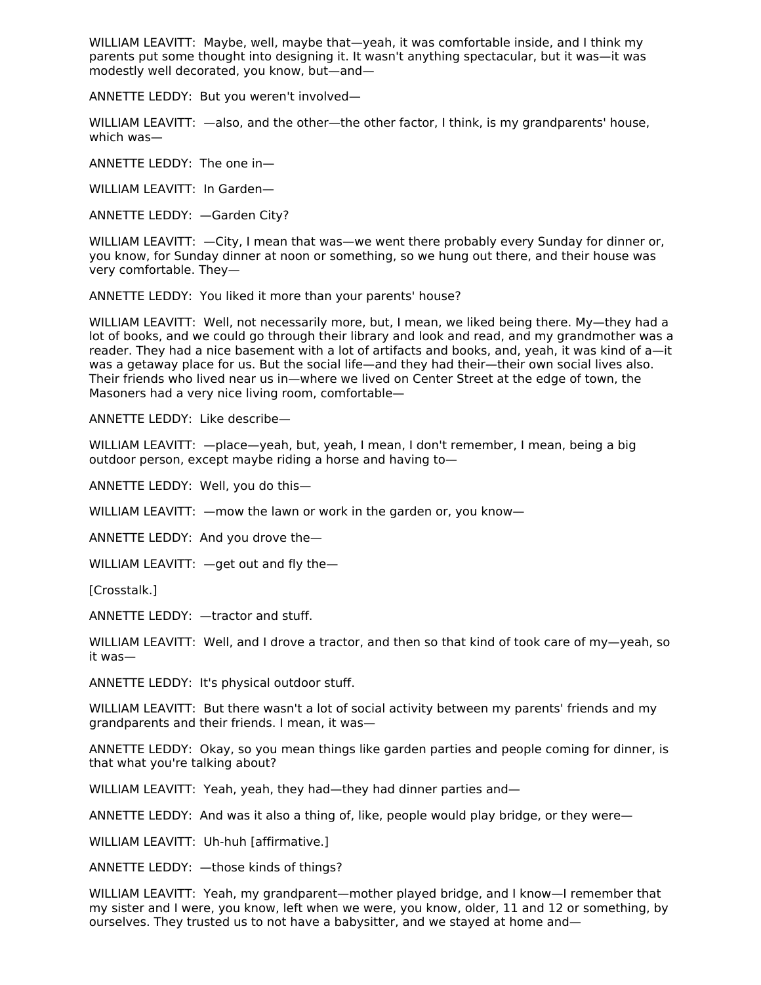WILLIAM LEAVITT: Maybe, well, maybe that—yeah, it was comfortable inside, and I think my parents put some thought into designing it. It wasn't anything spectacular, but it was—it was modestly well decorated, you know, but—and—

ANNETTE LEDDY: But you weren't involved—

WILLIAM LEAVITT: —also, and the other—the other factor, I think, is my grandparents' house, which was—

ANNETTE LEDDY: The one in—

WILLIAM LEAVITT: In Garden—

ANNETTE LEDDY: —Garden City?

WILLIAM LEAVITT:  $-$ City, I mean that was—we went there probably every Sunday for dinner or, you know, for Sunday dinner at noon or something, so we hung out there, and their house was very comfortable. They—

ANNETTE LEDDY: You liked it more than your parents' house?

WILLIAM LEAVITT: Well, not necessarily more, but, I mean, we liked being there. My—they had a lot of books, and we could go through their library and look and read, and my grandmother was a reader. They had a nice basement with a lot of artifacts and books, and, yeah, it was kind of a—it was a getaway place for us. But the social life—and they had their—their own social lives also. Their friends who lived near us in—where we lived on Center Street at the edge of town, the Masoners had a very nice living room, comfortable—

ANNETTE LEDDY: Like describe—

WILLIAM LEAVITT: —place—yeah, but, yeah, I mean, I don't remember, I mean, being a big outdoor person, except maybe riding a horse and having to—

ANNETTE LEDDY: Well, you do this—

WILLIAM LEAVITT:  $-$ mow the lawn or work in the garden or, you know-

ANNETTE LEDDY: And you drove the—

WILLIAM LEAVITT: —get out and fly the—

[Crosstalk.]

ANNETTE LEDDY: —tractor and stuff.

WILLIAM LEAVITT: Well, and I drove a tractor, and then so that kind of took care of my—yeah, so it was—

ANNETTE LEDDY: It's physical outdoor stuff.

WILLIAM LEAVITT: But there wasn't a lot of social activity between my parents' friends and my grandparents and their friends. I mean, it was—

ANNETTE LEDDY: Okay, so you mean things like garden parties and people coming for dinner, is that what you're talking about?

WILLIAM LEAVITT: Yeah, yeah, they had—they had dinner parties and—

ANNETTE LEDDY: And was it also a thing of, like, people would play bridge, or they were—

WILLIAM LEAVITT: Uh-huh [affirmative.]

ANNETTE LEDDY: —those kinds of things?

WILLIAM LEAVITT: Yeah, my grandparent—mother played bridge, and I know—I remember that my sister and I were, you know, left when we were, you know, older, 11 and 12 or something, by ourselves. They trusted us to not have a babysitter, and we stayed at home and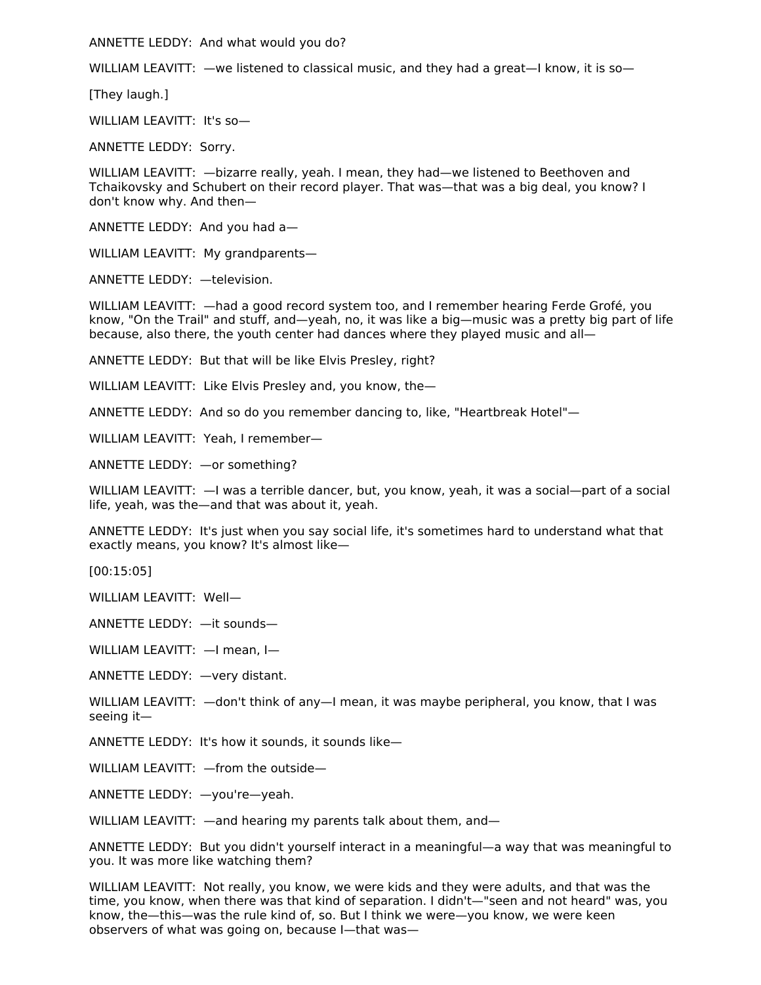ANNETTE LEDDY: And what would you do?

WILLIAM LEAVITT: —we listened to classical music, and they had a great—I know, it is so—

[They laugh.]

WILLIAM LEAVITT: It's so—

ANNETTE LEDDY: Sorry.

WILLIAM LEAVITT: —bizarre really, yeah. I mean, they had—we listened to Beethoven and Tchaikovsky and Schubert on their record player. That was—that was a big deal, you know? I don't know why. And then—

ANNETTE LEDDY: And you had a—

WILLIAM LEAVITT: My grandparents—

ANNETTE LEDDY: —television.

WILLIAM LEAVITT: —had a good record system too, and I remember hearing Ferde Grofé, you know, "On the Trail" and stuff, and—yeah, no, it was like a big—music was a pretty big part of life because, also there, the youth center had dances where they played music and all—

ANNETTE LEDDY: But that will be like Elvis Presley, right?

WILLIAM LEAVITT: Like Elvis Presley and, you know, the—

ANNETTE LEDDY: And so do you remember dancing to, like, "Heartbreak Hotel"—

WILLIAM LEAVITT: Yeah, I remember—

ANNETTE LEDDY: —or something?

WILLIAM LEAVITT: —I was a terrible dancer, but, you know, yeah, it was a social—part of a social life, yeah, was the—and that was about it, yeah.

ANNETTE LEDDY: It's just when you say social life, it's sometimes hard to understand what that exactly means, you know? It's almost like—

[00:15:05]

WILLIAM LEAVITT: Well—

ANNETTE LEDDY: —it sounds—

WILLIAM LEAVITT: —I mean, I—

ANNETTE LEDDY: —very distant.

WILLIAM LEAVITT:  $-\text{don't think of any} - I$  mean, it was maybe peripheral, you know, that I was seeing it—

ANNETTE LEDDY: It's how it sounds, it sounds like—

WILLIAM LEAVITT: —from the outside—

ANNETTE LEDDY: —you're—yeah.

WILLIAM LEAVITT: —and hearing my parents talk about them, and—

ANNETTE LEDDY: But you didn't yourself interact in a meaningful—a way that was meaningful to you. It was more like watching them?

WILLIAM LEAVITT: Not really, you know, we were kids and they were adults, and that was the time, you know, when there was that kind of separation. I didn't—"seen and not heard" was, you know, the—this—was the rule kind of, so. But I think we were—you know, we were keen observers of what was going on, because I—that was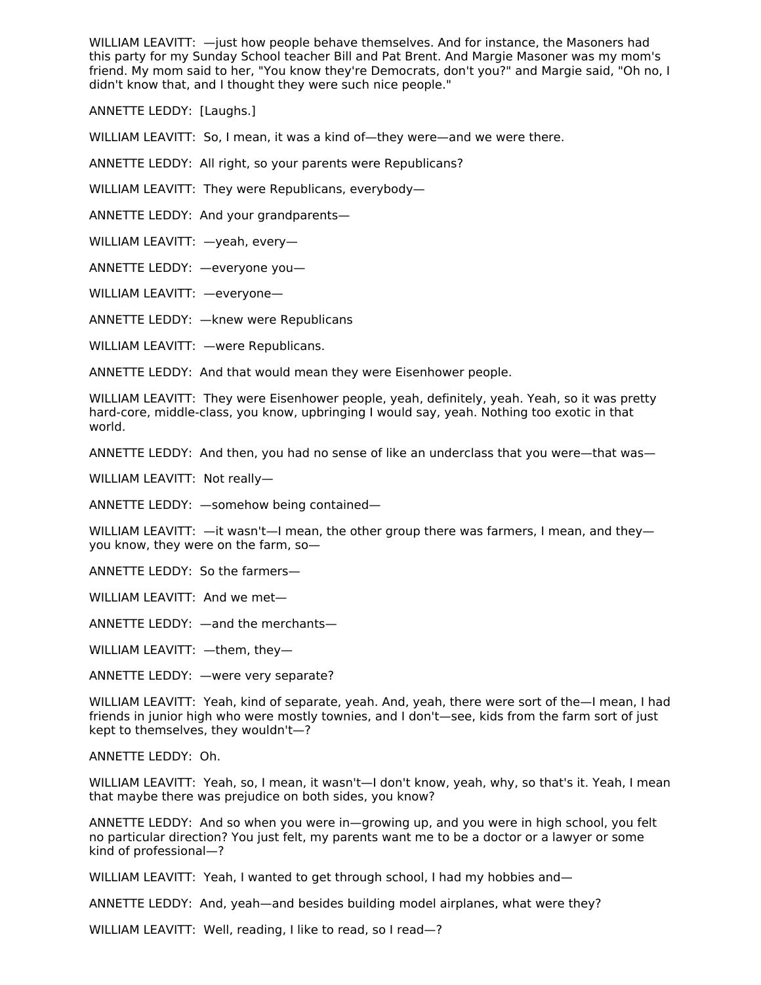WILLIAM LEAVITT: —just how people behave themselves. And for instance, the Masoners had this party for my Sunday School teacher Bill and Pat Brent. And Margie Masoner was my mom's friend. My mom said to her, "You know they're Democrats, don't you?" and Margie said, "Oh no, I didn't know that, and I thought they were such nice people."

ANNETTE LEDDY: [Laughs.]

WILLIAM LEAVITT: So, I mean, it was a kind of—they were—and we were there.

ANNETTE LEDDY: All right, so your parents were Republicans?

WILLIAM LEAVITT: They were Republicans, everybody—

ANNETTE LEDDY: And your grandparents—

WILLIAM LEAVITT: —yeah, every—

ANNETTE LEDDY: —everyone you—

WILLIAM LEAVITT: —everyone—

ANNETTE LEDDY: —knew were Republicans

WILLIAM LEAVITT: —were Republicans.

ANNETTE LEDDY: And that would mean they were Eisenhower people.

WILLIAM LEAVITT: They were Eisenhower people, yeah, definitely, yeah. Yeah, so it was pretty hard-core, middle-class, you know, upbringing I would say, yeah. Nothing too exotic in that world.

ANNETTE LEDDY: And then, you had no sense of like an underclass that you were—that was—

WILLIAM LEAVITT: Not really—

ANNETTE LEDDY: —somehow being contained—

WILLIAM LEAVITT:  $-$ it wasn't $-$ I mean, the other group there was farmers, I mean, and theyyou know, they were on the farm, so—

ANNETTE LEDDY: So the farmers—

WILLIAM LEAVITT: And we met—

ANNETTE LEDDY: —and the merchants—

WILLIAM LEAVITT: —them, they—

ANNETTE LEDDY: —were very separate?

WILLIAM LEAVITT: Yeah, kind of separate, yeah. And, yeah, there were sort of the—I mean, I had friends in junior high who were mostly townies, and I don't—see, kids from the farm sort of just kept to themselves, they wouldn't—?

ANNETTE LEDDY: Oh.

WILLIAM LEAVITT: Yeah, so, I mean, it wasn't—I don't know, yeah, why, so that's it. Yeah, I mean that maybe there was prejudice on both sides, you know?

ANNETTE LEDDY: And so when you were in—growing up, and you were in high school, you felt no particular direction? You just felt, my parents want me to be a doctor or a lawyer or some kind of professional—?

WILLIAM LEAVITT: Yeah, I wanted to get through school, I had my hobbies and-

ANNETTE LEDDY: And, yeah—and besides building model airplanes, what were they?

WILLIAM LEAVITT: Well, reading, I like to read, so I read—?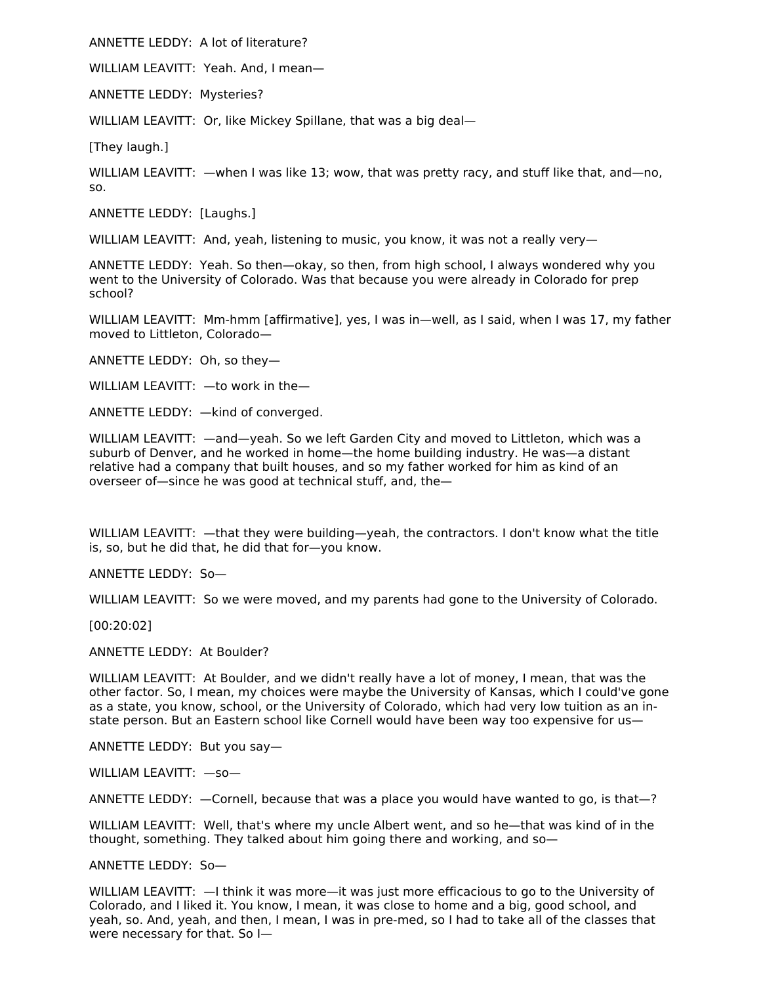ANNETTE LEDDY: A lot of literature?

WILLIAM LEAVITT: Yeah. And, I mean—

ANNETTE LEDDY: Mysteries?

WILLIAM LEAVITT: Or, like Mickey Spillane, that was a big deal-

[They laugh.]

WILLIAM LEAVITT: —when I was like 13; wow, that was pretty racy, and stuff like that, and—no, so.

ANNETTE LEDDY: [Laughs.]

WILLIAM LEAVITT: And, yeah, listening to music, you know, it was not a really very—

ANNETTE LEDDY: Yeah. So then—okay, so then, from high school, I always wondered why you went to the University of Colorado. Was that because you were already in Colorado for prep school?

WILLIAM LEAVITT: Mm-hmm [affirmative], yes, I was in—well, as I said, when I was 17, my father moved to Littleton, Colorado—

ANNETTE LEDDY: Oh, so they—

WILLIAM LEAVITT: —to work in the—

ANNETTE LEDDY: —kind of converged.

WILLIAM LEAVITT: - and-yeah. So we left Garden City and moved to Littleton, which was a suburb of Denver, and he worked in home—the home building industry. He was—a distant relative had a company that built houses, and so my father worked for him as kind of an overseer of—since he was good at technical stuff, and, the—

WILLIAM LEAVITT: —that they were building—yeah, the contractors. I don't know what the title is, so, but he did that, he did that for—you know.

ANNETTE LEDDY: So—

WILLIAM LEAVITT: So we were moved, and my parents had gone to the University of Colorado.

[00:20:02]

ANNETTE LEDDY: At Boulder?

WILLIAM LEAVITT: At Boulder, and we didn't really have a lot of money, I mean, that was the other factor. So, I mean, my choices were maybe the University of Kansas, which I could've gone as a state, you know, school, or the University of Colorado, which had very low tuition as an instate person. But an Eastern school like Cornell would have been way too expensive for us—

ANNETTE LEDDY: But you say—

WILLIAM LEAVITT: —so—

ANNETTE LEDDY: —Cornell, because that was a place you would have wanted to go, is that—?

WILLIAM LEAVITT: Well, that's where my uncle Albert went, and so he—that was kind of in the thought, something. They talked about him going there and working, and so—

ANNETTE LEDDY: So—

WILLIAM LEAVITT: —I think it was more—it was just more efficacious to go to the University of Colorado, and I liked it. You know, I mean, it was close to home and a big, good school, and yeah, so. And, yeah, and then, I mean, I was in pre-med, so I had to take all of the classes that were necessary for that. So I—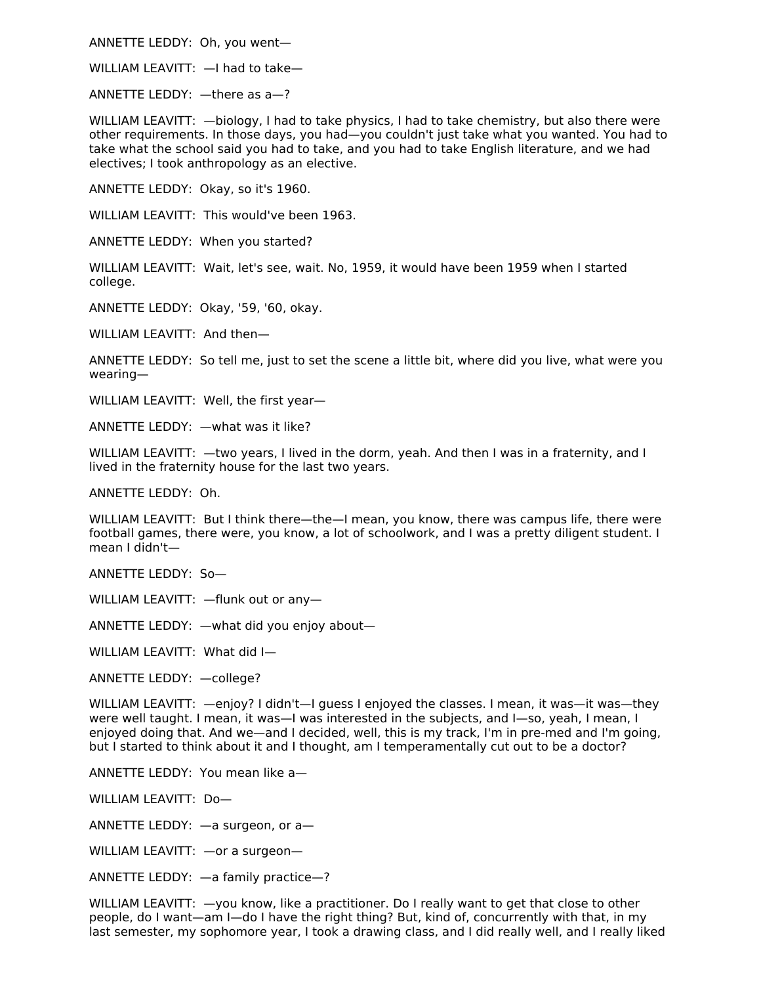ANNETTE LEDDY: Oh, you went—

WILLIAM LEAVITT: —I had to take—

ANNETTE LEDDY: —there as a—?

WILLIAM LEAVITT: —biology, I had to take physics, I had to take chemistry, but also there were other requirements. In those days, you had—you couldn't just take what you wanted. You had to take what the school said you had to take, and you had to take English literature, and we had electives; I took anthropology as an elective.

ANNETTE LEDDY: Okay, so it's 1960.

WILLIAM LEAVITT: This would've been 1963.

ANNETTE LEDDY: When you started?

WILLIAM LEAVITT: Wait, let's see, wait. No, 1959, it would have been 1959 when I started college.

ANNETTE LEDDY: Okay, '59, '60, okay.

WILLIAM LEAVITT: And then—

ANNETTE LEDDY: So tell me, just to set the scene a little bit, where did you live, what were you wearing—

WILLIAM LEAVITT: Well, the first year—

ANNETTE LEDDY: —what was it like?

WILLIAM LEAVITT: —two years, I lived in the dorm, yeah. And then I was in a fraternity, and I lived in the fraternity house for the last two years.

ANNETTE LEDDY: Oh.

WILLIAM LEAVITT: But I think there—the—I mean, you know, there was campus life, there were football games, there were, you know, a lot of schoolwork, and I was a pretty diligent student. I mean I didn't—

ANNETTE LEDDY: So—

WILLIAM LEAVITT: —flunk out or any—

ANNETTE LEDDY: —what did you enjoy about—

WILLIAM LEAVITT: What did I—

ANNETTE LEDDY: —college?

WILLIAM LEAVITT: —enjoy? I didn't—I guess I enjoyed the classes. I mean, it was—it was—they were well taught. I mean, it was—I was interested in the subjects, and I—so, yeah, I mean, I enjoyed doing that. And we—and I decided, well, this is my track, I'm in pre-med and I'm going, but I started to think about it and I thought, am I temperamentally cut out to be a doctor?

ANNETTE LEDDY: You mean like a—

WILLIAM LEAVITT: Do—

ANNETTE LEDDY: —a surgeon, or a—

WILLIAM LEAVITT: —or a surgeon—

ANNETTE LEDDY: —a family practice—?

WILLIAM LEAVITT: —you know, like a practitioner. Do I really want to get that close to other people, do I want—am I—do I have the right thing? But, kind of, concurrently with that, in my last semester, my sophomore year, I took a drawing class, and I did really well, and I really liked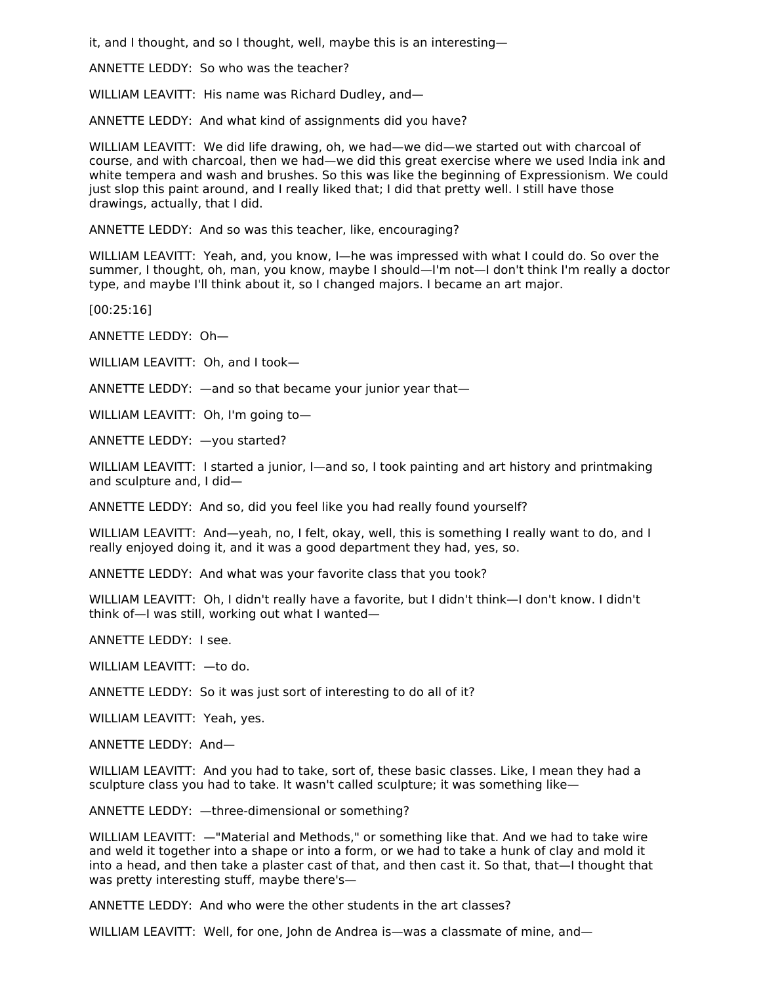it, and I thought, and so I thought, well, maybe this is an interesting—

ANNETTE LEDDY: So who was the teacher?

WILLIAM LEAVITT: His name was Richard Dudley, and—

ANNETTE LEDDY: And what kind of assignments did you have?

WILLIAM LEAVITT: We did life drawing, oh, we had—we did—we started out with charcoal of course, and with charcoal, then we had—we did this great exercise where we used India ink and white tempera and wash and brushes. So this was like the beginning of Expressionism. We could just slop this paint around, and I really liked that; I did that pretty well. I still have those drawings, actually, that I did.

ANNETTE LEDDY: And so was this teacher, like, encouraging?

WILLIAM LEAVITT: Yeah, and, you know, I—he was impressed with what I could do. So over the summer, I thought, oh, man, you know, maybe I should—I'm not—I don't think I'm really a doctor type, and maybe I'll think about it, so I changed majors. I became an art major.

[00:25:16]

ANNETTE LEDDY: Oh—

WILLIAM LEAVITT: Oh, and I took—

ANNETTE LEDDY: —and so that became your junior year that—

WILLIAM LEAVITT: Oh, I'm going to—

ANNETTE LEDDY: —you started?

WILLIAM LEAVITT: I started a junior, I—and so, I took painting and art history and printmaking and sculpture and, I did—

ANNETTE LEDDY: And so, did you feel like you had really found yourself?

WILLIAM LEAVITT: And—yeah, no, I felt, okay, well, this is something I really want to do, and I really enjoyed doing it, and it was a good department they had, yes, so.

ANNETTE LEDDY: And what was your favorite class that you took?

WILLIAM LEAVITT: Oh, I didn't really have a favorite, but I didn't think—I don't know. I didn't think of—I was still, working out what I wanted—

ANNETTE LEDDY: I see.

WILLIAM LEAVITT: —to do.

ANNETTE LEDDY: So it was just sort of interesting to do all of it?

WILLIAM LEAVITT: Yeah, yes.

ANNETTE LEDDY: And—

WILLIAM LEAVITT: And you had to take, sort of, these basic classes. Like, I mean they had a sculpture class you had to take. It wasn't called sculpture; it was something like—

ANNETTE LEDDY: —three-dimensional or something?

WILLIAM LEAVITT: —"Material and Methods," or something like that. And we had to take wire and weld it together into a shape or into a form, or we had to take a hunk of clay and mold it into a head, and then take a plaster cast of that, and then cast it. So that, that—I thought that was pretty interesting stuff, maybe there's—

ANNETTE LEDDY: And who were the other students in the art classes?

WILLIAM LEAVITT: Well, for one, John de Andrea is—was a classmate of mine, and—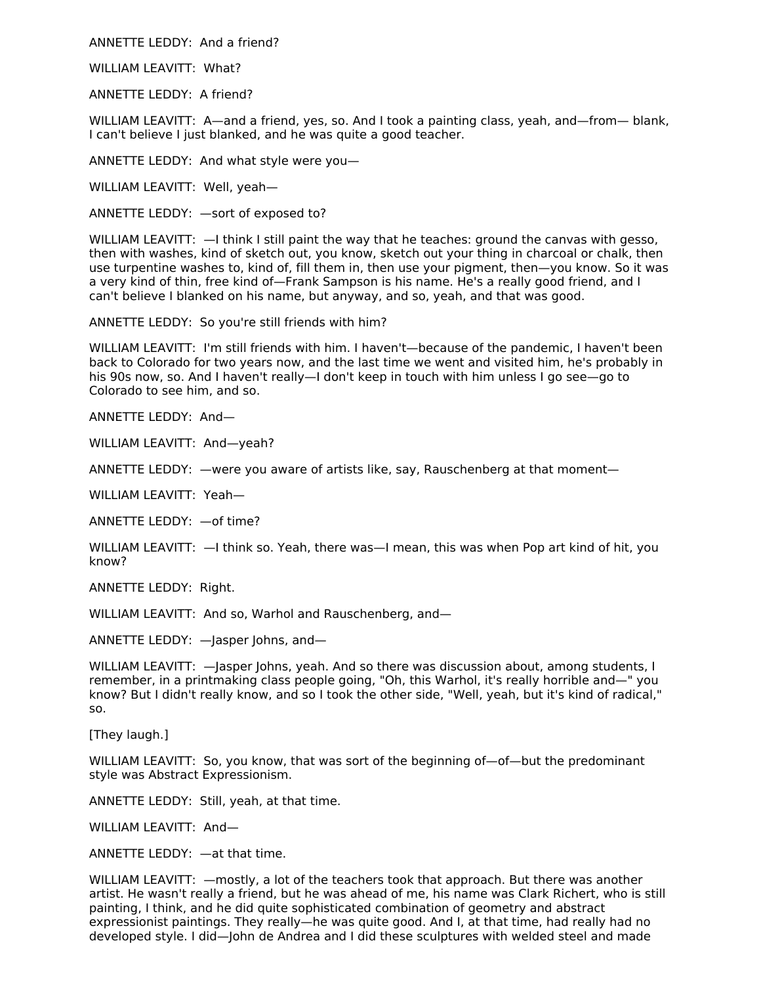ANNETTE LEDDY: And a friend?

WILLIAM LEAVITT: What?

ANNETTE LEDDY: A friend?

WILLIAM LEAVITT: A—and a friend, yes, so. And I took a painting class, yeah, and—from— blank, I can't believe I just blanked, and he was quite a good teacher.

ANNETTE LEDDY: And what style were you—

WILLIAM LEAVITT: Well, yeah—

ANNETTE LEDDY: —sort of exposed to?

WILLIAM LEAVITT:  $-1$  think I still paint the way that he teaches: ground the canvas with gesso, then with washes, kind of sketch out, you know, sketch out your thing in charcoal or chalk, then use turpentine washes to, kind of, fill them in, then use your pigment, then—you know. So it was a very kind of thin, free kind of—Frank Sampson is his name. He's a really good friend, and I can't believe I blanked on his name, but anyway, and so, yeah, and that was good.

ANNETTE LEDDY: So you're still friends with him?

WILLIAM LEAVITT: I'm still friends with him. I haven't—because of the pandemic, I haven't been back to Colorado for two years now, and the last time we went and visited him, he's probably in his 90s now, so. And I haven't really—I don't keep in touch with him unless I go see—go to Colorado to see him, and so.

ANNETTE LEDDY: And—

WILLIAM LEAVITT: And—yeah?

ANNETTE LEDDY: —were you aware of artists like, say, Rauschenberg at that moment—

WILLIAM LEAVITT: Yeah—

ANNETTE LEDDY: —of time?

WILLIAM LEAVITT: —I think so. Yeah, there was—I mean, this was when Pop art kind of hit, you know?

ANNETTE LEDDY: Right.

WILLIAM LEAVITT: And so, Warhol and Rauschenberg, and-

ANNETTE LEDDY: —Jasper Johns, and—

WILLIAM LEAVITT:  $-$  lasper Johns, yeah. And so there was discussion about, among students, I remember, in a printmaking class people going, "Oh, this Warhol, it's really horrible and—" you know? But I didn't really know, and so I took the other side, "Well, yeah, but it's kind of radical," so.

[They laugh.]

WILLIAM LEAVITT: So, you know, that was sort of the beginning of—of—but the predominant style was Abstract Expressionism.

ANNETTE LEDDY: Still, yeah, at that time.

WILLIAM LEAVITT: And—

ANNETTE LEDDY: —at that time.

WILLIAM LEAVITT: —mostly, a lot of the teachers took that approach. But there was another artist. He wasn't really a friend, but he was ahead of me, his name was Clark Richert, who is still painting, I think, and he did quite sophisticated combination of geometry and abstract expressionist paintings. They really—he was quite good. And I, at that time, had really had no developed style. I did—John de Andrea and I did these sculptures with welded steel and made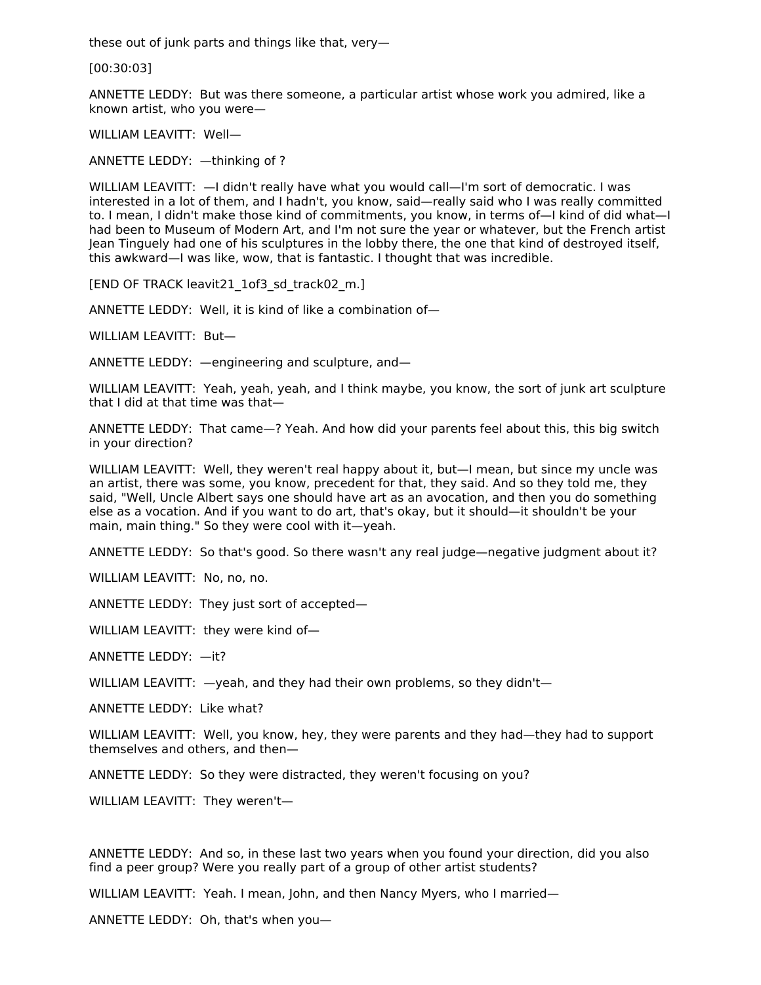these out of junk parts and things like that, very—

[00:30:03]

ANNETTE LEDDY: But was there someone, a particular artist whose work you admired, like a known artist, who you were—

WILLIAM LEAVITT: Well—

ANNETTE LEDDY: —thinking of ?

WILLIAM LEAVITT: —I didn't really have what you would call—I'm sort of democratic. I was interested in a lot of them, and I hadn't, you know, said—really said who I was really committed to. I mean, I didn't make those kind of commitments, you know, in terms of—I kind of did what—I had been to Museum of Modern Art, and I'm not sure the year or whatever, but the French artist Jean Tinguely had one of his sculptures in the lobby there, the one that kind of destroyed itself, this awkward—I was like, wow, that is fantastic. I thought that was incredible.

[END OF TRACK leavit21\_1of3\_sd\_track02\_m.]

ANNETTE LEDDY: Well, it is kind of like a combination of—

WILLIAM LEAVITT: But—

ANNETTE LEDDY: —engineering and sculpture, and—

WILLIAM LEAVITT: Yeah, yeah, yeah, and I think maybe, you know, the sort of junk art sculpture that I did at that time was that—

ANNETTE LEDDY: That came—? Yeah. And how did your parents feel about this, this big switch in your direction?

WILLIAM LEAVITT: Well, they weren't real happy about it, but—I mean, but since my uncle was an artist, there was some, you know, precedent for that, they said. And so they told me, they said, "Well, Uncle Albert says one should have art as an avocation, and then you do something else as a vocation. And if you want to do art, that's okay, but it should—it shouldn't be your main, main thing." So they were cool with it—yeah.

ANNETTE LEDDY: So that's good. So there wasn't any real judge—negative judgment about it?

WILLIAM LEAVITT: No. no. no.

ANNETTE LEDDY: They just sort of accepted—

WILLIAM LEAVITT: they were kind of—

ANNETTE LEDDY: —it?

WILLIAM LEAVITT:  $-$ yeah, and they had their own problems, so they didn't-

ANNETTE LEDDY: Like what?

WILLIAM LEAVITT: Well, you know, hey, they were parents and they had—they had to support themselves and others, and then—

ANNETTE LEDDY: So they were distracted, they weren't focusing on you?

WILLIAM LEAVITT: They weren't—

ANNETTE LEDDY: And so, in these last two years when you found your direction, did you also find a peer group? Were you really part of a group of other artist students?

WILLIAM LEAVITT: Yeah. I mean, John, and then Nancy Myers, who I married—

ANNETTE LEDDY: Oh, that's when you—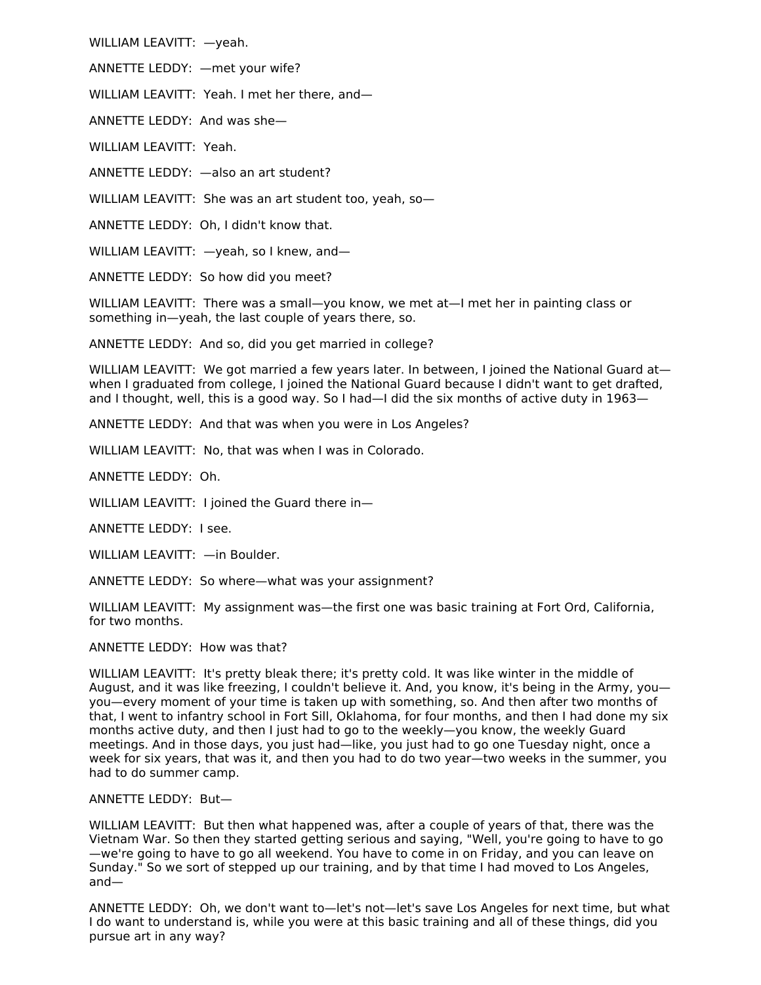WILLIAM LEAVITT: —yeah.

ANNETTE LEDDY: —met your wife?

WILLIAM LEAVITT: Yeah. I met her there, and—

ANNETTE LEDDY: And was she—

WILLIAM LEAVITT: Yeah.

ANNETTE LEDDY: —also an art student?

WILLIAM LEAVITT: She was an art student too, yeah, so-

ANNETTE LEDDY: Oh, I didn't know that.

WILLIAM LEAVITT: - yeah, so I knew, and-

ANNETTE LEDDY: So how did you meet?

WILLIAM LEAVITT: There was a small—you know, we met at—I met her in painting class or something in—yeah, the last couple of years there, so.

ANNETTE LEDDY: And so, did you get married in college?

WILLIAM LEAVITT: We got married a few years later. In between, I joined the National Guard atwhen I graduated from college, I joined the National Guard because I didn't want to get drafted, and I thought, well, this is a good way. So I had-I did the six months of active duty in 1963-

ANNETTE LEDDY: And that was when you were in Los Angeles?

WILLIAM LEAVITT: No, that was when I was in Colorado.

ANNETTE LEDDY: Oh.

WILLIAM LEAVITT: I joined the Guard there in—

ANNETTE LEDDY: I see.

WILLIAM LEAVITT: —in Boulder.

ANNETTE LEDDY: So where—what was your assignment?

WILLIAM LEAVITT: My assignment was—the first one was basic training at Fort Ord, California, for two months.

ANNETTE LEDDY: How was that?

WILLIAM LEAVITT: It's pretty bleak there; it's pretty cold. It was like winter in the middle of August, and it was like freezing, I couldn't believe it. And, you know, it's being in the Army, you you—every moment of your time is taken up with something, so. And then after two months of that, I went to infantry school in Fort Sill, Oklahoma, for four months, and then I had done my six months active duty, and then I just had to go to the weekly—you know, the weekly Guard meetings. And in those days, you just had—like, you just had to go one Tuesday night, once a week for six years, that was it, and then you had to do two year—two weeks in the summer, you had to do summer camp.

## ANNETTE LEDDY: But—

WILLIAM LEAVITT: But then what happened was, after a couple of years of that, there was the Vietnam War. So then they started getting serious and saying, "Well, you're going to have to go —we're going to have to go all weekend. You have to come in on Friday, and you can leave on Sunday." So we sort of stepped up our training, and by that time I had moved to Los Angeles, and—

ANNETTE LEDDY: Oh, we don't want to—let's not—let's save Los Angeles for next time, but what I do want to understand is, while you were at this basic training and all of these things, did you pursue art in any way?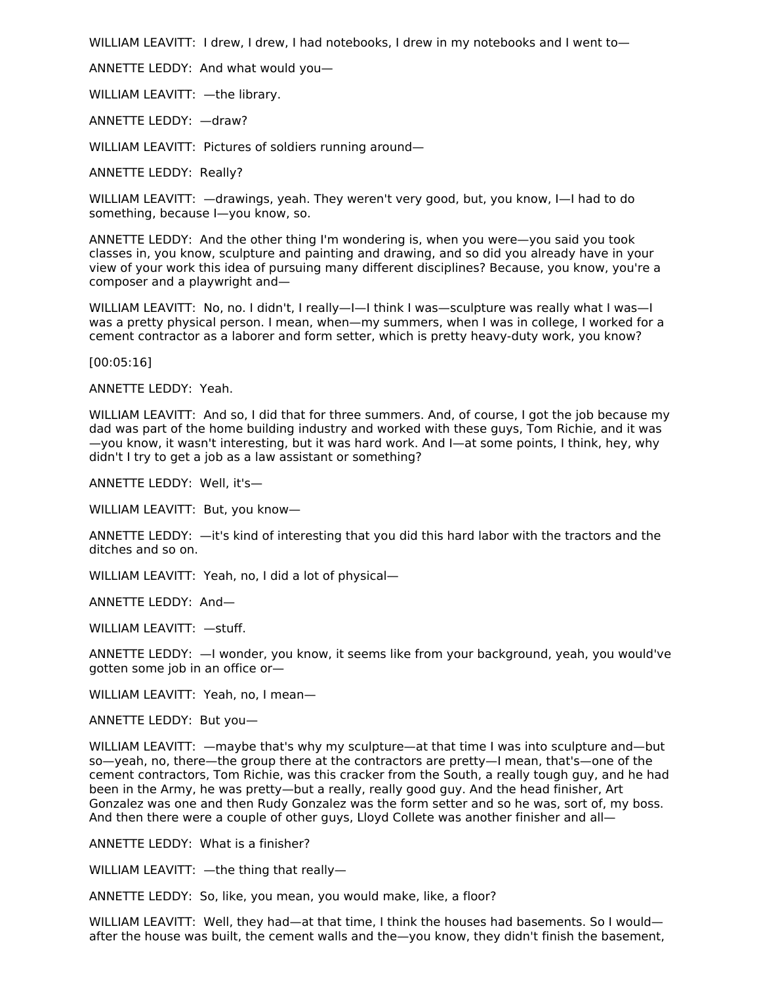WILLIAM LEAVITT: I drew, I drew, I had notebooks, I drew in my notebooks and I went to-

ANNETTE LEDDY: And what would you—

WILLIAM LEAVITT: —the library.

ANNETTE LEDDY: —draw?

WILLIAM LEAVITT: Pictures of soldiers running around—

ANNETTE LEDDY: Really?

WILLIAM LEAVITT: —drawings, yeah. They weren't very good, but, you know, I—I had to do something, because I—you know, so.

ANNETTE LEDDY: And the other thing I'm wondering is, when you were—you said you took classes in, you know, sculpture and painting and drawing, and so did you already have in your view of your work this idea of pursuing many different disciplines? Because, you know, you're a composer and a playwright and—

WILLIAM LEAVITT: No, no. I didn't, I really—I—I think I was—sculpture was really what I was—I was a pretty physical person. I mean, when—my summers, when I was in college, I worked for a cement contractor as a laborer and form setter, which is pretty heavy-duty work, you know?

[00:05:16]

ANNETTE LEDDY: Yeah.

WILLIAM LEAVITT: And so, I did that for three summers. And, of course, I got the job because my dad was part of the home building industry and worked with these guys, Tom Richie, and it was —you know, it wasn't interesting, but it was hard work. And I—at some points, I think, hey, why didn't I try to get a job as a law assistant or something?

ANNETTE LEDDY: Well, it's—

WILLIAM LEAVITT: But, you know—

ANNETTE LEDDY: —it's kind of interesting that you did this hard labor with the tractors and the ditches and so on.

WILLIAM LEAVITT: Yeah, no, I did a lot of physical—

ANNETTE LEDDY: And—

WILLIAM LEAVITT: —stuff.

ANNETTE LEDDY: —I wonder, you know, it seems like from your background, yeah, you would've gotten some job in an office or—

WILLIAM LEAVITT: Yeah, no, I mean—

ANNETTE LEDDY: But you—

WILLIAM LEAVITT: —maybe that's why my sculpture—at that time I was into sculpture and—but so—yeah, no, there—the group there at the contractors are pretty—I mean, that's—one of the cement contractors, Tom Richie, was this cracker from the South, a really tough guy, and he had been in the Army, he was pretty—but a really, really good guy. And the head finisher, Art Gonzalez was one and then Rudy Gonzalez was the form setter and so he was, sort of, my boss. And then there were a couple of other guys, Lloyd Collete was another finisher and all—

ANNETTE LEDDY: What is a finisher?

WILLIAM LEAVITT: —the thing that really—

ANNETTE LEDDY: So, like, you mean, you would make, like, a floor?

WILLIAM LEAVITT: Well, they had—at that time, I think the houses had basements. So I would after the house was built, the cement walls and the—you know, they didn't finish the basement,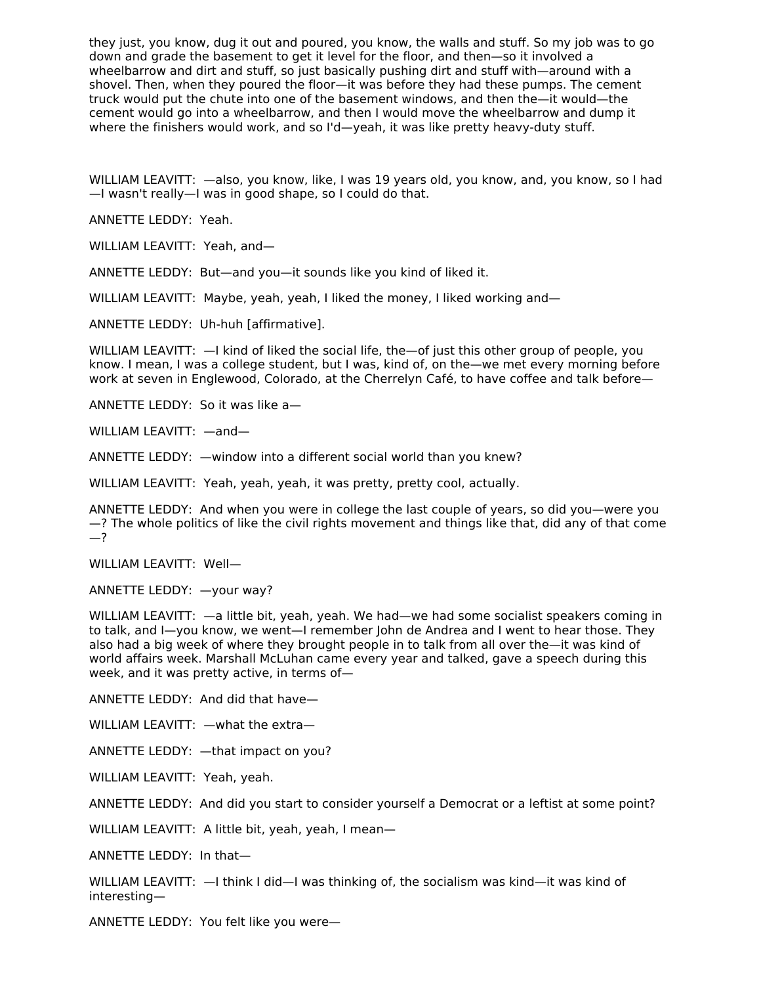they just, you know, dug it out and poured, you know, the walls and stuff. So my job was to go down and grade the basement to get it level for the floor, and then—so it involved a wheelbarrow and dirt and stuff, so just basically pushing dirt and stuff with—around with a shovel. Then, when they poured the floor—it was before they had these pumps. The cement truck would put the chute into one of the basement windows, and then the—it would—the cement would go into a wheelbarrow, and then I would move the wheelbarrow and dump it where the finishers would work, and so I'd—yeah, it was like pretty heavy-duty stuff.

WILLIAM LEAVITT: —also, you know, like, I was 19 years old, you know, and, you know, so I had —I wasn't really—I was in good shape, so I could do that.

ANNETTE LEDDY: Yeah.

WILLIAM LEAVITT: Yeah, and—

ANNETTE LEDDY: But—and you—it sounds like you kind of liked it.

WILLIAM LEAVITT: Maybe, yeah, yeah, I liked the money, I liked working and—

ANNETTE LEDDY: Uh-huh [affirmative].

WILLIAM LEAVITT:  $-1$  kind of liked the social life, the - of just this other group of people, you know. I mean, I was a college student, but I was, kind of, on the—we met every morning before work at seven in Englewood, Colorado, at the Cherrelyn Café, to have coffee and talk before—

ANNETTE LEDDY: So it was like a—

WILLIAM LEAVITT: —and—

ANNETTE LEDDY: —window into a different social world than you knew?

WILLIAM LEAVITT: Yeah, yeah, yeah, it was pretty, pretty cool, actually.

ANNETTE LEDDY: And when you were in college the last couple of years, so did you—were you —? The whole politics of like the civil rights movement and things like that, did any of that come —?

WILLIAM LEAVITT: Well—

ANNETTE LEDDY: —your way?

WILLIAM LEAVITT: —a little bit, yeah, yeah. We had—we had some socialist speakers coming in to talk, and I—you know, we went—I remember John de Andrea and I went to hear those. They also had a big week of where they brought people in to talk from all over the—it was kind of world affairs week. Marshall McLuhan came every year and talked, gave a speech during this week, and it was pretty active, in terms of—

ANNETTE LEDDY: And did that have—

WILLIAM LEAVITT: —what the extra—

ANNETTE LEDDY: —that impact on you?

WILLIAM LEAVITT: Yeah, yeah.

ANNETTE LEDDY: And did you start to consider yourself a Democrat or a leftist at some point?

WILLIAM LEAVITT: A little bit, yeah, yeah, I mean—

ANNETTE LEDDY: In that—

WILLIAM LEAVITT:  $-$ I think I did-I was thinking of, the socialism was kind-it was kind of interesting—

ANNETTE LEDDY: You felt like you were—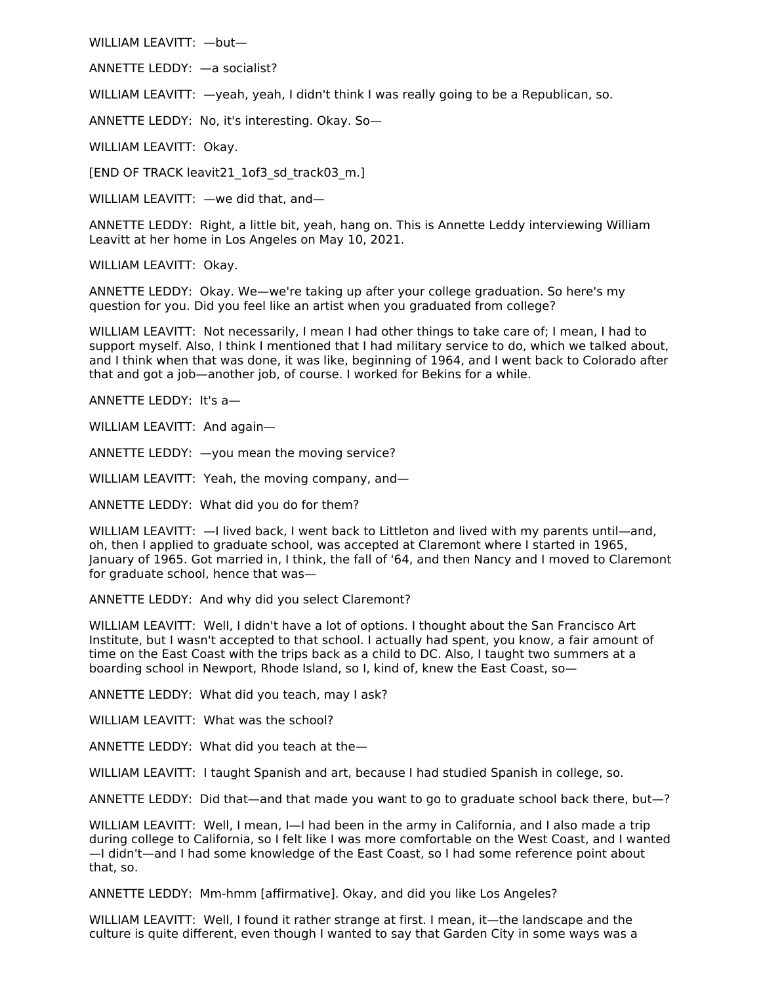WILLIAM LEAVITT: —but—

ANNETTE LEDDY: —a socialist?

WILLIAM LEAVITT:  $-$ yeah, yeah, I didn't think I was really going to be a Republican, so.

ANNETTE LEDDY: No, it's interesting. Okay. So—

WILLIAM LEAVITT: Okay.

[END OF TRACK leavit21\_1of3\_sd\_track03\_m.]

WILLIAM LEAVITT: —we did that, and—

ANNETTE LEDDY: Right, a little bit, yeah, hang on. This is Annette Leddy interviewing William Leavitt at her home in Los Angeles on May 10, 2021.

WILLIAM LEAVITT: Okay.

ANNETTE LEDDY: Okay. We—we're taking up after your college graduation. So here's my question for you. Did you feel like an artist when you graduated from college?

WILLIAM LEAVITT: Not necessarily, I mean I had other things to take care of; I mean, I had to support myself. Also, I think I mentioned that I had military service to do, which we talked about, and I think when that was done, it was like, beginning of 1964, and I went back to Colorado after that and got a job—another job, of course. I worked for Bekins for a while.

ANNETTE LEDDY: It's a—

WILLIAM LEAVITT: And again—

ANNETTE LEDDY: —you mean the moving service?

WILLIAM LEAVITT: Yeah, the moving company, and-

ANNETTE LEDDY: What did you do for them?

WILLIAM LEAVITT:  $-1$  lived back, I went back to Littleton and lived with my parents until—and, oh, then I applied to graduate school, was accepted at Claremont where I started in 1965, January of 1965. Got married in, I think, the fall of '64, and then Nancy and I moved to Claremont for graduate school, hence that was—

ANNETTE LEDDY: And why did you select Claremont?

WILLIAM LEAVITT: Well, I didn't have a lot of options. I thought about the San Francisco Art Institute, but I wasn't accepted to that school. I actually had spent, you know, a fair amount of time on the East Coast with the trips back as a child to DC. Also, I taught two summers at a boarding school in Newport, Rhode Island, so I, kind of, knew the East Coast, so—

ANNETTE LEDDY: What did you teach, may I ask?

WILLIAM LEAVITT: What was the school?

ANNETTE LEDDY: What did you teach at the—

WILLIAM LEAVITT: I taught Spanish and art, because I had studied Spanish in college, so.

ANNETTE LEDDY: Did that—and that made you want to go to graduate school back there, but—?

WILLIAM LEAVITT: Well, I mean, I-I had been in the army in California, and I also made a trip during college to California, so I felt like I was more comfortable on the West Coast, and I wanted —I didn't—and I had some knowledge of the East Coast, so I had some reference point about that, so.

ANNETTE LEDDY: Mm-hmm [affirmative]. Okay, and did you like Los Angeles?

WILLIAM LEAVITT: Well, I found it rather strange at first. I mean, it—the landscape and the culture is quite different, even though I wanted to say that Garden City in some ways was a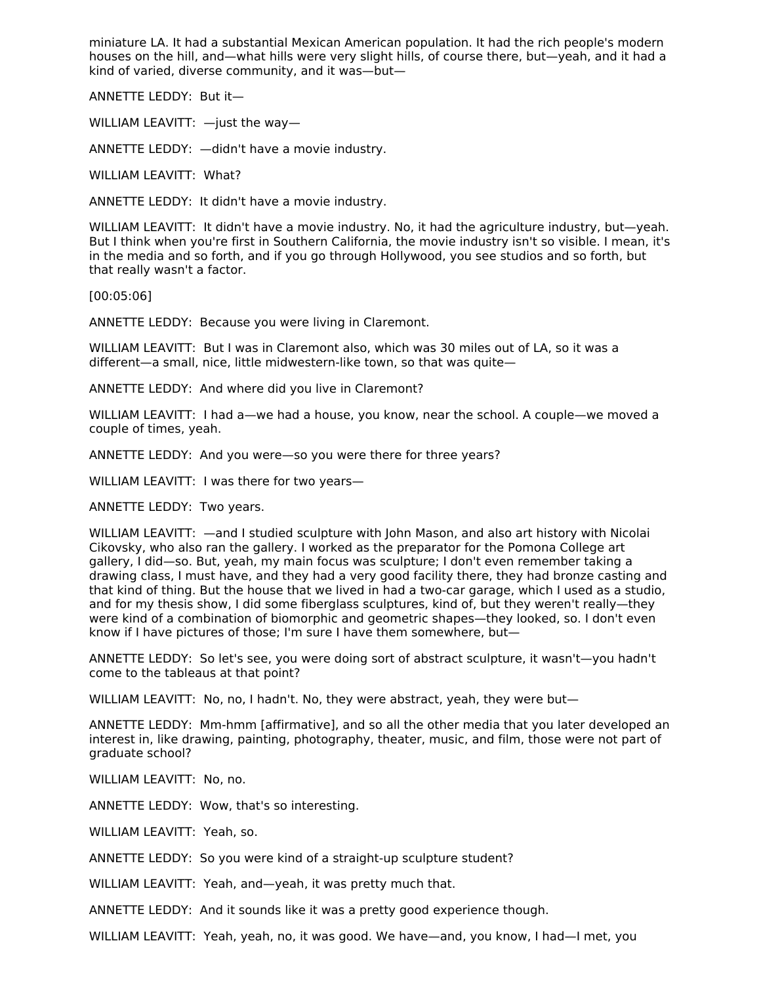miniature LA. It had a substantial Mexican American population. It had the rich people's modern houses on the hill, and—what hills were very slight hills, of course there, but—yeah, and it had a kind of varied, diverse community, and it was—but—

ANNETTE LEDDY: But it—

WILLIAM LEAVITT: —just the way—

ANNETTE LEDDY: —didn't have a movie industry.

WILLIAM LEAVITT: What?

ANNETTE LEDDY: It didn't have a movie industry.

WILLIAM LEAVITT: It didn't have a movie industry. No, it had the agriculture industry, but—yeah. But I think when you're first in Southern California, the movie industry isn't so visible. I mean, it's in the media and so forth, and if you go through Hollywood, you see studios and so forth, but that really wasn't a factor.

[00:05:06]

ANNETTE LEDDY: Because you were living in Claremont.

WILLIAM LEAVITT: But I was in Claremont also, which was 30 miles out of LA, so it was a different—a small, nice, little midwestern-like town, so that was quite—

ANNETTE LEDDY: And where did you live in Claremont?

WILLIAM LEAVITT: I had a—we had a house, you know, near the school. A couple—we moved a couple of times, yeah.

ANNETTE LEDDY: And you were—so you were there for three years?

WILLIAM LEAVITT: I was there for two years—

ANNETTE LEDDY: Two years.

WILLIAM LEAVITT: —and I studied sculpture with John Mason, and also art history with Nicolai Cikovsky, who also ran the gallery. I worked as the preparator for the Pomona College art gallery, I did—so. But, yeah, my main focus was sculpture; I don't even remember taking a drawing class, I must have, and they had a very good facility there, they had bronze casting and that kind of thing. But the house that we lived in had a two-car garage, which I used as a studio, and for my thesis show, I did some fiberglass sculptures, kind of, but they weren't really—they were kind of a combination of biomorphic and geometric shapes—they looked, so. I don't even know if I have pictures of those; I'm sure I have them somewhere, but—

ANNETTE LEDDY: So let's see, you were doing sort of abstract sculpture, it wasn't—you hadn't come to the tableaus at that point?

WILLIAM LEAVITT: No, no, I hadn't. No, they were abstract, yeah, they were but—

ANNETTE LEDDY: Mm-hmm [affirmative], and so all the other media that you later developed an interest in, like drawing, painting, photography, theater, music, and film, those were not part of graduate school?

WILLIAM LEAVITT: No, no.

ANNETTE LEDDY: Wow, that's so interesting.

WILLIAM LEAVITT: Yeah, so.

ANNETTE LEDDY: So you were kind of a straight-up sculpture student?

WILLIAM LEAVITT: Yeah, and—yeah, it was pretty much that.

ANNETTE LEDDY: And it sounds like it was a pretty good experience though.

WILLIAM LEAVITT: Yeah, yeah, no, it was good. We have—and, you know, I had—I met, you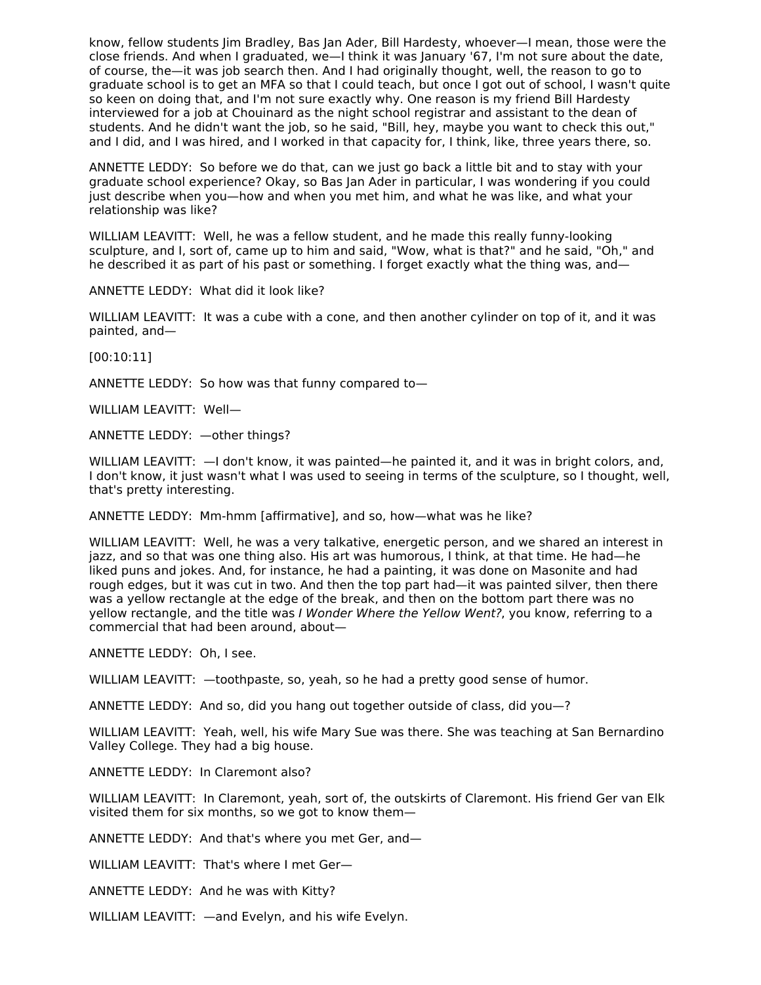know, fellow students Jim Bradley, Bas Jan Ader, Bill Hardesty, whoever—I mean, those were the close friends. And when I graduated, we—I think it was January '67, I'm not sure about the date, of course, the—it was job search then. And I had originally thought, well, the reason to go to graduate school is to get an MFA so that I could teach, but once I got out of school, I wasn't quite so keen on doing that, and I'm not sure exactly why. One reason is my friend Bill Hardesty interviewed for a job at Chouinard as the night school registrar and assistant to the dean of students. And he didn't want the job, so he said, "Bill, hey, maybe you want to check this out," and I did, and I was hired, and I worked in that capacity for, I think, like, three years there, so.

ANNETTE LEDDY: So before we do that, can we just go back a little bit and to stay with your graduate school experience? Okay, so Bas Jan Ader in particular, I was wondering if you could just describe when you—how and when you met him, and what he was like, and what your relationship was like?

WILLIAM LEAVITT: Well, he was a fellow student, and he made this really funny-looking sculpture, and I, sort of, came up to him and said, "Wow, what is that?" and he said, "Oh," and he described it as part of his past or something. I forget exactly what the thing was, and—

ANNETTE LEDDY: What did it look like?

WILLIAM LEAVITT: It was a cube with a cone, and then another cylinder on top of it, and it was painted, and—

[00:10:11]

ANNETTE LEDDY: So how was that funny compared to—

WILLIAM LEAVITT: Well—

ANNETTE LEDDY: —other things?

WILLIAM LEAVITT: —I don't know, it was painted—he painted it, and it was in bright colors, and, I don't know, it just wasn't what I was used to seeing in terms of the sculpture, so I thought, well, that's pretty interesting.

ANNETTE LEDDY: Mm-hmm [affirmative], and so, how—what was he like?

WILLIAM LEAVITT: Well, he was a very talkative, energetic person, and we shared an interest in jazz, and so that was one thing also. His art was humorous, I think, at that time. He had—he liked puns and jokes. And, for instance, he had a painting, it was done on Masonite and had rough edges, but it was cut in two. And then the top part had—it was painted silver, then there was a yellow rectangle at the edge of the break, and then on the bottom part there was no yellow rectangle, and the title was I Wonder Where the Yellow Went?, you know, referring to a commercial that had been around, about—

ANNETTE LEDDY: Oh, I see.

WILLIAM LEAVITT: —toothpaste, so, yeah, so he had a pretty good sense of humor.

ANNETTE LEDDY: And so, did you hang out together outside of class, did you—?

WILLIAM LEAVITT: Yeah, well, his wife Mary Sue was there. She was teaching at San Bernardino Valley College. They had a big house.

ANNETTE LEDDY: In Claremont also?

WILLIAM LEAVITT: In Claremont, yeah, sort of, the outskirts of Claremont. His friend Ger van Elk visited them for six months, so we got to know them—

ANNETTE LEDDY: And that's where you met Ger, and—

WILLIAM LEAVITT: That's where I met Ger—

ANNETTE LEDDY: And he was with Kitty?

WILLIAM LEAVITT: —and Evelyn, and his wife Evelyn.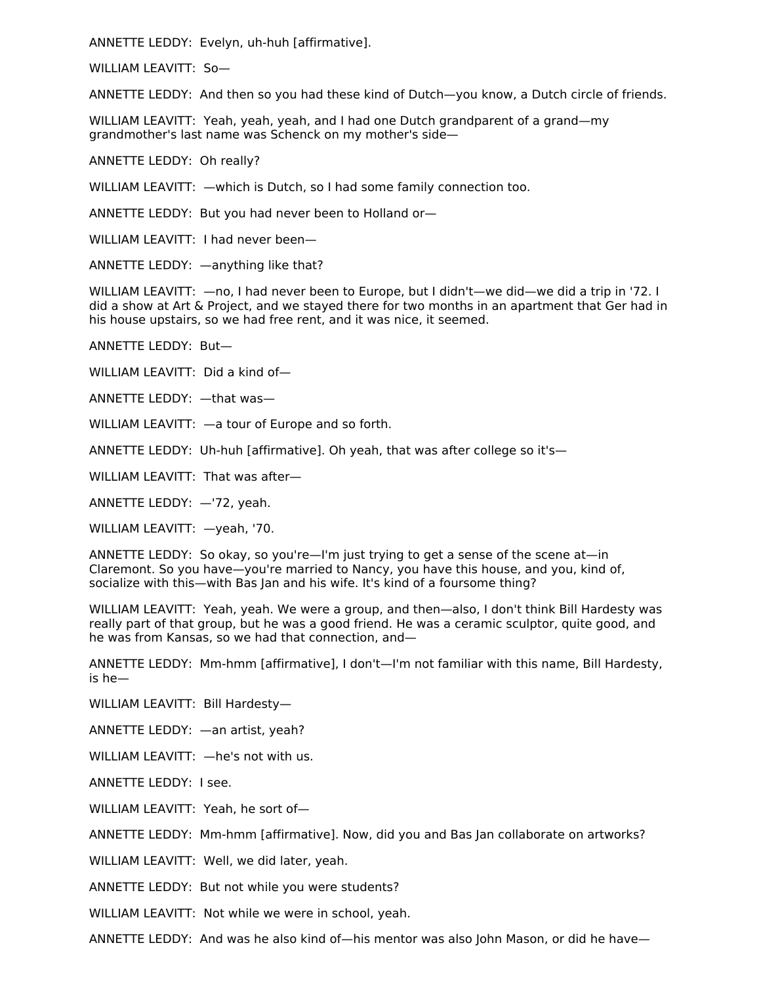ANNETTE LEDDY: Evelyn, uh-huh [affirmative].

WILLIAM LEAVITT: So—

ANNETTE LEDDY: And then so you had these kind of Dutch—you know, a Dutch circle of friends.

WILLIAM LEAVITT: Yeah, yeah, yeah, and I had one Dutch grandparent of a grand—my grandmother's last name was Schenck on my mother's side—

ANNETTE LEDDY: Oh really?

WILLIAM LEAVITT: —which is Dutch, so I had some family connection too.

ANNETTE LEDDY: But you had never been to Holland or—

WILLIAM LEAVITT: I had never been—

ANNETTE LEDDY: —anything like that?

WILLIAM LEAVITT:  $-$ no, I had never been to Europe, but I didn't—we did—we did a trip in '72. I did a show at Art & Project, and we stayed there for two months in an apartment that Ger had in his house upstairs, so we had free rent, and it was nice, it seemed.

ANNETTE LEDDY: But—

WILLIAM LEAVITT: Did a kind of—

ANNETTE LEDDY: —that was—

WILLIAM LEAVITT: —a tour of Europe and so forth.

ANNETTE LEDDY: Uh-huh [affirmative]. Oh yeah, that was after college so it's—

WILLIAM LEAVITT: That was after—

ANNETTE LEDDY: —'72, yeah.

WILLIAM LEAVITT: —yeah, '70.

ANNETTE LEDDY: So okay, so you're—I'm just trying to get a sense of the scene at—in Claremont. So you have—you're married to Nancy, you have this house, and you, kind of, socialize with this—with Bas Jan and his wife. It's kind of a foursome thing?

WILLIAM LEAVITT: Yeah, yeah. We were a group, and then—also, I don't think Bill Hardesty was really part of that group, but he was a good friend. He was a ceramic sculptor, quite good, and he was from Kansas, so we had that connection, and—

ANNETTE LEDDY: Mm-hmm [affirmative], I don't—I'm not familiar with this name, Bill Hardesty, is he—

WILLIAM LEAVITT: Bill Hardesty—

ANNETTE LEDDY: —an artist, yeah?

WILLIAM LEAVITT: —he's not with us.

ANNETTE LEDDY: I see.

WILLIAM LEAVITT: Yeah, he sort of—

ANNETTE LEDDY: Mm-hmm [affirmative]. Now, did you and Bas Jan collaborate on artworks?

WILLIAM LEAVITT: Well, we did later, yeah.

ANNETTE LEDDY: But not while you were students?

WILLIAM LEAVITT: Not while we were in school, yeah.

ANNETTE LEDDY: And was he also kind of—his mentor was also John Mason, or did he have—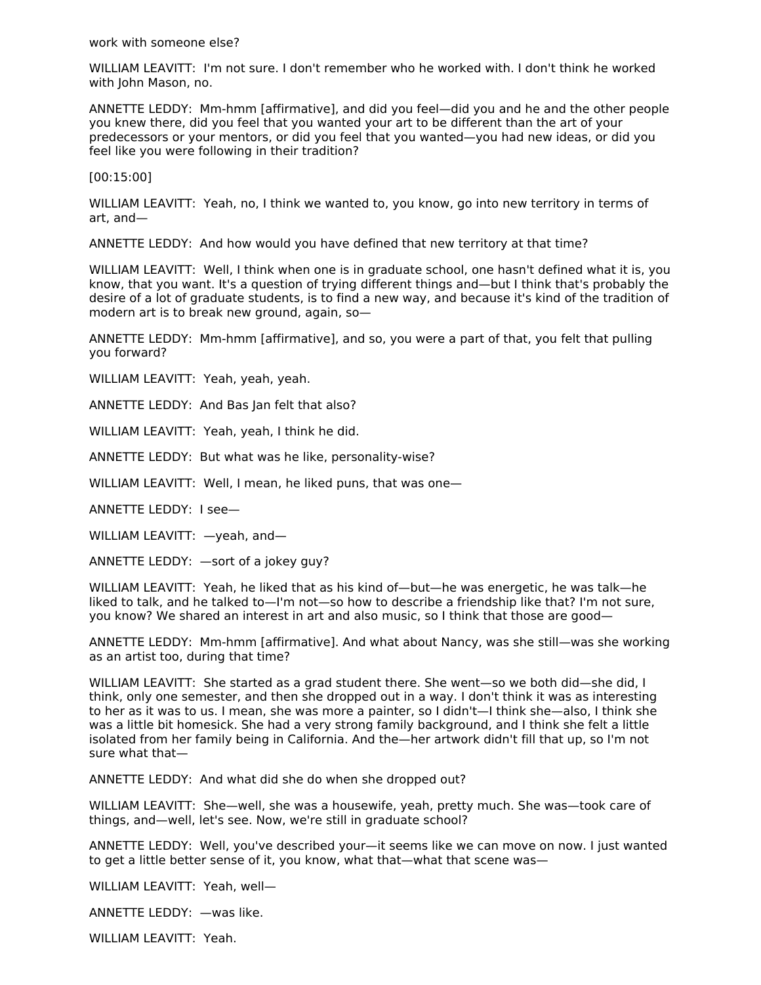work with someone else?

WILLIAM LEAVITT: I'm not sure. I don't remember who he worked with. I don't think he worked with John Mason, no.

ANNETTE LEDDY: Mm-hmm [affirmative], and did you feel—did you and he and the other people you knew there, did you feel that you wanted your art to be different than the art of your predecessors or your mentors, or did you feel that you wanted—you had new ideas, or did you feel like you were following in their tradition?

[00:15:00]

WILLIAM LEAVITT: Yeah, no, I think we wanted to, you know, go into new territory in terms of art, and—

ANNETTE LEDDY: And how would you have defined that new territory at that time?

WILLIAM LEAVITT: Well, I think when one is in graduate school, one hasn't defined what it is, you know, that you want. It's a question of trying different things and—but I think that's probably the desire of a lot of graduate students, is to find a new way, and because it's kind of the tradition of modern art is to break new ground, again, so—

ANNETTE LEDDY: Mm-hmm [affirmative], and so, you were a part of that, you felt that pulling you forward?

WILLIAM LEAVITT: Yeah, yeah, yeah.

ANNETTE LEDDY: And Bas Jan felt that also?

WILLIAM LEAVITT: Yeah, yeah, I think he did.

ANNETTE LEDDY: But what was he like, personality-wise?

WILLIAM LEAVITT: Well, I mean, he liked puns, that was one—

ANNETTE LEDDY: I see—

WILLIAM LEAVITT: —yeah, and—

ANNETTE LEDDY: —sort of a jokey guy?

WILLIAM LEAVITT: Yeah, he liked that as his kind of—but—he was energetic, he was talk—he liked to talk, and he talked to—I'm not—so how to describe a friendship like that? I'm not sure, you know? We shared an interest in art and also music, so I think that those are good—

ANNETTE LEDDY: Mm-hmm [affirmative]. And what about Nancy, was she still—was she working as an artist too, during that time?

WILLIAM LEAVITT: She started as a grad student there. She went—so we both did—she did, I think, only one semester, and then she dropped out in a way. I don't think it was as interesting to her as it was to us. I mean, she was more a painter, so I didn't—I think she—also, I think she was a little bit homesick. She had a very strong family background, and I think she felt a little isolated from her family being in California. And the—her artwork didn't fill that up, so I'm not sure what that—

ANNETTE LEDDY: And what did she do when she dropped out?

WILLIAM LEAVITT: She—well, she was a housewife, yeah, pretty much. She was—took care of things, and—well, let's see. Now, we're still in graduate school?

ANNETTE LEDDY: Well, you've described your—it seems like we can move on now. I just wanted to get a little better sense of it, you know, what that—what that scene was—

WILLIAM LEAVITT: Yeah, well—

ANNETTE LEDDY: —was like.

WILLIAM LEAVITT: Yeah.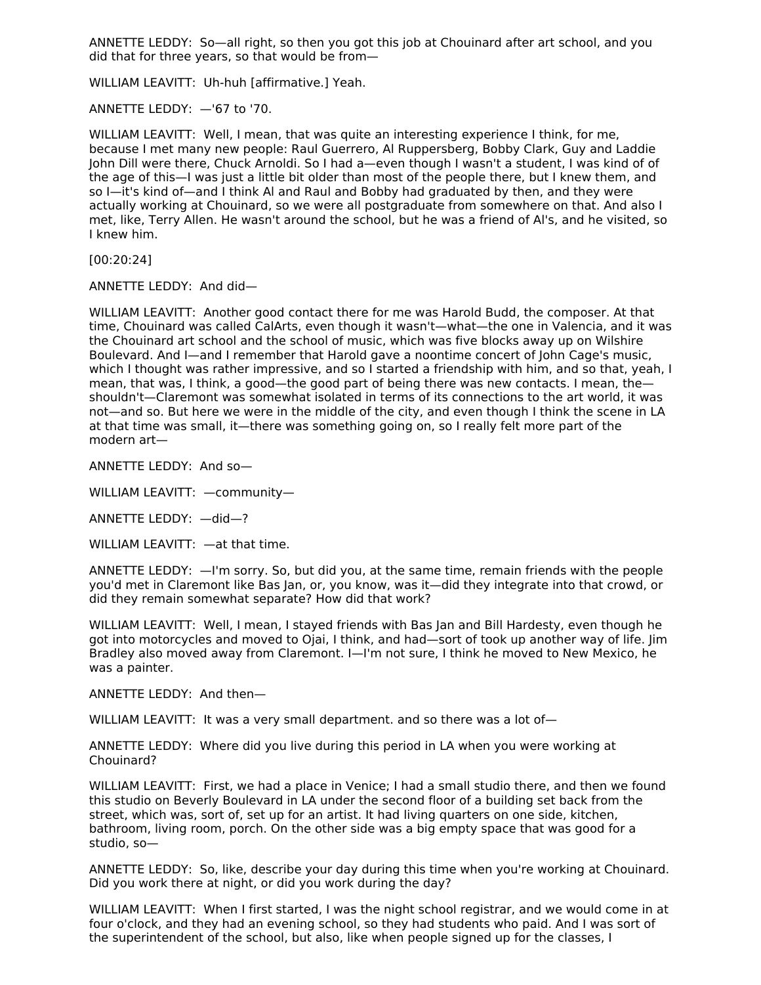ANNETTE LEDDY: So—all right, so then you got this job at Chouinard after art school, and you did that for three years, so that would be from—

WILLIAM LEAVITT: Uh-huh [affirmative.] Yeah.

ANNETTE LEDDY: —'67 to '70.

WILLIAM LEAVITT: Well, I mean, that was quite an interesting experience I think, for me, because I met many new people: Raul Guerrero, Al Ruppersberg, Bobby Clark, Guy and Laddie John Dill were there, Chuck Arnoldi. So I had a—even though I wasn't a student, I was kind of of the age of this—I was just a little bit older than most of the people there, but I knew them, and so I—it's kind of—and I think Al and Raul and Bobby had graduated by then, and they were actually working at Chouinard, so we were all postgraduate from somewhere on that. And also I met, like, Terry Allen. He wasn't around the school, but he was a friend of Al's, and he visited, so I knew him.

[00:20:24]

ANNETTE LEDDY: And did—

WILLIAM LEAVITT: Another good contact there for me was Harold Budd, the composer. At that time, Chouinard was called CalArts, even though it wasn't—what—the one in Valencia, and it was the Chouinard art school and the school of music, which was five blocks away up on Wilshire Boulevard. And I—and I remember that Harold gave a noontime concert of John Cage's music, which I thought was rather impressive, and so I started a friendship with him, and so that, yeah, I mean, that was, I think, a good—the good part of being there was new contacts. I mean, the shouldn't—Claremont was somewhat isolated in terms of its connections to the art world, it was not—and so. But here we were in the middle of the city, and even though I think the scene in LA at that time was small, it—there was something going on, so I really felt more part of the modern art—

ANNETTE LEDDY: And so—

WILLIAM LEAVITT: —community—

ANNETTE LEDDY: —did—?

WILLIAM LEAVITT: —at that time.

ANNETTE LEDDY: —I'm sorry. So, but did you, at the same time, remain friends with the people you'd met in Claremont like Bas Jan, or, you know, was it—did they integrate into that crowd, or did they remain somewhat separate? How did that work?

WILLIAM LEAVITT: Well, I mean, I stayed friends with Bas Jan and Bill Hardesty, even though he got into motorcycles and moved to Ojai, I think, and had—sort of took up another way of life. Jim Bradley also moved away from Claremont. I—I'm not sure, I think he moved to New Mexico, he was a painter.

ANNETTE LEDDY: And then—

WILLIAM LEAVITT: It was a very small department. and so there was a lot of—

ANNETTE LEDDY: Where did you live during this period in LA when you were working at Chouinard?

WILLIAM LEAVITT: First, we had a place in Venice; I had a small studio there, and then we found this studio on Beverly Boulevard in LA under the second floor of a building set back from the street, which was, sort of, set up for an artist. It had living quarters on one side, kitchen, bathroom, living room, porch. On the other side was a big empty space that was good for a studio, so—

ANNETTE LEDDY: So, like, describe your day during this time when you're working at Chouinard. Did you work there at night, or did you work during the day?

WILLIAM LEAVITT: When I first started, I was the night school registrar, and we would come in at four o'clock, and they had an evening school, so they had students who paid. And I was sort of the superintendent of the school, but also, like when people signed up for the classes, I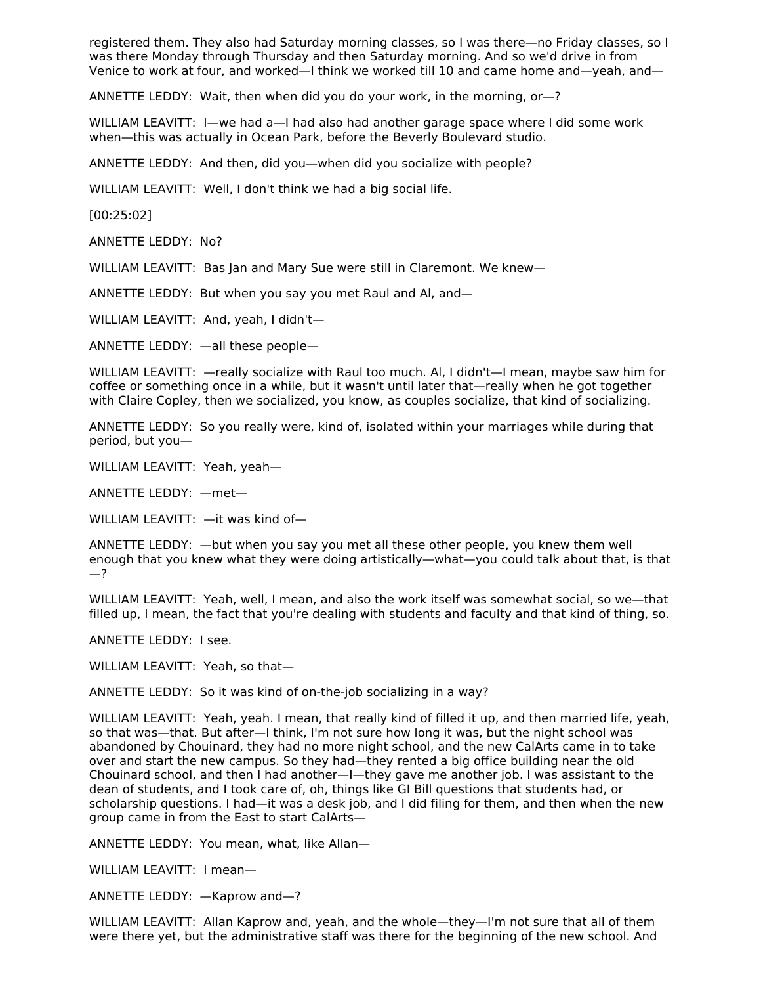registered them. They also had Saturday morning classes, so I was there—no Friday classes, so I was there Monday through Thursday and then Saturday morning. And so we'd drive in from Venice to work at four, and worked—I think we worked till 10 and came home and—yeah, and—

ANNETTE LEDDY: Wait, then when did you do your work, in the morning, or—?

WILLIAM LEAVITT: I—we had a—I had also had another garage space where I did some work when—this was actually in Ocean Park, before the Beverly Boulevard studio.

ANNETTE LEDDY: And then, did you—when did you socialize with people?

WILLIAM LEAVITT: Well, I don't think we had a big social life.

[00:25:02]

ANNETTE LEDDY: No?

WILLIAM LEAVITT: Bas Jan and Mary Sue were still in Claremont. We knew—

ANNETTE LEDDY: But when you say you met Raul and Al, and—

WILLIAM LEAVITT: And, yeah, I didn't—

ANNETTE LEDDY: —all these people—

WILLIAM LEAVITT: —really socialize with Raul too much. Al, I didn't—I mean, maybe saw him for coffee or something once in a while, but it wasn't until later that—really when he got together with Claire Copley, then we socialized, you know, as couples socialize, that kind of socializing.

ANNETTE LEDDY: So you really were, kind of, isolated within your marriages while during that period, but you—

WILLIAM LEAVITT: Yeah, yeah—

ANNETTE LEDDY: —met—

WILLIAM LEAVITT: —it was kind of—

ANNETTE LEDDY: —but when you say you met all these other people, you knew them well enough that you knew what they were doing artistically—what—you could talk about that, is that —?

WILLIAM LEAVITT: Yeah, well, I mean, and also the work itself was somewhat social, so we—that filled up, I mean, the fact that you're dealing with students and faculty and that kind of thing, so.

ANNETTE LEDDY: I see.

WILLIAM LEAVITT: Yeah, so that—

ANNETTE LEDDY: So it was kind of on-the-job socializing in a way?

WILLIAM LEAVITT: Yeah, yeah. I mean, that really kind of filled it up, and then married life, yeah, so that was—that. But after—I think, I'm not sure how long it was, but the night school was abandoned by Chouinard, they had no more night school, and the new CalArts came in to take over and start the new campus. So they had—they rented a big office building near the old Chouinard school, and then I had another—I—they gave me another job. I was assistant to the dean of students, and I took care of, oh, things like GI Bill questions that students had, or scholarship questions. I had—it was a desk job, and I did filing for them, and then when the new group came in from the East to start CalArts—

ANNETTE LEDDY: You mean, what, like Allan—

WILLIAM LEAVITT: I mean—

ANNETTE LEDDY: —Kaprow and—?

WILLIAM LEAVITT: Allan Kaprow and, yeah, and the whole—they—I'm not sure that all of them were there yet, but the administrative staff was there for the beginning of the new school. And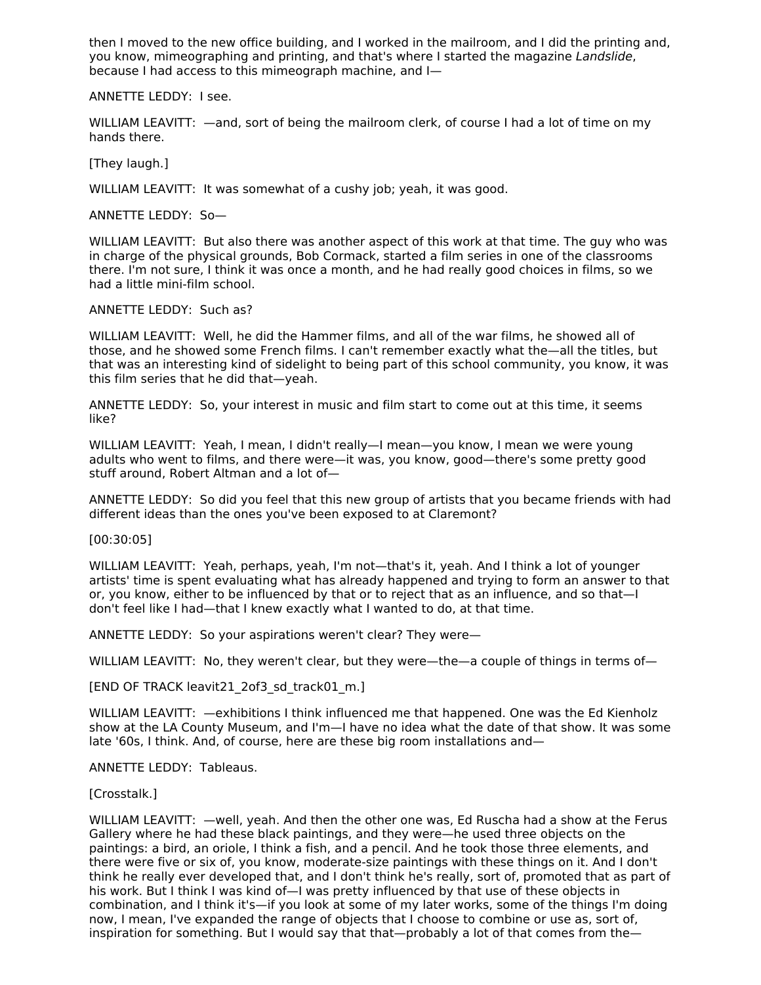then I moved to the new office building, and I worked in the mailroom, and I did the printing and, you know, mimeographing and printing, and that's where I started the magazine Landslide, because I had access to this mimeograph machine, and I—

ANNETTE LEDDY: I see.

WILLIAM LEAVITT:  $-$ and, sort of being the mailroom clerk, of course I had a lot of time on my hands there.

[They laugh.]

WILLIAM LEAVITT: It was somewhat of a cushy job; yeah, it was good.

ANNETTE LEDDY: So—

WILLIAM LEAVITT: But also there was another aspect of this work at that time. The guy who was in charge of the physical grounds, Bob Cormack, started a film series in one of the classrooms there. I'm not sure, I think it was once a month, and he had really good choices in films, so we had a little mini-film school.

ANNETTE LEDDY: Such as?

WILLIAM LEAVITT: Well, he did the Hammer films, and all of the war films, he showed all of those, and he showed some French films. I can't remember exactly what the—all the titles, but that was an interesting kind of sidelight to being part of this school community, you know, it was this film series that he did that—yeah.

ANNETTE LEDDY: So, your interest in music and film start to come out at this time, it seems like?

WILLIAM LEAVITT: Yeah, I mean, I didn't really—I mean—you know, I mean we were young adults who went to films, and there were—it was, you know, good—there's some pretty good stuff around, Robert Altman and a lot of—

ANNETTE LEDDY: So did you feel that this new group of artists that you became friends with had different ideas than the ones you've been exposed to at Claremont?

[00:30:05]

WILLIAM LEAVITT: Yeah, perhaps, yeah, I'm not—that's it, yeah. And I think a lot of younger artists' time is spent evaluating what has already happened and trying to form an answer to that or, you know, either to be influenced by that or to reject that as an influence, and so that—I don't feel like I had—that I knew exactly what I wanted to do, at that time.

ANNETTE LEDDY: So your aspirations weren't clear? They were—

WILLIAM LEAVITT: No, they weren't clear, but they were—the—a couple of things in terms of—

[END OF TRACK leavit21\_2of3\_sd\_track01\_m.]

WILLIAM LEAVITT: —exhibitions I think influenced me that happened. One was the Ed Kienholz show at the LA County Museum, and I'm—I have no idea what the date of that show. It was some late '60s, I think. And, of course, here are these big room installations and—

ANNETTE LEDDY: Tableaus.

[Crosstalk.]

WILLIAM LEAVITT: —well, yeah. And then the other one was, Ed Ruscha had a show at the Ferus Gallery where he had these black paintings, and they were—he used three objects on the paintings: a bird, an oriole, I think a fish, and a pencil. And he took those three elements, and there were five or six of, you know, moderate-size paintings with these things on it. And I don't think he really ever developed that, and I don't think he's really, sort of, promoted that as part of his work. But I think I was kind of—I was pretty influenced by that use of these objects in combination, and I think it's—if you look at some of my later works, some of the things I'm doing now, I mean, I've expanded the range of objects that I choose to combine or use as, sort of, inspiration for something. But I would say that that—probably a lot of that comes from the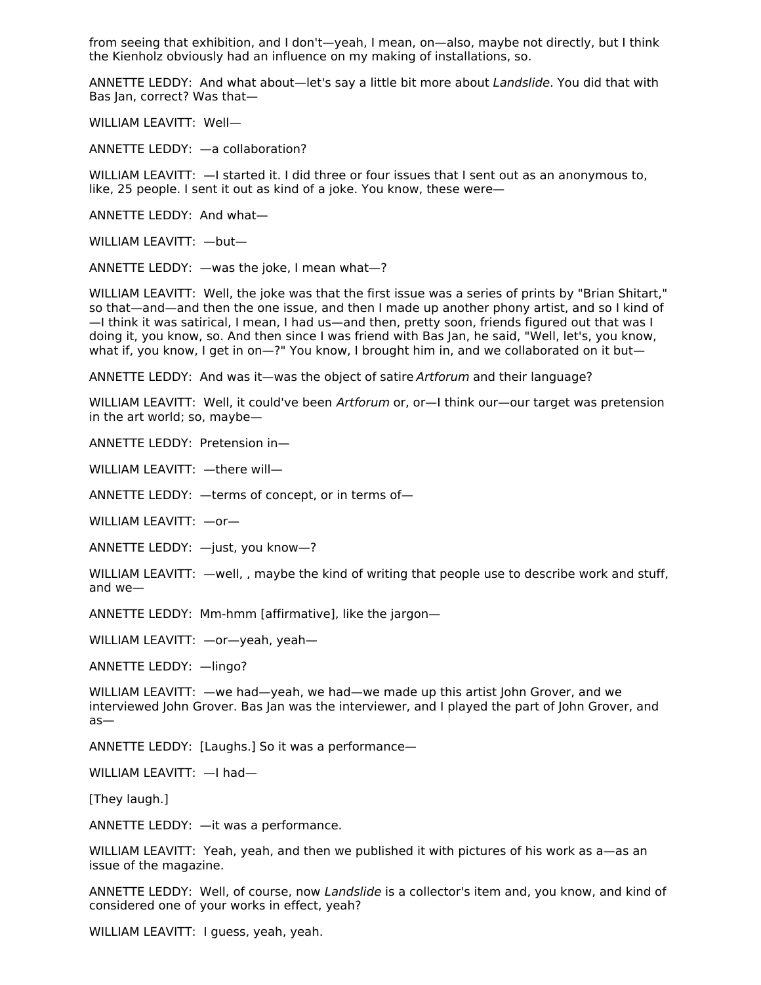from seeing that exhibition, and I don't—yeah, I mean, on—also, maybe not directly, but I think the Kienholz obviously had an influence on my making of installations, so.

ANNETTE LEDDY: And what about—let's say a little bit more about Landslide. You did that with Bas Jan, correct? Was that—

WILLIAM LEAVITT: Well—

ANNETTE LEDDY: —a collaboration?

WILLIAM LEAVITT: - I started it. I did three or four issues that I sent out as an anonymous to, like, 25 people. I sent it out as kind of a joke. You know, these were—

ANNETTE LEDDY: And what—

WILLIAM LEAVITT: —but—

ANNETTE LEDDY: —was the joke, I mean what—?

WILLIAM LEAVITT: Well, the joke was that the first issue was a series of prints by "Brian Shitart," so that—and—and then the one issue, and then I made up another phony artist, and so I kind of —I think it was satirical, I mean, I had us—and then, pretty soon, friends figured out that was I doing it, you know, so. And then since I was friend with Bas Jan, he said, "Well, let's, you know, what if, you know, I get in on—?" You know, I brought him in, and we collaborated on it but—

ANNETTE LEDDY: And was it—was the object of satire Artforum and their language?

WILLIAM LEAVITT: Well, it could've been Artforum or, or-I think our-our target was pretension in the art world; so, maybe—

ANNETTE LEDDY: Pretension in—

WILLIAM LEAVITT: —there will—

ANNETTE LEDDY: —terms of concept, or in terms of—

WILLIAM LEAVITT: —or—

ANNETTE LEDDY: —just, you know—?

WILLIAM LEAVITT: —well, , maybe the kind of writing that people use to describe work and stuff, and we—

ANNETTE LEDDY: Mm-hmm [affirmative], like the jargon—

WILLIAM LEAVITT: —or—yeah, yeah—

ANNETTE LEDDY: —lingo?

WILLIAM LEAVITT: —we had—yeah, we had—we made up this artist John Grover, and we interviewed John Grover. Bas Jan was the interviewer, and I played the part of John Grover, and as—

ANNETTE LEDDY: [Laughs.] So it was a performance—

WILLIAM LEAVITT: —I had—

[They laugh.]

ANNETTE LEDDY: —it was a performance.

WILLIAM LEAVITT: Yeah, yeah, and then we published it with pictures of his work as a—as an issue of the magazine.

ANNETTE LEDDY: Well, of course, now Landslide is a collector's item and, you know, and kind of considered one of your works in effect, yeah?

WILLIAM LEAVITT: I guess, yeah, yeah.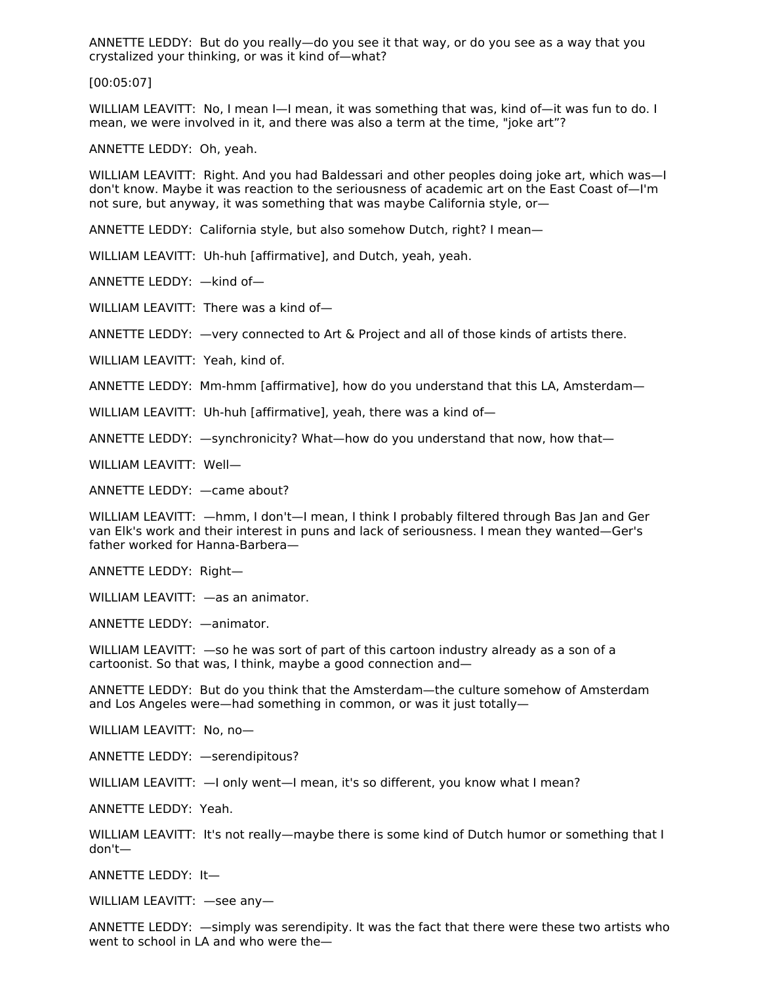ANNETTE LEDDY: But do you really—do you see it that way, or do you see as a way that you crystalized your thinking, or was it kind of—what?

[00:05:07]

WILLIAM LEAVITT: No, I mean I—I mean, it was something that was, kind of—it was fun to do. I mean, we were involved in it, and there was also a term at the time, "joke art"?

ANNETTE LEDDY: Oh, yeah.

WILLIAM LEAVITT: Right. And you had Baldessari and other peoples doing joke art, which was—I don't know. Maybe it was reaction to the seriousness of academic art on the East Coast of—I'm not sure, but anyway, it was something that was maybe California style, or—

ANNETTE LEDDY: California style, but also somehow Dutch, right? I mean—

WILLIAM LEAVITT: Uh-huh [affirmative], and Dutch, yeah, yeah.

ANNETTE LEDDY: —kind of—

WILLIAM LEAVITT: There was a kind of—

ANNETTE LEDDY: —very connected to Art & Project and all of those kinds of artists there.

WILLIAM LEAVITT: Yeah, kind of.

ANNETTE LEDDY: Mm-hmm [affirmative], how do you understand that this LA, Amsterdam—

WILLIAM LEAVITT: Uh-huh [affirmative], yeah, there was a kind of-

ANNETTE LEDDY: —synchronicity? What—how do you understand that now, how that—

WILLIAM LEAVITT: Well—

ANNETTE LEDDY: —came about?

WILLIAM LEAVITT: —hmm, I don't—I mean, I think I probably filtered through Bas Jan and Ger van Elk's work and their interest in puns and lack of seriousness. I mean they wanted—Ger's father worked for Hanna-Barbera—

ANNETTE LEDDY: Right—

WILLIAM LEAVITT: —as an animator.

ANNETTE LEDDY: —animator.

WILLIAM LEAVITT:  $-$ so he was sort of part of this cartoon industry already as a son of a cartoonist. So that was, I think, maybe a good connection and—

ANNETTE LEDDY: But do you think that the Amsterdam—the culture somehow of Amsterdam and Los Angeles were—had something in common, or was it just totally—

WILLIAM LEAVITT: No, no—

ANNETTE LEDDY: —serendipitous?

WILLIAM LEAVITT:  $-$ I only went-I mean, it's so different, you know what I mean?

ANNETTE LEDDY: Yeah.

WILLIAM LEAVITT: It's not really—maybe there is some kind of Dutch humor or something that I don't—

ANNETTE LEDDY: It—

WILLIAM LEAVITT: —see any—

ANNETTE LEDDY: —simply was serendipity. It was the fact that there were these two artists who went to school in LA and who were the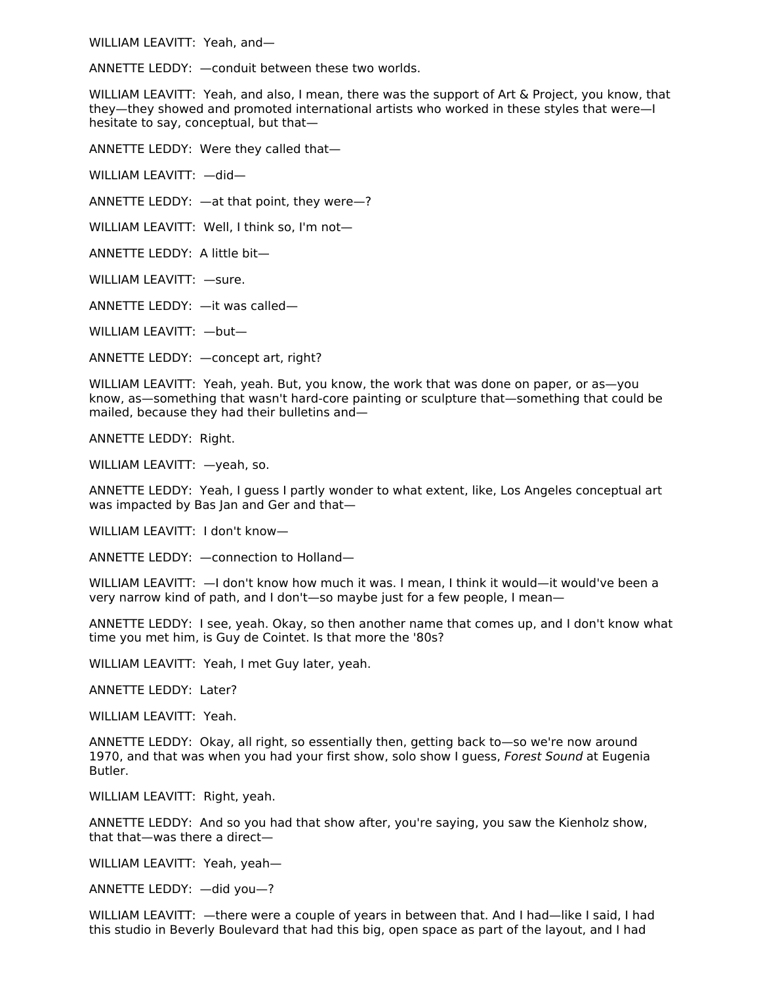WILLIAM LEAVITT: Yeah, and—

ANNETTE LEDDY: —conduit between these two worlds.

WILLIAM LEAVITT: Yeah, and also, I mean, there was the support of Art & Project, you know, that they—they showed and promoted international artists who worked in these styles that were—I hesitate to say, conceptual, but that—

ANNETTE LEDDY: Were they called that—

WILLIAM LEAVITT: —did—

ANNETTE LEDDY: —at that point, they were—?

WILLIAM LEAVITT: Well, I think so, I'm not—

ANNETTE LEDDY: A little bit—

WILLIAM LEAVITT: —sure.

ANNETTE LEDDY: —it was called—

WILLIAM LEAVITT: —but—

ANNETTE LEDDY: —concept art, right?

WILLIAM LEAVITT: Yeah, yeah. But, you know, the work that was done on paper, or as—you know, as—something that wasn't hard-core painting or sculpture that—something that could be mailed, because they had their bulletins and—

ANNETTE LEDDY: Right.

WILLIAM LEAVITT: —yeah, so.

ANNETTE LEDDY: Yeah, I guess I partly wonder to what extent, like, Los Angeles conceptual art was impacted by Bas Jan and Ger and that—

WILLIAM LEAVITT: I don't know—

ANNETTE LEDDY: —connection to Holland—

WILLIAM LEAVITT: —I don't know how much it was. I mean, I think it would—it would've been a very narrow kind of path, and I don't—so maybe just for a few people, I mean—

ANNETTE LEDDY: I see, yeah. Okay, so then another name that comes up, and I don't know what time you met him, is Guy de Cointet. Is that more the '80s?

WILLIAM LEAVITT: Yeah, I met Guy later, yeah.

ANNETTE LEDDY: Later?

WILLIAM LEAVITT: Yeah.

ANNETTE LEDDY: Okay, all right, so essentially then, getting back to—so we're now around 1970, and that was when you had your first show, solo show I guess, Forest Sound at Eugenia Butler.

WILLIAM LEAVITT: Right, yeah.

ANNETTE LEDDY: And so you had that show after, you're saying, you saw the Kienholz show, that that—was there a direct—

WILLIAM LEAVITT: Yeah, yeah—

ANNETTE LEDDY: —did you—?

WILLIAM LEAVITT: —there were a couple of years in between that. And I had—like I said, I had this studio in Beverly Boulevard that had this big, open space as part of the layout, and I had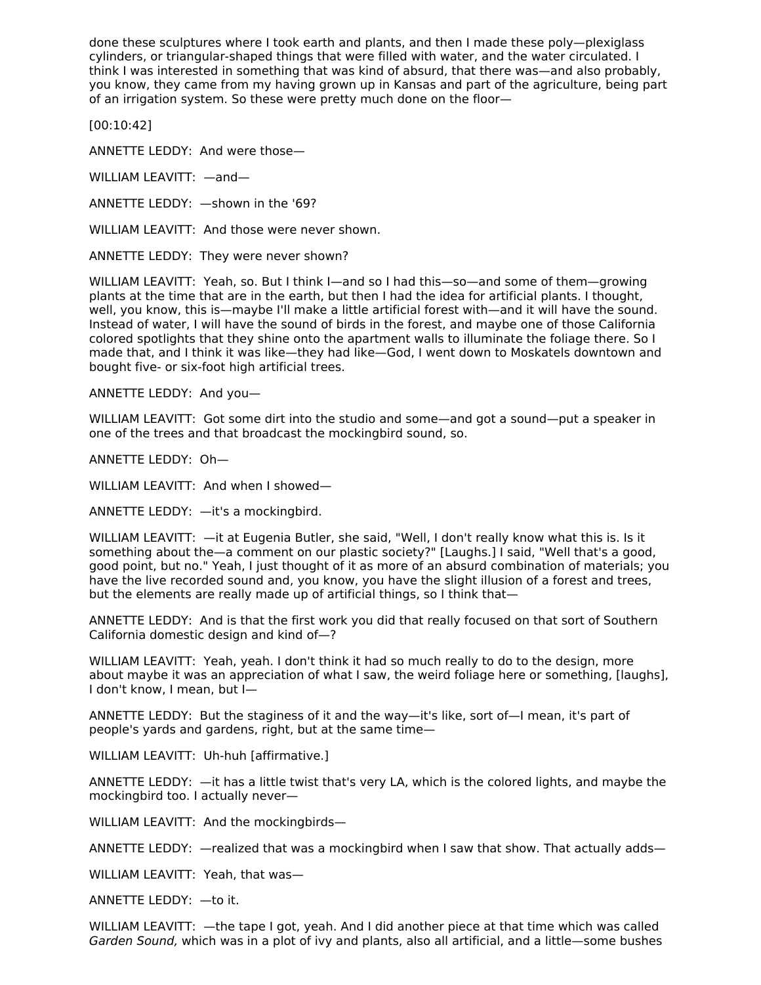done these sculptures where I took earth and plants, and then I made these poly—plexiglass cylinders, or triangular-shaped things that were filled with water, and the water circulated. I think I was interested in something that was kind of absurd, that there was—and also probably, you know, they came from my having grown up in Kansas and part of the agriculture, being part of an irrigation system. So these were pretty much done on the floor—

[00:10:42]

ANNETTE LEDDY: And were those—

WILLIAM LEAVITT: —and—

ANNETTE LEDDY: —shown in the '69?

WILLIAM LEAVITT: And those were never shown.

ANNETTE LEDDY: They were never shown?

WILLIAM LEAVITT: Yeah, so. But I think I—and so I had this—so—and some of them—growing plants at the time that are in the earth, but then I had the idea for artificial plants. I thought, well, you know, this is—maybe I'll make a little artificial forest with—and it will have the sound. Instead of water, I will have the sound of birds in the forest, and maybe one of those California colored spotlights that they shine onto the apartment walls to illuminate the foliage there. So I made that, and I think it was like—they had like—God, I went down to Moskatels downtown and bought five- or six-foot high artificial trees.

ANNETTE LEDDY: And you—

WILLIAM LEAVITT: Got some dirt into the studio and some—and got a sound—put a speaker in one of the trees and that broadcast the mockingbird sound, so.

ANNETTE LEDDY: Oh—

WILLIAM LEAVITT: And when I showed—

ANNETTE LEDDY: —it's a mockingbird.

WILLIAM LEAVITT: —it at Eugenia Butler, she said, "Well, I don't really know what this is. Is it something about the—a comment on our plastic society?" [Laughs.] I said, "Well that's a good, good point, but no." Yeah, I just thought of it as more of an absurd combination of materials; you have the live recorded sound and, you know, you have the slight illusion of a forest and trees, but the elements are really made up of artificial things, so I think that—

ANNETTE LEDDY: And is that the first work you did that really focused on that sort of Southern California domestic design and kind of—?

WILLIAM LEAVITT: Yeah, yeah. I don't think it had so much really to do to the design, more about maybe it was an appreciation of what I saw, the weird foliage here or something, [laughs], I don't know, I mean, but I—

ANNETTE LEDDY: But the staginess of it and the way—it's like, sort of—I mean, it's part of people's yards and gardens, right, but at the same time—

WILLIAM LEAVITT: Uh-huh [affirmative.]

ANNETTE LEDDY: —it has a little twist that's very LA, which is the colored lights, and maybe the mockingbird too. I actually never—

WILLIAM LEAVITT: And the mockingbirds—

ANNETTE LEDDY: —realized that was a mockingbird when I saw that show. That actually adds—

WILLIAM LEAVITT: Yeah, that was—

ANNETTE LEDDY: —to it.

WILLIAM LEAVITT: —the tape I got, yeah. And I did another piece at that time which was called Garden Sound, which was in a plot of ivy and plants, also all artificial, and a little—some bushes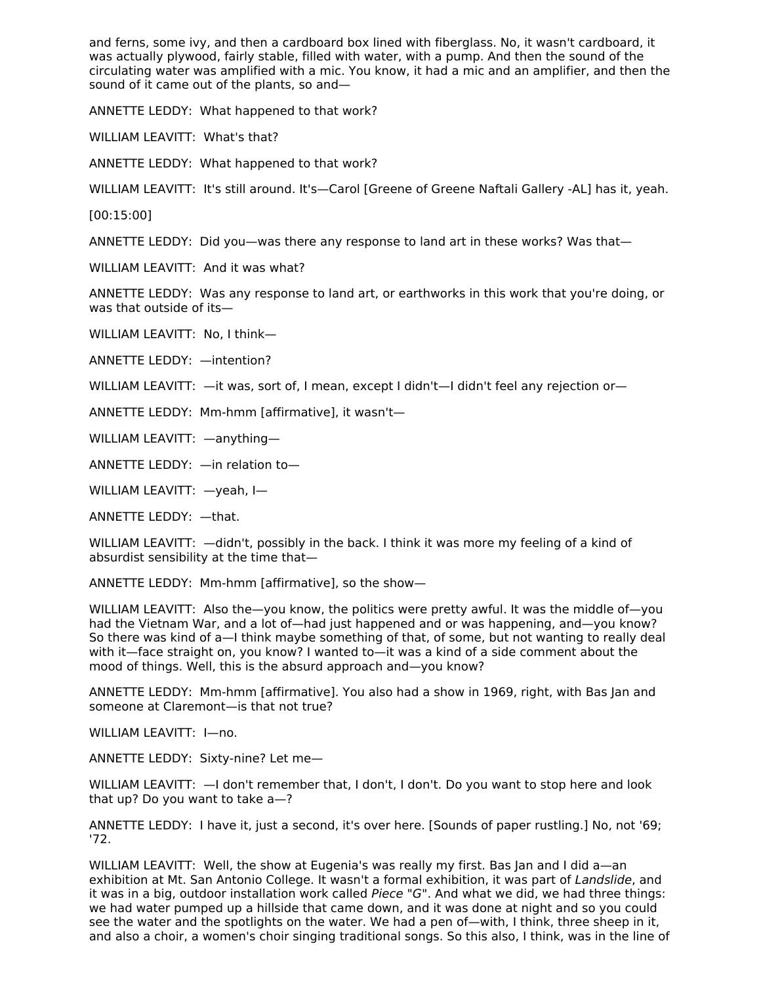and ferns, some ivy, and then a cardboard box lined with fiberglass. No, it wasn't cardboard, it was actually plywood, fairly stable, filled with water, with a pump. And then the sound of the circulating water was amplified with a mic. You know, it had a mic and an amplifier, and then the sound of it came out of the plants, so and—

ANNETTE LEDDY: What happened to that work?

WILLIAM LEAVITT: What's that?

ANNETTE LEDDY: What happened to that work?

WILLIAM LEAVITT: It's still around. It's—Carol [Greene of Greene Naftali Gallery -AL] has it, yeah.

[00:15:00]

ANNETTE LEDDY: Did you—was there any response to land art in these works? Was that—

WILLIAM LEAVITT: And it was what?

ANNETTE LEDDY: Was any response to land art, or earthworks in this work that you're doing, or was that outside of its—

WILLIAM LEAVITT: No, I think—

ANNETTE LEDDY: —intention?

WILLIAM LEAVITT:  $-$ it was, sort of, I mean, except I didn't--I didn't feel any rejection or-

ANNETTE LEDDY: Mm-hmm [affirmative], it wasn't—

WILLIAM LEAVITT: —anything—

ANNETTE LEDDY: —in relation to—

WILLIAM LEAVITT: —yeah, I—

ANNETTE LEDDY: —that.

WILLIAM LEAVITT: —didn't, possibly in the back. I think it was more my feeling of a kind of absurdist sensibility at the time that—

ANNETTE LEDDY: Mm-hmm [affirmative], so the show—

WILLIAM LEAVITT: Also the-you know, the politics were pretty awful. It was the middle of-you had the Vietnam War, and a lot of—had just happened and or was happening, and—you know? So there was kind of a—I think maybe something of that, of some, but not wanting to really deal with it—face straight on, you know? I wanted to—it was a kind of a side comment about the mood of things. Well, this is the absurd approach and—you know?

ANNETTE LEDDY: Mm-hmm [affirmative]. You also had a show in 1969, right, with Bas Jan and someone at Claremont—is that not true?

WILLIAM LEAVITT: I—no.

ANNETTE LEDDY: Sixty-nine? Let me—

WILLIAM LEAVITT: —I don't remember that, I don't, I don't. Do you want to stop here and look that up? Do you want to take a—?

ANNETTE LEDDY: I have it, just a second, it's over here. [Sounds of paper rustling.] No, not '69; '72.

WILLIAM LEAVITT: Well, the show at Eugenia's was really my first. Bas Jan and I did a—an exhibition at Mt. San Antonio College. It wasn't a formal exhibition, it was part of Landslide, and it was in a big, outdoor installation work called Piece "G". And what we did, we had three things: we had water pumped up a hillside that came down, and it was done at night and so you could see the water and the spotlights on the water. We had a pen of—with, I think, three sheep in it, and also a choir, a women's choir singing traditional songs. So this also, I think, was in the line of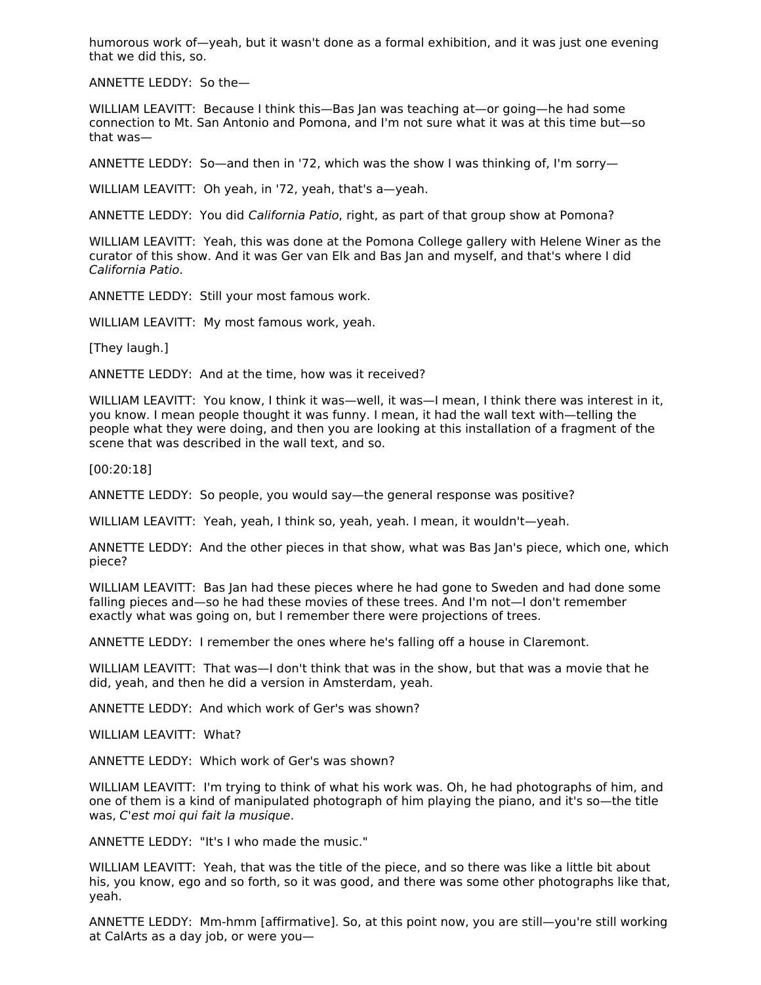humorous work of—yeah, but it wasn't done as a formal exhibition, and it was just one evening that we did this, so.

ANNETTE LEDDY: So the—

WILLIAM LEAVITT: Because I think this—Bas Jan was teaching at—or going—he had some connection to Mt. San Antonio and Pomona, and I'm not sure what it was at this time but—so that was—

ANNETTE LEDDY: So—and then in '72, which was the show I was thinking of, I'm sorry—

WILLIAM LEAVITT: Oh yeah, in '72, yeah, that's a—yeah.

ANNETTE LEDDY: You did California Patio, right, as part of that group show at Pomona?

WILLIAM LEAVITT: Yeah, this was done at the Pomona College gallery with Helene Winer as the curator of this show. And it was Ger van Elk and Bas Jan and myself, and that's where I did California Patio.

ANNETTE LEDDY: Still your most famous work.

WILLIAM LEAVITT: My most famous work, yeah.

[They laugh.]

ANNETTE LEDDY: And at the time, how was it received?

WILLIAM LEAVITT: You know, I think it was—well, it was—I mean, I think there was interest in it, you know. I mean people thought it was funny. I mean, it had the wall text with—telling the people what they were doing, and then you are looking at this installation of a fragment of the scene that was described in the wall text, and so.

[00:20:18]

ANNETTE LEDDY: So people, you would say—the general response was positive?

WILLIAM LEAVITT: Yeah, yeah, I think so, yeah, yeah. I mean, it wouldn't—yeah.

ANNETTE LEDDY: And the other pieces in that show, what was Bas Jan's piece, which one, which piece?

WILLIAM LEAVITT: Bas Jan had these pieces where he had gone to Sweden and had done some falling pieces and—so he had these movies of these trees. And I'm not—I don't remember exactly what was going on, but I remember there were projections of trees.

ANNETTE LEDDY: I remember the ones where he's falling off a house in Claremont.

WILLIAM LEAVITT: That was—I don't think that was in the show, but that was a movie that he did, yeah, and then he did a version in Amsterdam, yeah.

ANNETTE LEDDY: And which work of Ger's was shown?

WILLIAM LEAVITT: What?

ANNETTE LEDDY: Which work of Ger's was shown?

WILLIAM LEAVITT: I'm trying to think of what his work was. Oh, he had photographs of him, and one of them is a kind of manipulated photograph of him playing the piano, and it's so—the title was, C'est moi qui fait la musique.

ANNETTE LEDDY: "It's I who made the music."

WILLIAM LEAVITT: Yeah, that was the title of the piece, and so there was like a little bit about his, you know, ego and so forth, so it was good, and there was some other photographs like that, yeah.

ANNETTE LEDDY: Mm-hmm [affirmative]. So, at this point now, you are still—you're still working at CalArts as a day job, or were you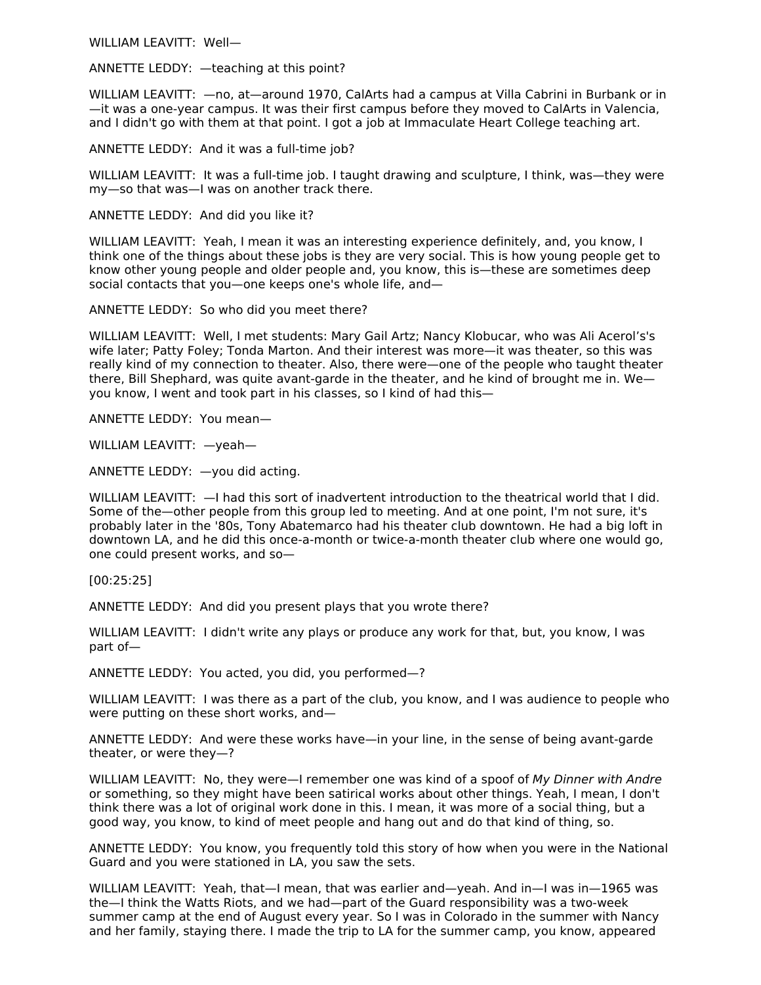WILLIAM LEAVITT: Well—

ANNETTE LEDDY: —teaching at this point?

WILLIAM LEAVITT: —no, at—around 1970, CalArts had a campus at Villa Cabrini in Burbank or in —it was a one-year campus. It was their first campus before they moved to CalArts in Valencia, and I didn't go with them at that point. I got a job at Immaculate Heart College teaching art.

ANNETTE LEDDY: And it was a full-time job?

WILLIAM LEAVITT: It was a full-time job. I taught drawing and sculpture, I think, was—they were my—so that was—I was on another track there.

ANNETTE LEDDY: And did you like it?

WILLIAM LEAVITT: Yeah, I mean it was an interesting experience definitely, and, you know, I think one of the things about these jobs is they are very social. This is how young people get to know other young people and older people and, you know, this is—these are sometimes deep social contacts that you—one keeps one's whole life, and—

ANNETTE LEDDY: So who did you meet there?

WILLIAM LEAVITT: Well, I met students: Mary Gail Artz; Nancy Klobucar, who was Ali Acerol's's wife later; Patty Foley; Tonda Marton. And their interest was more—it was theater, so this was really kind of my connection to theater. Also, there were—one of the people who taught theater there, Bill Shephard, was quite avant-garde in the theater, and he kind of brought me in. We you know, I went and took part in his classes, so I kind of had this—

ANNETTE LEDDY: You mean—

WILLIAM LEAVITT: —yeah—

ANNETTE LEDDY: —you did acting.

WILLIAM LEAVITT: —I had this sort of inadvertent introduction to the theatrical world that I did. Some of the—other people from this group led to meeting. And at one point, I'm not sure, it's probably later in the '80s, Tony Abatemarco had his theater club downtown. He had a big loft in downtown LA, and he did this once-a-month or twice-a-month theater club where one would go, one could present works, and so—

[00:25:25]

ANNETTE LEDDY: And did you present plays that you wrote there?

WILLIAM LEAVITT: I didn't write any plays or produce any work for that, but, you know, I was part of—

ANNETTE LEDDY: You acted, you did, you performed—?

WILLIAM LEAVITT: I was there as a part of the club, you know, and I was audience to people who were putting on these short works, and—

ANNETTE LEDDY: And were these works have—in your line, in the sense of being avant-garde theater, or were they—?

WILLIAM LEAVITT: No, they were—I remember one was kind of a spoof of My Dinner with Andre or something, so they might have been satirical works about other things. Yeah, I mean, I don't think there was a lot of original work done in this. I mean, it was more of a social thing, but a good way, you know, to kind of meet people and hang out and do that kind of thing, so.

ANNETTE LEDDY: You know, you frequently told this story of how when you were in the National Guard and you were stationed in LA, you saw the sets.

WILLIAM LEAVITT: Yeah, that—I mean, that was earlier and—yeah. And in—I was in—1965 was the—I think the Watts Riots, and we had—part of the Guard responsibility was a two-week summer camp at the end of August every year. So I was in Colorado in the summer with Nancy and her family, staying there. I made the trip to LA for the summer camp, you know, appeared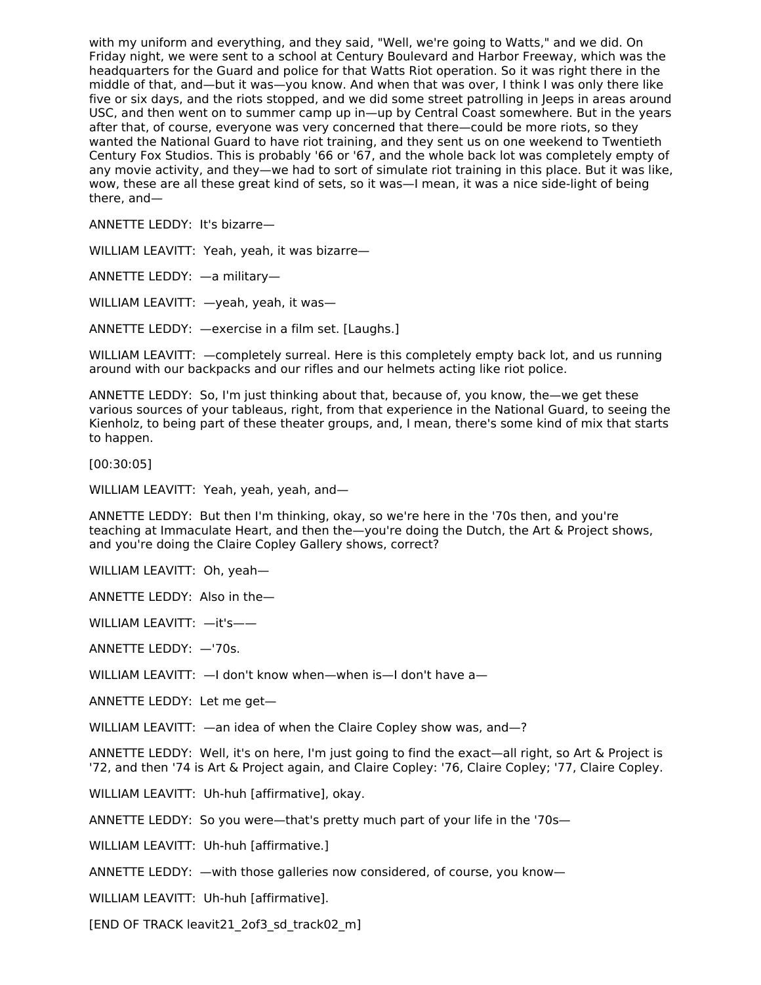with my uniform and everything, and they said, "Well, we're going to Watts," and we did. On Friday night, we were sent to a school at Century Boulevard and Harbor Freeway, which was the headquarters for the Guard and police for that Watts Riot operation. So it was right there in the middle of that, and—but it was—you know. And when that was over, I think I was only there like five or six days, and the riots stopped, and we did some street patrolling in Jeeps in areas around USC, and then went on to summer camp up in—up by Central Coast somewhere. But in the years after that, of course, everyone was very concerned that there—could be more riots, so they wanted the National Guard to have riot training, and they sent us on one weekend to Twentieth Century Fox Studios. This is probably '66 or '67, and the whole back lot was completely empty of any movie activity, and they—we had to sort of simulate riot training in this place. But it was like, wow, these are all these great kind of sets, so it was—I mean, it was a nice side-light of being there, and—

ANNETTE LEDDY: It's bizarre—

WILLIAM LEAVITT: Yeah, yeah, it was bizarre—

ANNETTE LEDDY: —a military—

WILLIAM LEAVITT: —yeah, yeah, it was—

ANNETTE LEDDY: —exercise in a film set. [Laughs.]

WILLIAM LEAVITT: —completely surreal. Here is this completely empty back lot, and us running around with our backpacks and our rifles and our helmets acting like riot police.

ANNETTE LEDDY: So, I'm just thinking about that, because of, you know, the—we get these various sources of your tableaus, right, from that experience in the National Guard, to seeing the Kienholz, to being part of these theater groups, and, I mean, there's some kind of mix that starts to happen.

[00:30:05]

WILLIAM LEAVITT: Yeah, yeah, yeah, and—

ANNETTE LEDDY: But then I'm thinking, okay, so we're here in the '70s then, and you're teaching at Immaculate Heart, and then the—you're doing the Dutch, the Art & Project shows, and you're doing the Claire Copley Gallery shows, correct?

WILLIAM LEAVITT: Oh, yeah—

ANNETTE LEDDY: Also in the—

WILLIAM LEAVITT: —it's——

ANNETTE LEDDY: —'70s.

WILLIAM LEAVITT:  $-$ I don't know when-when is-I don't have a-

ANNETTE LEDDY: Let me get—

WILLIAM LEAVITT: —an idea of when the Claire Copley show was, and-?

ANNETTE LEDDY: Well, it's on here, I'm just going to find the exact—all right, so Art & Project is '72, and then '74 is Art & Project again, and Claire Copley: '76, Claire Copley; '77, Claire Copley.

WILLIAM LEAVITT: Uh-huh [affirmative], okay.

ANNETTE LEDDY: So you were—that's pretty much part of your life in the '70s—

WILLIAM LEAVITT: Uh-huh [affirmative.]

ANNETTE LEDDY: —with those galleries now considered, of course, you know—

WILLIAM LEAVITT: Uh-huh [affirmative].

[END OF TRACK leavit21\_2of3\_sd\_track02\_m]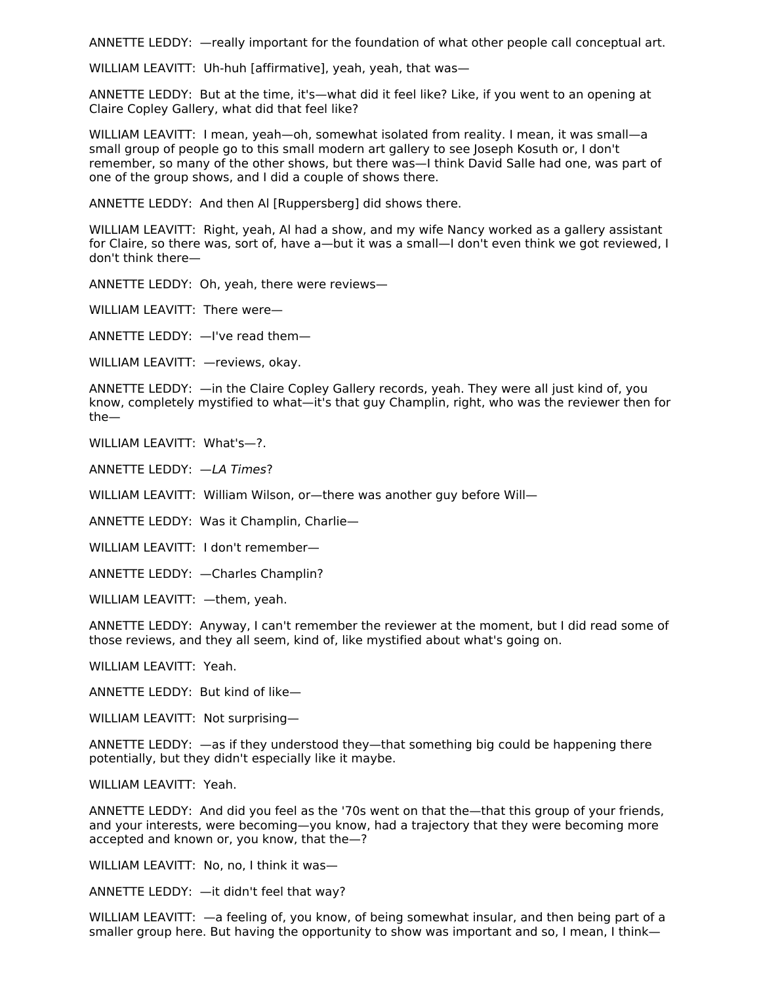ANNETTE LEDDY: —really important for the foundation of what other people call conceptual art.

WILLIAM LEAVITT: Uh-huh [affirmative], yeah, yeah, that was—

ANNETTE LEDDY: But at the time, it's—what did it feel like? Like, if you went to an opening at Claire Copley Gallery, what did that feel like?

WILLIAM LEAVITT: I mean, yeah—oh, somewhat isolated from reality. I mean, it was small—a small group of people go to this small modern art gallery to see Joseph Kosuth or, I don't remember, so many of the other shows, but there was—I think David Salle had one, was part of one of the group shows, and I did a couple of shows there.

ANNETTE LEDDY: And then Al [Ruppersberg] did shows there.

WILLIAM LEAVITT: Right, yeah, Al had a show, and my wife Nancy worked as a gallery assistant for Claire, so there was, sort of, have a—but it was a small—I don't even think we got reviewed, I don't think there—

ANNETTE LEDDY: Oh, yeah, there were reviews—

WILLIAM LEAVITT: There were—

ANNETTE LEDDY: —I've read them—

WILLIAM LEAVITT: —reviews, okay.

ANNETTE LEDDY: —in the Claire Copley Gallery records, yeah. They were all just kind of, you know, completely mystified to what—it's that guy Champlin, right, who was the reviewer then for the—

WILLIAM LEAVITT: What's—?.

ANNETTE LEDDY: —LA Times?

WILLIAM LEAVITT: William Wilson, or—there was another guy before Will—

ANNETTE LEDDY: Was it Champlin, Charlie—

WILLIAM LEAVITT: I don't remember—

ANNETTE LEDDY: —Charles Champlin?

WILLIAM LEAVITT: —them, yeah.

ANNETTE LEDDY: Anyway, I can't remember the reviewer at the moment, but I did read some of those reviews, and they all seem, kind of, like mystified about what's going on.

WILLIAM LEAVITT: Yeah.

ANNETTE LEDDY: But kind of like—

WILLIAM LEAVITT: Not surprising—

ANNETTE LEDDY: —as if they understood they—that something big could be happening there potentially, but they didn't especially like it maybe.

WILLIAM LEAVITT: Yeah.

ANNETTE LEDDY: And did you feel as the '70s went on that the—that this group of your friends, and your interests, were becoming—you know, had a trajectory that they were becoming more accepted and known or, you know, that the—?

WILLIAM LEAVITT: No. no. I think it was-

ANNETTE LEDDY: —it didn't feel that way?

WILLIAM LEAVITT: —a feeling of, you know, of being somewhat insular, and then being part of a smaller group here. But having the opportunity to show was important and so, I mean, I think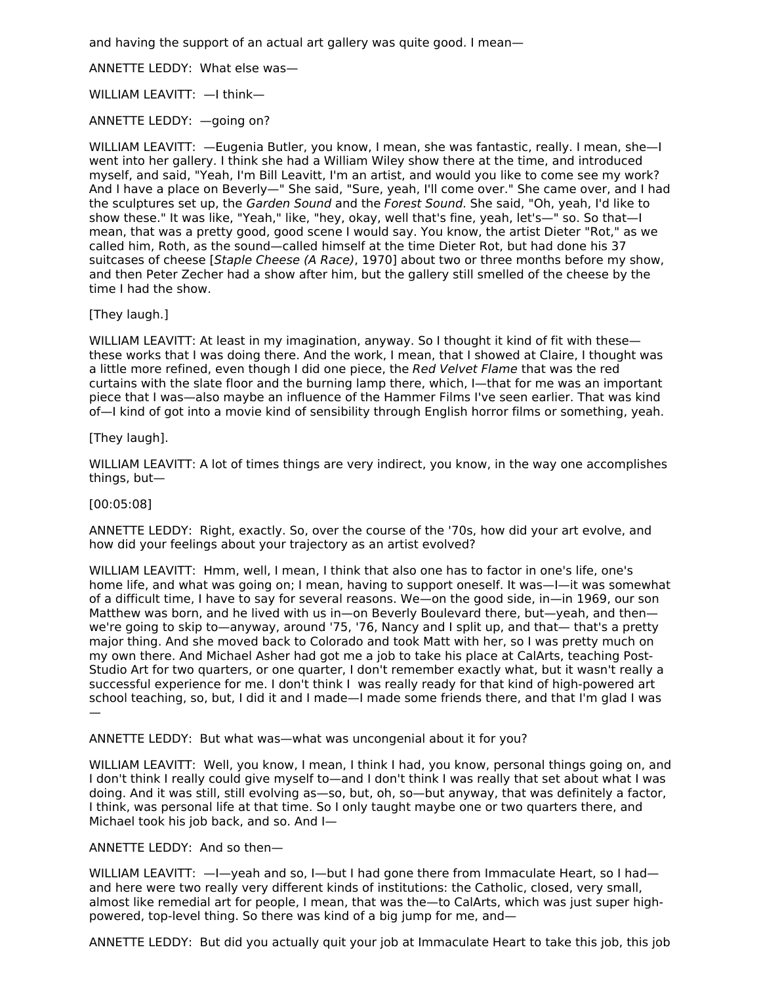and having the support of an actual art gallery was quite good. I mean—

ANNETTE LEDDY: What else was—

WILLIAM LEAVITT: —I think—

ANNETTE LEDDY: —going on?

WILLIAM LEAVITT: —Eugenia Butler, you know, I mean, she was fantastic, really. I mean, she—I went into her gallery. I think she had a William Wiley show there at the time, and introduced myself, and said, "Yeah, I'm Bill Leavitt, I'm an artist, and would you like to come see my work? And I have a place on Beverly—" She said, "Sure, yeah, I'll come over." She came over, and I had the sculptures set up, the Garden Sound and the Forest Sound. She said, "Oh, yeah, I'd like to show these." It was like, "Yeah," like, "hey, okay, well that's fine, yeah, let's—" so. So that—I mean, that was a pretty good, good scene I would say. You know, the artist Dieter "Rot," as we called him, Roth, as the sound—called himself at the time Dieter Rot, but had done his 37 suitcases of cheese [Staple Cheese (A Race), 1970] about two or three months before my show, and then Peter Zecher had a show after him, but the gallery still smelled of the cheese by the time I had the show.

# [They laugh.]

WILLIAM LEAVITT: At least in my imagination, anyway. So I thought it kind of fit with thesethese works that I was doing there. And the work, I mean, that I showed at Claire, I thought was a little more refined, even though I did one piece, the Red Velvet Flame that was the red curtains with the slate floor and the burning lamp there, which, I—that for me was an important piece that I was—also maybe an influence of the Hammer Films I've seen earlier. That was kind of—I kind of got into a movie kind of sensibility through English horror films or something, yeah.

# [They laugh].

WILLIAM LEAVITT: A lot of times things are very indirect, you know, in the way one accomplishes things, but—

## [00:05:08]

ANNETTE LEDDY: Right, exactly. So, over the course of the '70s, how did your art evolve, and how did your feelings about your trajectory as an artist evolved?

WILLIAM LEAVITT: Hmm, well, I mean, I think that also one has to factor in one's life, one's home life, and what was going on; I mean, having to support oneself. It was—I—it was somewhat of a difficult time, I have to say for several reasons. We—on the good side, in—in 1969, our son Matthew was born, and he lived with us in—on Beverly Boulevard there, but—yeah, and then we're going to skip to—anyway, around '75, '76, Nancy and I split up, and that— that's a pretty major thing. And she moved back to Colorado and took Matt with her, so I was pretty much on my own there. And Michael Asher had got me a job to take his place at CalArts, teaching Post-Studio Art for two quarters, or one quarter, I don't remember exactly what, but it wasn't really a successful experience for me. I don't think I was really ready for that kind of high-powered art school teaching, so, but, I did it and I made—I made some friends there, and that I'm glad I was —

ANNETTE LEDDY: But what was—what was uncongenial about it for you?

WILLIAM LEAVITT: Well, you know, I mean, I think I had, you know, personal things going on, and I don't think I really could give myself to—and I don't think I was really that set about what I was doing. And it was still, still evolving as—so, but, oh, so—but anyway, that was definitely a factor, I think, was personal life at that time. So I only taught maybe one or two quarters there, and Michael took his job back, and so. And I—

## ANNETTE LEDDY: And so then—

WILLIAM LEAVITT:  $-1$ -yeah and so, I-but I had gone there from Immaculate Heart, so I hadand here were two really very different kinds of institutions: the Catholic, closed, very small, almost like remedial art for people, I mean, that was the—to CalArts, which was just super highpowered, top-level thing. So there was kind of a big jump for me, and—

ANNETTE LEDDY: But did you actually quit your job at Immaculate Heart to take this job, this job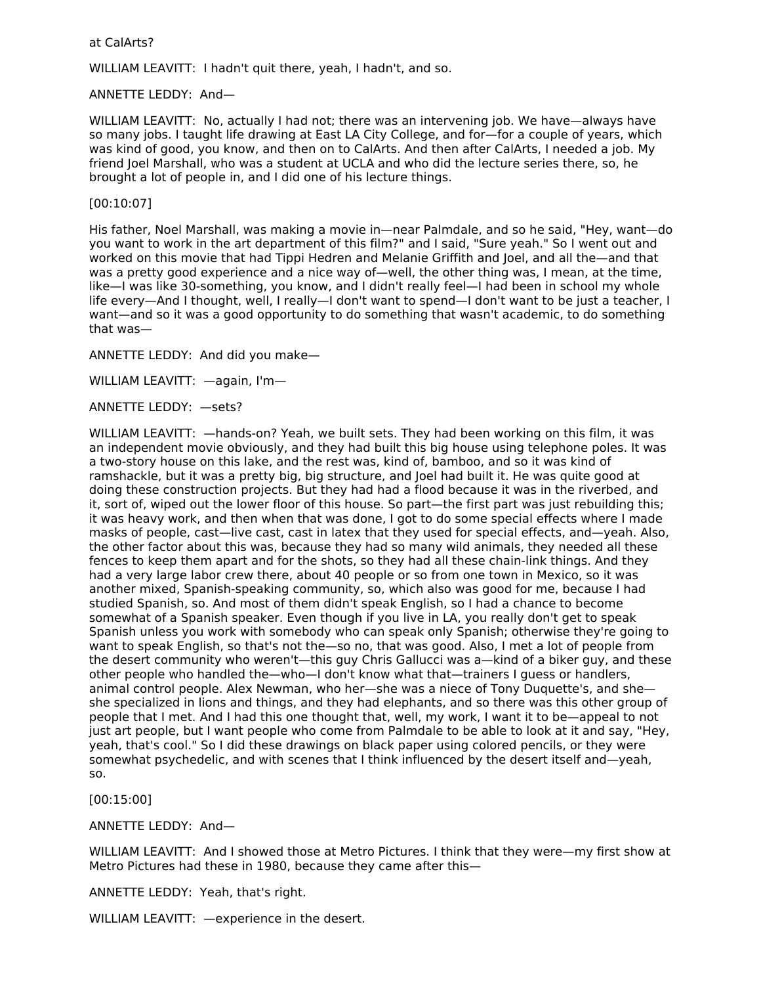#### at CalArts?

WILLIAM LEAVITT: I hadn't quit there, yeah, I hadn't, and so.

ANNETTE LEDDY: And—

WILLIAM LEAVITT: No, actually I had not; there was an intervening job. We have—always have so many jobs. I taught life drawing at East LA City College, and for—for a couple of years, which was kind of good, you know, and then on to CalArts. And then after CalArts, I needed a job. My friend Joel Marshall, who was a student at UCLA and who did the lecture series there, so, he brought a lot of people in, and I did one of his lecture things.

#### [00:10:07]

His father, Noel Marshall, was making a movie in—near Palmdale, and so he said, "Hey, want—do you want to work in the art department of this film?" and I said, "Sure yeah." So I went out and worked on this movie that had Tippi Hedren and Melanie Griffith and Joel, and all the—and that was a pretty good experience and a nice way of—well, the other thing was, I mean, at the time, like—I was like 30-something, you know, and I didn't really feel—I had been in school my whole life every—And I thought, well, I really—I don't want to spend—I don't want to be just a teacher, I want—and so it was a good opportunity to do something that wasn't academic, to do something that was—

ANNETTE LEDDY: And did you make—

WILLIAM LEAVITT: —again, I'm—

ANNETTE LEDDY: —sets?

WILLIAM LEAVITT: —hands-on? Yeah, we built sets. They had been working on this film, it was an independent movie obviously, and they had built this big house using telephone poles. It was a two-story house on this lake, and the rest was, kind of, bamboo, and so it was kind of ramshackle, but it was a pretty big, big structure, and Joel had built it. He was quite good at doing these construction projects. But they had had a flood because it was in the riverbed, and it, sort of, wiped out the lower floor of this house. So part—the first part was just rebuilding this; it was heavy work, and then when that was done, I got to do some special effects where I made masks of people, cast—live cast, cast in latex that they used for special effects, and—yeah. Also, the other factor about this was, because they had so many wild animals, they needed all these fences to keep them apart and for the shots, so they had all these chain-link things. And they had a very large labor crew there, about 40 people or so from one town in Mexico, so it was another mixed, Spanish-speaking community, so, which also was good for me, because I had studied Spanish, so. And most of them didn't speak English, so I had a chance to become somewhat of a Spanish speaker. Even though if you live in LA, you really don't get to speak Spanish unless you work with somebody who can speak only Spanish; otherwise they're going to want to speak English, so that's not the—so no, that was good. Also, I met a lot of people from the desert community who weren't—this guy Chris Gallucci was a—kind of a biker guy, and these other people who handled the—who—I don't know what that—trainers I guess or handlers, animal control people. Alex Newman, who her—she was a niece of Tony Duquette's, and she she specialized in lions and things, and they had elephants, and so there was this other group of people that I met. And I had this one thought that, well, my work, I want it to be—appeal to not just art people, but I want people who come from Palmdale to be able to look at it and say, "Hey, yeah, that's cool." So I did these drawings on black paper using colored pencils, or they were somewhat psychedelic, and with scenes that I think influenced by the desert itself and—yeah, so.

[00:15:00]

ANNETTE LEDDY: And—

WILLIAM LEAVITT: And I showed those at Metro Pictures. I think that they were—my first show at Metro Pictures had these in 1980, because they came after this—

ANNETTE LEDDY: Yeah, that's right.

WILLIAM LEAVITT: —experience in the desert.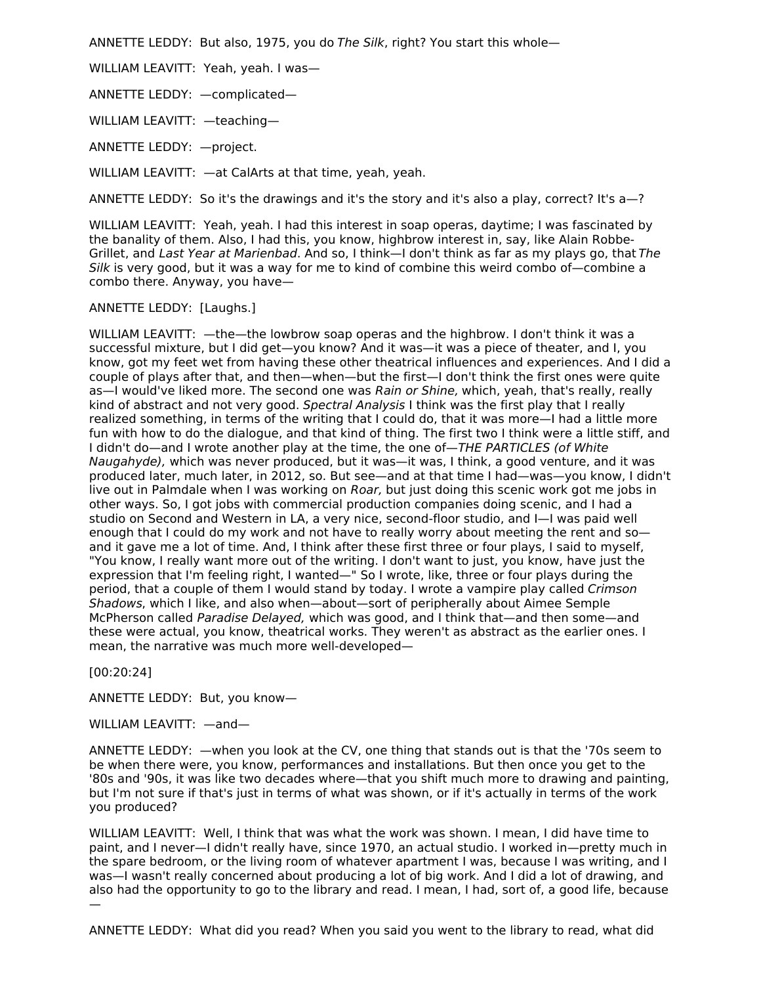ANNETTE LEDDY: But also, 1975, you do The Silk, right? You start this whole—

WILLIAM LEAVITT: Yeah, yeah. I was—

ANNETTE LEDDY: —complicated—

WILLIAM LEAVITT: —teaching—

ANNETTE LEDDY: —project.

WILLIAM LEAVITT: —at CalArts at that time, yeah, yeah.

ANNETTE LEDDY: So it's the drawings and it's the story and it's also a play, correct? It's a—?

WILLIAM LEAVITT: Yeah, yeah. I had this interest in soap operas, daytime; I was fascinated by the banality of them. Also, I had this, you know, highbrow interest in, say, like Alain Robbe-Grillet, and Last Year at Marienbad. And so, I think—I don't think as far as my plays go, that The Silk is very good, but it was a way for me to kind of combine this weird combo of—combine a combo there. Anyway, you have—

ANNETTE LEDDY: [Laughs.]

WILLIAM LEAVITT: —the—the lowbrow soap operas and the highbrow. I don't think it was a successful mixture, but I did get—you know? And it was—it was a piece of theater, and I, you know, got my feet wet from having these other theatrical influences and experiences. And I did a couple of plays after that, and then—when—but the first—I don't think the first ones were quite as—I would've liked more. The second one was Rain or Shine, which, yeah, that's really, really kind of abstract and not very good. Spectral Analysis I think was the first play that I really realized something, in terms of the writing that I could do, that it was more—I had a little more fun with how to do the dialogue, and that kind of thing. The first two I think were a little stiff, and I didn't do—and I wrote another play at the time, the one of—THE PARTICLES (of White Naugahyde), which was never produced, but it was—it was, I think, a good venture, and it was produced later, much later, in 2012, so. But see—and at that time I had—was—you know, I didn't live out in Palmdale when I was working on Roar, but just doing this scenic work got me jobs in other ways. So, I got jobs with commercial production companies doing scenic, and I had a studio on Second and Western in LA, a very nice, second-floor studio, and I—I was paid well enough that I could do my work and not have to really worry about meeting the rent and so and it gave me a lot of time. And, I think after these first three or four plays, I said to myself, "You know, I really want more out of the writing. I don't want to just, you know, have just the expression that I'm feeling right, I wanted—" So I wrote, like, three or four plays during the period, that a couple of them I would stand by today. I wrote a vampire play called Crimson Shadows, which I like, and also when—about—sort of peripherally about Aimee Semple McPherson called Paradise Delayed, which was good, and I think that—and then some—and these were actual, you know, theatrical works. They weren't as abstract as the earlier ones. I mean, the narrative was much more well-developed—

[00:20:24]

ANNETTE LEDDY: But, you know—

WILLIAM LEAVITT: —and—

ANNETTE LEDDY: —when you look at the CV, one thing that stands out is that the '70s seem to be when there were, you know, performances and installations. But then once you get to the '80s and '90s, it was like two decades where—that you shift much more to drawing and painting, but I'm not sure if that's just in terms of what was shown, or if it's actually in terms of the work you produced?

WILLIAM LEAVITT: Well, I think that was what the work was shown. I mean, I did have time to paint, and I never—I didn't really have, since 1970, an actual studio. I worked in—pretty much in the spare bedroom, or the living room of whatever apartment I was, because I was writing, and I was—I wasn't really concerned about producing a lot of big work. And I did a lot of drawing, and also had the opportunity to go to the library and read. I mean, I had, sort of, a good life, because —

ANNETTE LEDDY: What did you read? When you said you went to the library to read, what did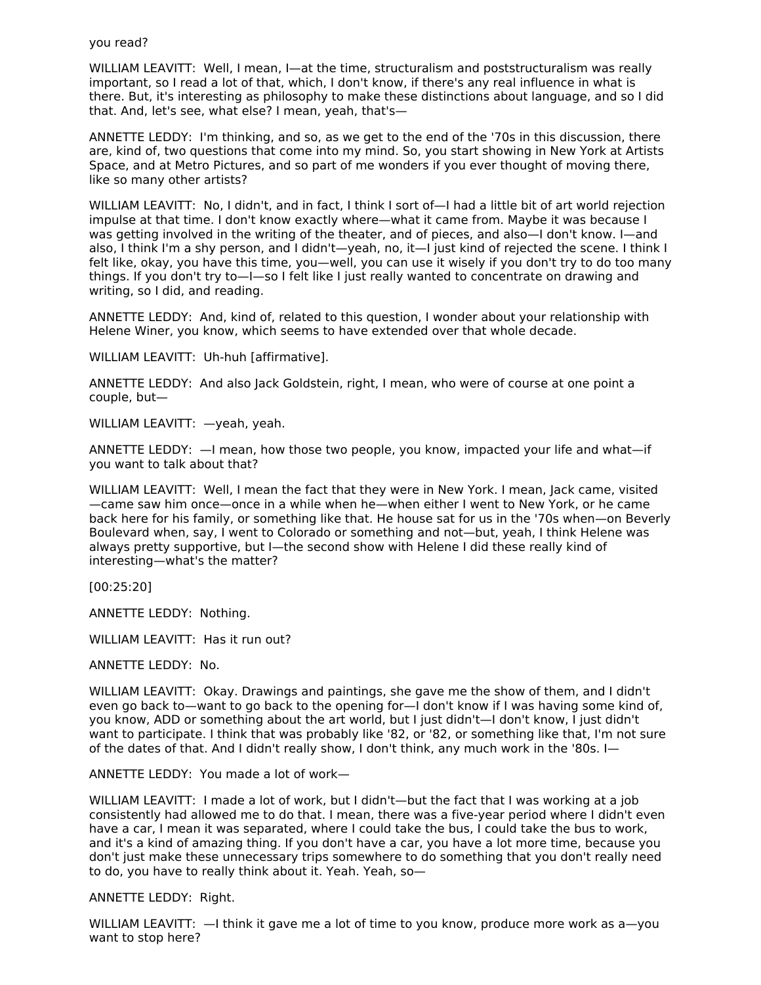WILLIAM LEAVITT: Well, I mean, I-at the time, structuralism and poststructuralism was really important, so I read a lot of that, which, I don't know, if there's any real influence in what is there. But, it's interesting as philosophy to make these distinctions about language, and so I did that. And, let's see, what else? I mean, yeah, that's—

ANNETTE LEDDY: I'm thinking, and so, as we get to the end of the '70s in this discussion, there are, kind of, two questions that come into my mind. So, you start showing in New York at Artists Space, and at Metro Pictures, and so part of me wonders if you ever thought of moving there, like so many other artists?

WILLIAM LEAVITT: No, I didn't, and in fact, I think I sort of—I had a little bit of art world rejection impulse at that time. I don't know exactly where—what it came from. Maybe it was because I was getting involved in the writing of the theater, and of pieces, and also—I don't know. I—and also, I think I'm a shy person, and I didn't—yeah, no, it—I just kind of rejected the scene. I think I felt like, okay, you have this time, you—well, you can use it wisely if you don't try to do too many things. If you don't try to—I—so I felt like I just really wanted to concentrate on drawing and writing, so I did, and reading.

ANNETTE LEDDY: And, kind of, related to this question, I wonder about your relationship with Helene Winer, you know, which seems to have extended over that whole decade.

WILLIAM LEAVITT: Uh-huh [affirmative].

ANNETTE LEDDY: And also Jack Goldstein, right, I mean, who were of course at one point a couple, but—

WILLIAM LEAVITT: —yeah, yeah.

ANNETTE LEDDY: —I mean, how those two people, you know, impacted your life and what—if you want to talk about that?

WILLIAM LEAVITT: Well, I mean the fact that they were in New York. I mean, Jack came, visited —came saw him once—once in a while when he—when either I went to New York, or he came back here for his family, or something like that. He house sat for us in the '70s when—on Beverly Boulevard when, say, I went to Colorado or something and not—but, yeah, I think Helene was always pretty supportive, but I—the second show with Helene I did these really kind of interesting—what's the matter?

[00:25:20]

ANNETTE LEDDY: Nothing.

WILLIAM LEAVITT: Has it run out?

ANNETTE LEDDY: No.

WILLIAM LEAVITT: Okay. Drawings and paintings, she gave me the show of them, and I didn't even go back to—want to go back to the opening for—I don't know if I was having some kind of, you know, ADD or something about the art world, but I just didn't—I don't know, I just didn't want to participate. I think that was probably like '82, or '82, or something like that, I'm not sure of the dates of that. And I didn't really show, I don't think, any much work in the '80s. I—

ANNETTE LEDDY: You made a lot of work—

WILLIAM LEAVITT: I made a lot of work, but I didn't—but the fact that I was working at a job consistently had allowed me to do that. I mean, there was a five-year period where I didn't even have a car, I mean it was separated, where I could take the bus, I could take the bus to work, and it's a kind of amazing thing. If you don't have a car, you have a lot more time, because you don't just make these unnecessary trips somewhere to do something that you don't really need to do, you have to really think about it. Yeah. Yeah, so—

ANNETTE LEDDY: Right.

WILLIAM LEAVITT:  $-$ I think it gave me a lot of time to you know, produce more work as a-you want to stop here?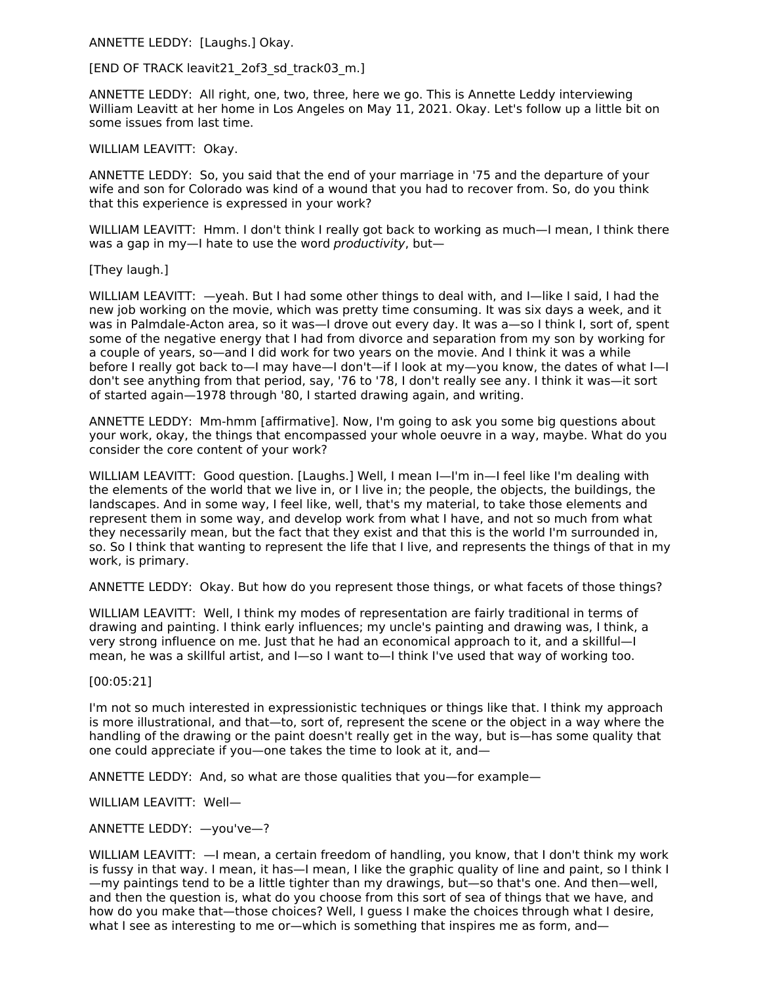ANNETTE LEDDY: [Laughs.] Okay.

## [END OF TRACK leavit21\_2of3\_sd\_track03\_m.]

ANNETTE LEDDY: All right, one, two, three, here we go. This is Annette Leddy interviewing William Leavitt at her home in Los Angeles on May 11, 2021. Okay. Let's follow up a little bit on some issues from last time.

WILLIAM LEAVITT: Okay.

ANNETTE LEDDY: So, you said that the end of your marriage in '75 and the departure of your wife and son for Colorado was kind of a wound that you had to recover from. So, do you think that this experience is expressed in your work?

WILLIAM LEAVITT: Hmm. I don't think I really got back to working as much—I mean, I think there was a gap in my-I hate to use the word *productivity*, but-

## [They laugh.]

WILLIAM LEAVITT: —yeah. But I had some other things to deal with, and I—like I said, I had the new job working on the movie, which was pretty time consuming. It was six days a week, and it was in Palmdale-Acton area, so it was—I drove out every day. It was a—so I think I, sort of, spent some of the negative energy that I had from divorce and separation from my son by working for a couple of years, so—and I did work for two years on the movie. And I think it was a while before I really got back to—I may have—I don't—if I look at my—you know, the dates of what I—I don't see anything from that period, say, '76 to '78, I don't really see any. I think it was—it sort of started again—1978 through '80, I started drawing again, and writing.

ANNETTE LEDDY: Mm-hmm [affirmative]. Now, I'm going to ask you some big questions about your work, okay, the things that encompassed your whole oeuvre in a way, maybe. What do you consider the core content of your work?

WILLIAM LEAVITT: Good question. [Laughs.] Well, I mean I--I'm in--I feel like I'm dealing with the elements of the world that we live in, or I live in; the people, the objects, the buildings, the landscapes. And in some way, I feel like, well, that's my material, to take those elements and represent them in some way, and develop work from what I have, and not so much from what they necessarily mean, but the fact that they exist and that this is the world I'm surrounded in, so. So I think that wanting to represent the life that I live, and represents the things of that in my work, is primary.

ANNETTE LEDDY: Okay. But how do you represent those things, or what facets of those things?

WILLIAM LEAVITT: Well, I think my modes of representation are fairly traditional in terms of drawing and painting. I think early influences; my uncle's painting and drawing was, I think, a very strong influence on me. Just that he had an economical approach to it, and a skillful—I mean, he was a skillful artist, and I—so I want to—I think I've used that way of working too.

[00:05:21]

I'm not so much interested in expressionistic techniques or things like that. I think my approach is more illustrational, and that—to, sort of, represent the scene or the object in a way where the handling of the drawing or the paint doesn't really get in the way, but is—has some quality that one could appreciate if you—one takes the time to look at it, and—

ANNETTE LEDDY: And, so what are those qualities that you—for example—

WILLIAM LEAVITT: Well—

ANNETTE LEDDY: —you've—?

WILLIAM LEAVITT: —I mean, a certain freedom of handling, you know, that I don't think my work is fussy in that way. I mean, it has—I mean, I like the graphic quality of line and paint, so I think I —my paintings tend to be a little tighter than my drawings, but—so that's one. And then—well, and then the question is, what do you choose from this sort of sea of things that we have, and how do you make that—those choices? Well, I guess I make the choices through what I desire, what I see as interesting to me or—which is something that inspires me as form, and—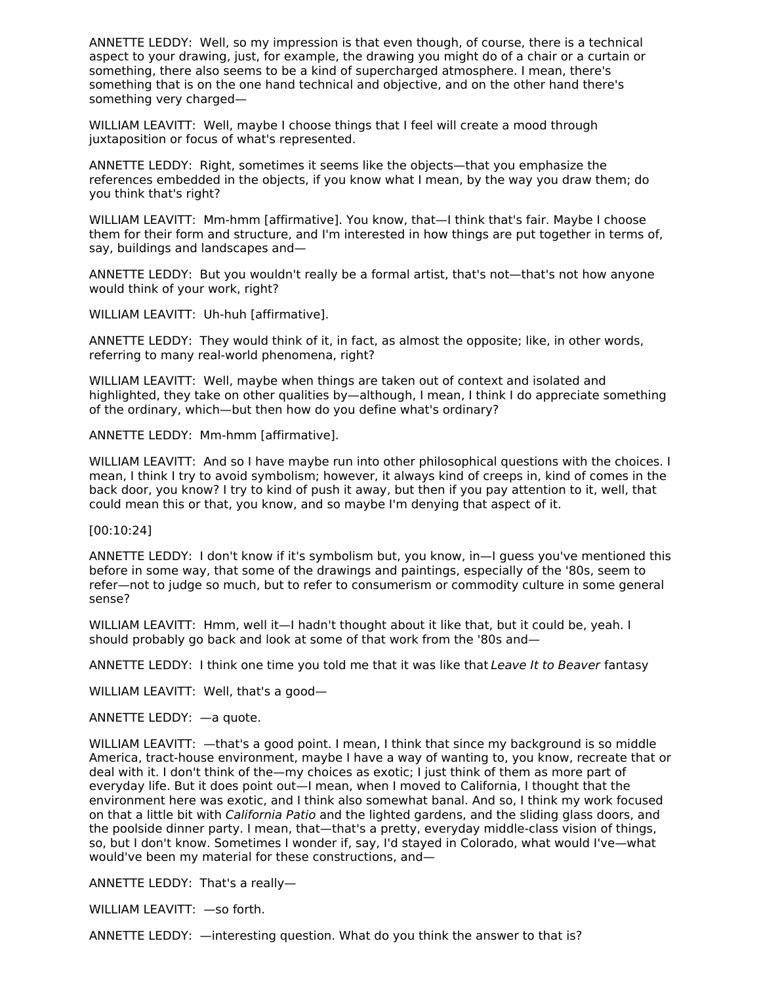ANNETTE LEDDY: Well, so my impression is that even though, of course, there is a technical aspect to your drawing, just, for example, the drawing you might do of a chair or a curtain or something, there also seems to be a kind of supercharged atmosphere. I mean, there's something that is on the one hand technical and objective, and on the other hand there's something very charged—

WILLIAM LEAVITT: Well, maybe I choose things that I feel will create a mood through juxtaposition or focus of what's represented.

ANNETTE LEDDY: Right, sometimes it seems like the objects—that you emphasize the references embedded in the objects, if you know what I mean, by the way you draw them; do you think that's right?

WILLIAM LEAVITT: Mm-hmm [affirmative]. You know, that—I think that's fair. Maybe I choose them for their form and structure, and I'm interested in how things are put together in terms of, say, buildings and landscapes and—

ANNETTE LEDDY: But you wouldn't really be a formal artist, that's not—that's not how anyone would think of your work, right?

WILLIAM LEAVITT: Uh-huh [affirmative].

ANNETTE LEDDY: They would think of it, in fact, as almost the opposite; like, in other words, referring to many real-world phenomena, right?

WILLIAM LEAVITT: Well, maybe when things are taken out of context and isolated and highlighted, they take on other qualities by—although, I mean, I think I do appreciate something of the ordinary, which—but then how do you define what's ordinary?

ANNETTE LEDDY: Mm-hmm [affirmative].

WILLIAM LEAVITT: And so I have maybe run into other philosophical questions with the choices. I mean, I think I try to avoid symbolism; however, it always kind of creeps in, kind of comes in the back door, you know? I try to kind of push it away, but then if you pay attention to it, well, that could mean this or that, you know, and so maybe I'm denying that aspect of it.

[00:10:24]

ANNETTE LEDDY: I don't know if it's symbolism but, you know, in—I guess you've mentioned this before in some way, that some of the drawings and paintings, especially of the '80s, seem to refer—not to judge so much, but to refer to consumerism or commodity culture in some general sense?

WILLIAM LEAVITT: Hmm, well it—I hadn't thought about it like that, but it could be, yeah. I should probably go back and look at some of that work from the '80s and—

ANNETTE LEDDY: I think one time you told me that it was like that Leave It to Beaver fantasy

WILLIAM LEAVITT: Well, that's a good—

ANNETTE LEDDY: —a quote.

WILLIAM LEAVITT:  $-$ that's a good point. I mean, I think that since my background is so middle America, tract-house environment, maybe I have a way of wanting to, you know, recreate that or deal with it. I don't think of the—my choices as exotic; I just think of them as more part of everyday life. But it does point out—I mean, when I moved to California, I thought that the environment here was exotic, and I think also somewhat banal. And so, I think my work focused on that a little bit with *California Patio* and the lighted gardens, and the sliding glass doors, and the poolside dinner party. I mean, that—that's a pretty, everyday middle-class vision of things, so, but I don't know. Sometimes I wonder if, say, I'd stayed in Colorado, what would I've—what would've been my material for these constructions, and—

ANNETTE LEDDY: That's a really—

WILLIAM LEAVITT: —so forth.

ANNETTE LEDDY: —interesting question. What do you think the answer to that is?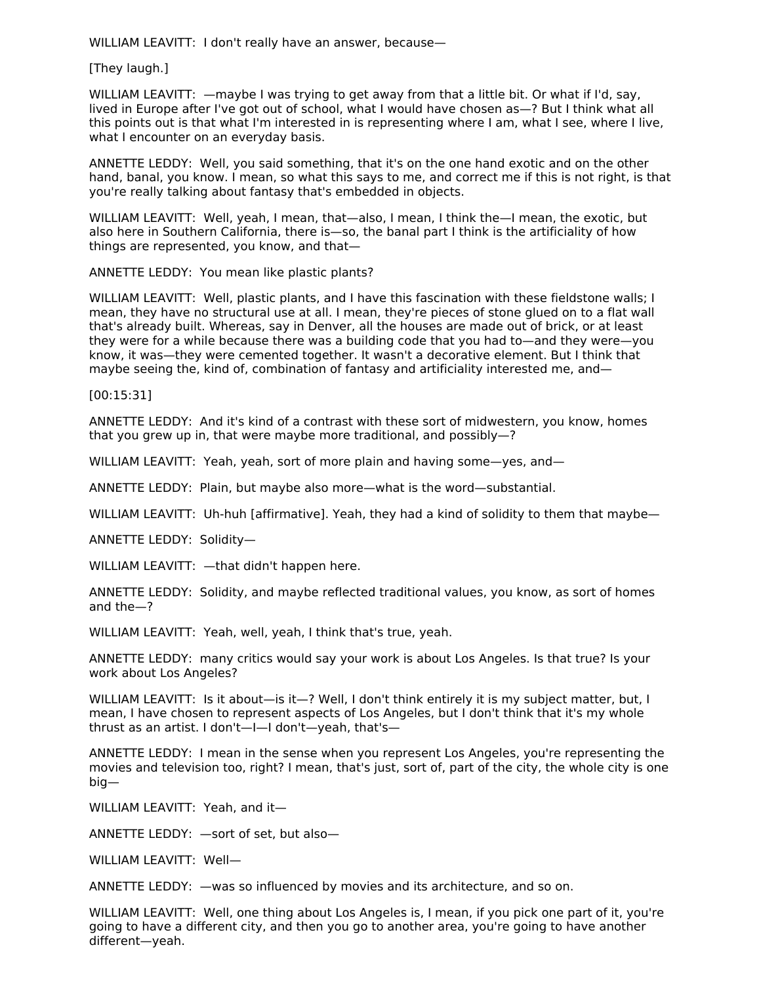WILLIAM LEAVITT: I don't really have an answer, because—

[They laugh.]

WILLIAM LEAVITT:  $-$ maybe I was trying to get away from that a little bit. Or what if I'd, say, lived in Europe after I've got out of school, what I would have chosen as—? But I think what all this points out is that what I'm interested in is representing where I am, what I see, where I live, what I encounter on an everyday basis.

ANNETTE LEDDY: Well, you said something, that it's on the one hand exotic and on the other hand, banal, you know. I mean, so what this says to me, and correct me if this is not right, is that you're really talking about fantasy that's embedded in objects.

WILLIAM LEAVITT: Well, yeah, I mean, that—also, I mean, I think the—I mean, the exotic, but also here in Southern California, there is—so, the banal part I think is the artificiality of how things are represented, you know, and that—

ANNETTE LEDDY: You mean like plastic plants?

WILLIAM LEAVITT: Well, plastic plants, and I have this fascination with these fieldstone walls; I mean, they have no structural use at all. I mean, they're pieces of stone glued on to a flat wall that's already built. Whereas, say in Denver, all the houses are made out of brick, or at least they were for a while because there was a building code that you had to—and they were—you know, it was—they were cemented together. It wasn't a decorative element. But I think that maybe seeing the, kind of, combination of fantasy and artificiality interested me, and—

[00:15:31]

ANNETTE LEDDY: And it's kind of a contrast with these sort of midwestern, you know, homes that you grew up in, that were maybe more traditional, and possibly—?

WILLIAM LEAVITT: Yeah, yeah, sort of more plain and having some—yes, and—

ANNETTE LEDDY: Plain, but maybe also more—what is the word—substantial.

WILLIAM LEAVITT: Uh-huh [affirmative]. Yeah, they had a kind of solidity to them that maybe—

ANNETTE LEDDY: Solidity—

WILLIAM LEAVITT: —that didn't happen here.

ANNETTE LEDDY: Solidity, and maybe reflected traditional values, you know, as sort of homes and the—?

WILLIAM LEAVITT: Yeah, well, yeah, I think that's true, yeah.

ANNETTE LEDDY: many critics would say your work is about Los Angeles. Is that true? Is your work about Los Angeles?

WILLIAM LEAVITT: Is it about—is it—? Well, I don't think entirely it is my subject matter, but, I mean, I have chosen to represent aspects of Los Angeles, but I don't think that it's my whole thrust as an artist. I don't—I—I don't—yeah, that's—

ANNETTE LEDDY: I mean in the sense when you represent Los Angeles, you're representing the movies and television too, right? I mean, that's just, sort of, part of the city, the whole city is one big—

WILLIAM LEAVITT: Yeah, and it—

ANNETTE LEDDY: —sort of set, but also—

WILLIAM LEAVITT: Well—

ANNETTE LEDDY: —was so influenced by movies and its architecture, and so on.

WILLIAM LEAVITT: Well, one thing about Los Angeles is, I mean, if you pick one part of it, you're going to have a different city, and then you go to another area, you're going to have another different—yeah.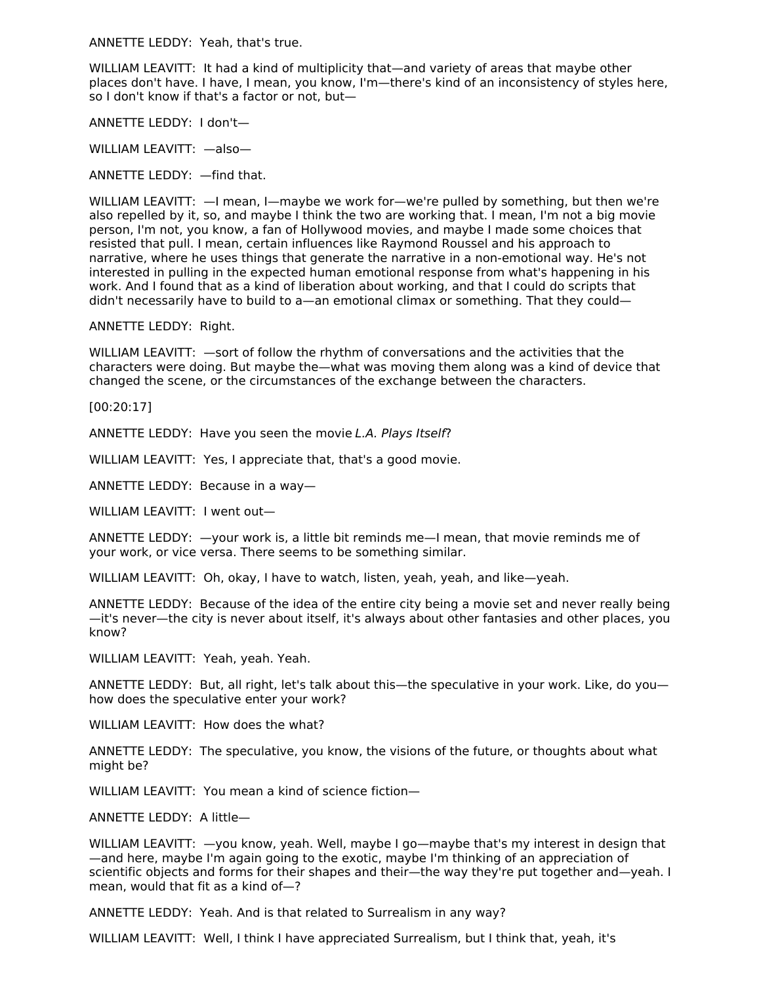ANNETTE LEDDY: Yeah, that's true.

WILLIAM LEAVITT: It had a kind of multiplicity that—and variety of areas that maybe other places don't have. I have, I mean, you know, I'm—there's kind of an inconsistency of styles here, so I don't know if that's a factor or not, but—

ANNETTE LEDDY: I don't—

WILLIAM LEAVITT: - also-

ANNETTE LEDDY: —find that.

WILLIAM LEAVITT: —I mean, I—maybe we work for—we're pulled by something, but then we're also repelled by it, so, and maybe I think the two are working that. I mean, I'm not a big movie person, I'm not, you know, a fan of Hollywood movies, and maybe I made some choices that resisted that pull. I mean, certain influences like Raymond Roussel and his approach to narrative, where he uses things that generate the narrative in a non-emotional way. He's not interested in pulling in the expected human emotional response from what's happening in his work. And I found that as a kind of liberation about working, and that I could do scripts that didn't necessarily have to build to a—an emotional climax or something. That they could—

ANNETTE LEDDY: Right.

WILLIAM LEAVITT: —sort of follow the rhythm of conversations and the activities that the characters were doing. But maybe the—what was moving them along was a kind of device that changed the scene, or the circumstances of the exchange between the characters.

[00:20:17]

ANNETTE LEDDY: Have you seen the movie L.A. Plays Itself?

WILLIAM LEAVITT: Yes, I appreciate that, that's a good movie.

ANNETTE LEDDY: Because in a way—

WILLIAM LEAVITT: I went out—

ANNETTE LEDDY: —your work is, a little bit reminds me—I mean, that movie reminds me of your work, or vice versa. There seems to be something similar.

WILLIAM LEAVITT: Oh, okay, I have to watch, listen, yeah, yeah, and like—yeah.

ANNETTE LEDDY: Because of the idea of the entire city being a movie set and never really being —it's never—the city is never about itself, it's always about other fantasies and other places, you know?

WILLIAM LEAVITT: Yeah, yeah. Yeah.

ANNETTE LEDDY: But, all right, let's talk about this—the speculative in your work. Like, do you how does the speculative enter your work?

WILLIAM LEAVITT: How does the what?

ANNETTE LEDDY: The speculative, you know, the visions of the future, or thoughts about what might be?

WILLIAM LEAVITT: You mean a kind of science fiction—

ANNETTE LEDDY: A little—

WILLIAM LEAVITT:  $-y$ ou know, yeah. Well, maybe I go—maybe that's my interest in design that —and here, maybe I'm again going to the exotic, maybe I'm thinking of an appreciation of scientific objects and forms for their shapes and their—the way they're put together and—yeah. I mean, would that fit as a kind of—?

ANNETTE LEDDY: Yeah. And is that related to Surrealism in any way?

WILLIAM LEAVITT: Well, I think I have appreciated Surrealism, but I think that, yeah, it's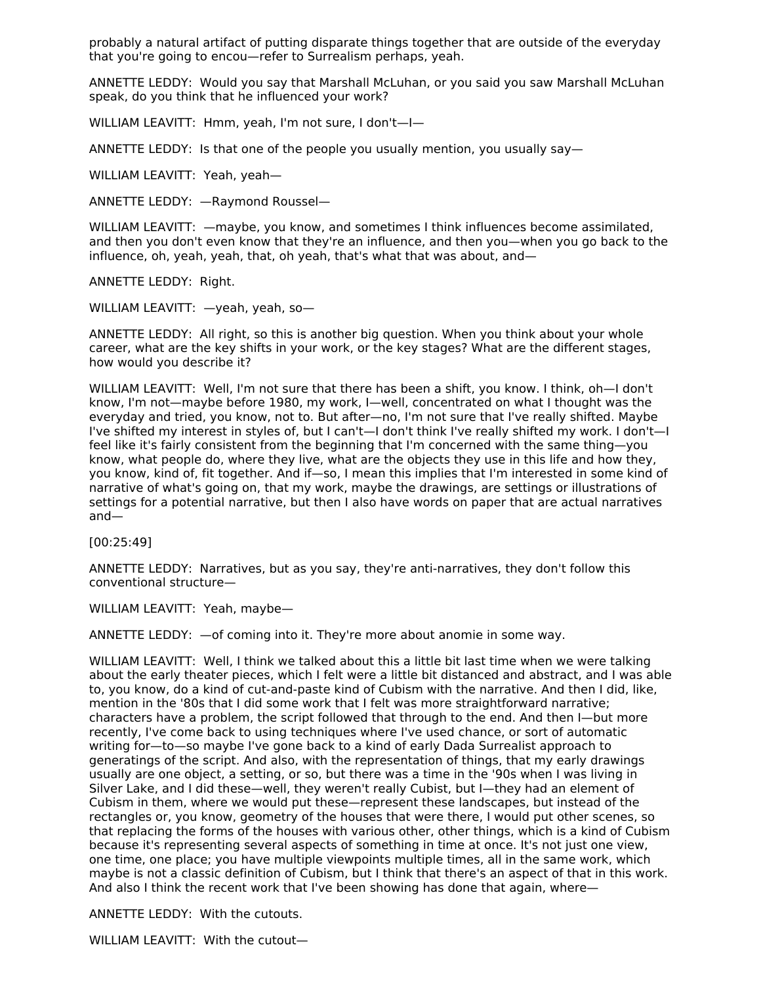probably a natural artifact of putting disparate things together that are outside of the everyday that you're going to encou—refer to Surrealism perhaps, yeah.

ANNETTE LEDDY: Would you say that Marshall McLuhan, or you said you saw Marshall McLuhan speak, do you think that he influenced your work?

WILLIAM LEAVITT: Hmm, yeah, I'm not sure, I don't—I—

ANNETTE LEDDY: Is that one of the people you usually mention, you usually say—

WILLIAM LEAVITT: Yeah, yeah—

ANNETTE LEDDY: —Raymond Roussel—

WILLIAM LEAVITT: —maybe, you know, and sometimes I think influences become assimilated, and then you don't even know that they're an influence, and then you—when you go back to the influence, oh, yeah, yeah, that, oh yeah, that's what that was about, and—

ANNETTE LEDDY: Right.

WILLIAM LEAVITT: —yeah, yeah, so—

ANNETTE LEDDY: All right, so this is another big question. When you think about your whole career, what are the key shifts in your work, or the key stages? What are the different stages, how would you describe it?

WILLIAM LEAVITT: Well, I'm not sure that there has been a shift, you know. I think, oh—I don't know, I'm not—maybe before 1980, my work, I—well, concentrated on what I thought was the everyday and tried, you know, not to. But after—no, I'm not sure that I've really shifted. Maybe I've shifted my interest in styles of, but I can't—I don't think I've really shifted my work. I don't—I feel like it's fairly consistent from the beginning that I'm concerned with the same thing—you know, what people do, where they live, what are the objects they use in this life and how they, you know, kind of, fit together. And if—so, I mean this implies that I'm interested in some kind of narrative of what's going on, that my work, maybe the drawings, are settings or illustrations of settings for a potential narrative, but then I also have words on paper that are actual narratives and—

[00:25:49]

ANNETTE LEDDY: Narratives, but as you say, they're anti-narratives, they don't follow this conventional structure—

WILLIAM LEAVITT: Yeah, maybe—

ANNETTE LEDDY: —of coming into it. They're more about anomie in some way.

WILLIAM LEAVITT: Well, I think we talked about this a little bit last time when we were talking about the early theater pieces, which I felt were a little bit distanced and abstract, and I was able to, you know, do a kind of cut-and-paste kind of Cubism with the narrative. And then I did, like, mention in the '80s that I did some work that I felt was more straightforward narrative; characters have a problem, the script followed that through to the end. And then I—but more recently, I've come back to using techniques where I've used chance, or sort of automatic writing for—to—so maybe I've gone back to a kind of early Dada Surrealist approach to generatings of the script. And also, with the representation of things, that my early drawings usually are one object, a setting, or so, but there was a time in the '90s when I was living in Silver Lake, and I did these—well, they weren't really Cubist, but I—they had an element of Cubism in them, where we would put these—represent these landscapes, but instead of the rectangles or, you know, geometry of the houses that were there, I would put other scenes, so that replacing the forms of the houses with various other, other things, which is a kind of Cubism because it's representing several aspects of something in time at once. It's not just one view, one time, one place; you have multiple viewpoints multiple times, all in the same work, which maybe is not a classic definition of Cubism, but I think that there's an aspect of that in this work. And also I think the recent work that I've been showing has done that again, where—

ANNETTE LEDDY: With the cutouts.

WILLIAM LEAVITT: With the cutout—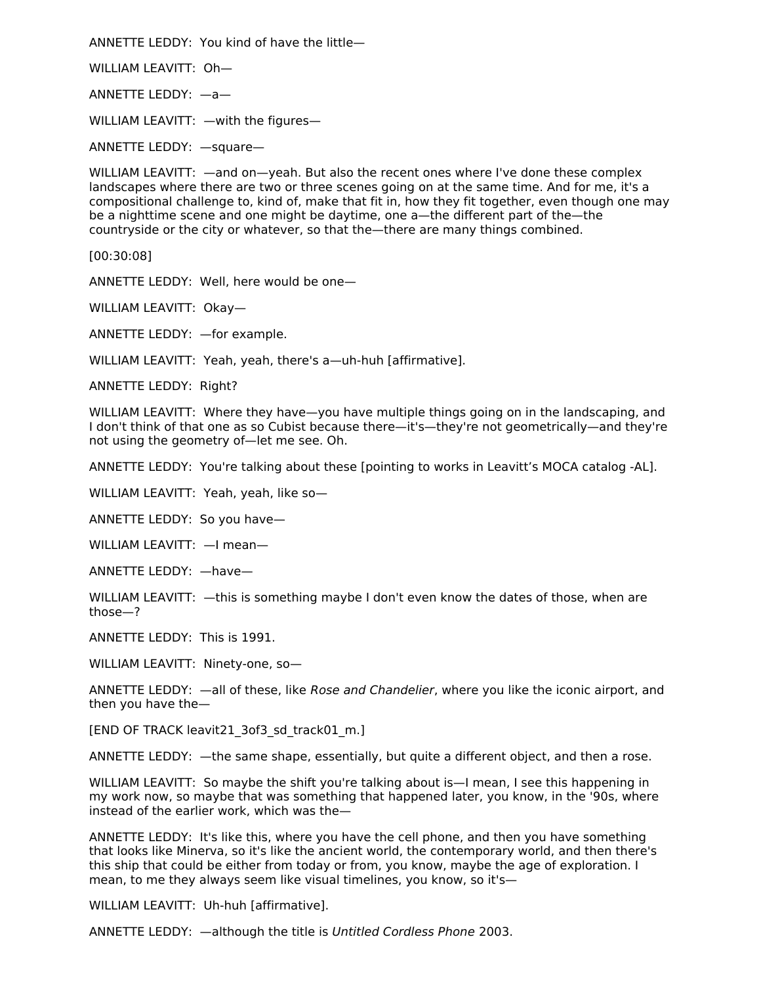ANNETTE LEDDY: You kind of have the little—

WILLIAM LEAVITT: Oh—

ANNETTE LEDDY: —a—

WILLIAM LEAVITT: —with the figures—

ANNETTE LEDDY: —square—

WILLIAM LEAVITT: —and on—yeah. But also the recent ones where I've done these complex landscapes where there are two or three scenes going on at the same time. And for me, it's a compositional challenge to, kind of, make that fit in, how they fit together, even though one may be a nighttime scene and one might be daytime, one a—the different part of the—the countryside or the city or whatever, so that the—there are many things combined.

[00:30:08]

ANNETTE LEDDY: Well, here would be one—

WILLIAM LEAVITT: Okay—

ANNETTE LEDDY: —for example.

WILLIAM LEAVITT: Yeah, yeah, there's a—uh-huh [affirmative].

ANNETTE LEDDY: Right?

WILLIAM LEAVITT: Where they have—you have multiple things going on in the landscaping, and I don't think of that one as so Cubist because there—it's—they're not geometrically—and they're not using the geometry of—let me see. Oh.

ANNETTE LEDDY: You're talking about these [pointing to works in Leavitt's MOCA catalog -AL].

WILLIAM LEAVITT: Yeah, yeah, like so—

ANNETTE LEDDY: So you have—

WILLIAM LEAVITT: —I mean—

ANNETTE LEDDY: —have—

WILLIAM LEAVITT: —this is something maybe I don't even know the dates of those, when are those—?

ANNETTE LEDDY: This is 1991.

WILLIAM LEAVITT: Ninety-one, so—

ANNETTE LEDDY: - all of these, like Rose and Chandelier, where you like the iconic airport, and then you have the—

[END OF TRACK leavit21\_3of3\_sd\_track01\_m.]

ANNETTE LEDDY: —the same shape, essentially, but quite a different object, and then a rose.

WILLIAM LEAVITT: So maybe the shift you're talking about is—I mean, I see this happening in my work now, so maybe that was something that happened later, you know, in the '90s, where instead of the earlier work, which was the—

ANNETTE LEDDY: It's like this, where you have the cell phone, and then you have something that looks like Minerva, so it's like the ancient world, the contemporary world, and then there's this ship that could be either from today or from, you know, maybe the age of exploration. I mean, to me they always seem like visual timelines, you know, so it's—

WILLIAM LEAVITT: Uh-huh [affirmative].

ANNETTE LEDDY: —although the title is Untitled Cordless Phone 2003.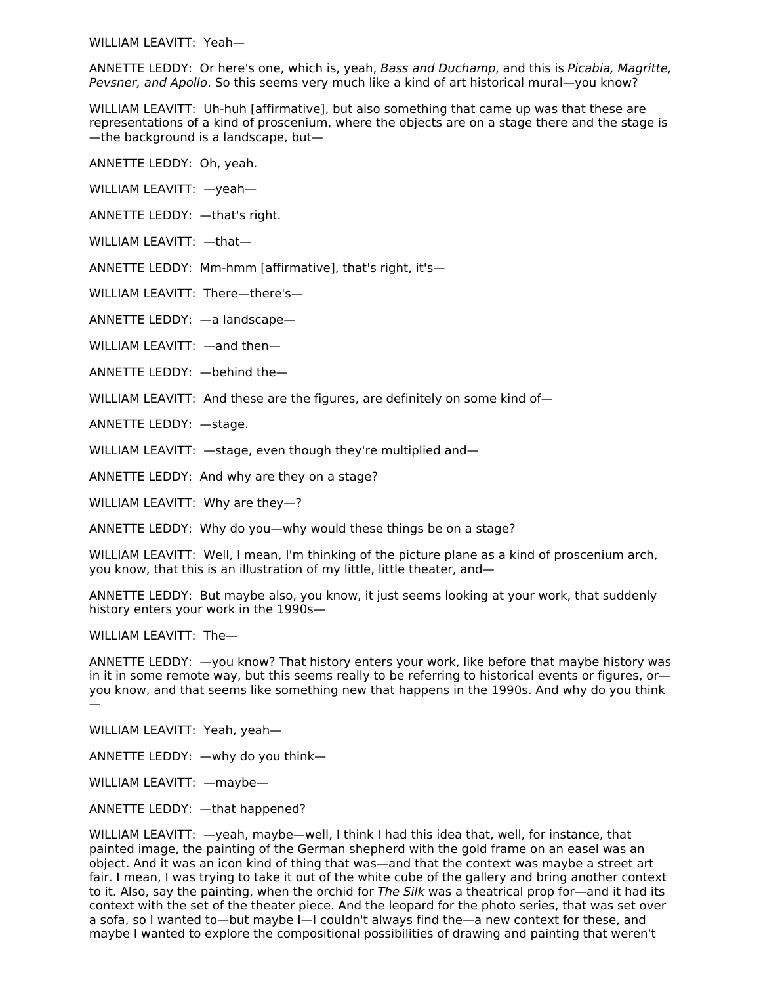WILLIAM LEAVITT: Yeah—

ANNETTE LEDDY: Or here's one, which is, yeah, Bass and Duchamp, and this is Picabia, Magritte, Pevsner, and Apollo. So this seems very much like a kind of art historical mural—you know?

WILLIAM LEAVITT: Uh-huh [affirmative], but also something that came up was that these are representations of a kind of proscenium, where the objects are on a stage there and the stage is —the background is a landscape, but—

ANNETTE LEDDY: Oh, yeah.

WILLIAM LEAVITT: —yeah—

ANNETTE LEDDY: —that's right.

WILLIAM LEAVITT: —that—

ANNETTE LEDDY: Mm-hmm [affirmative], that's right, it's—

WILLIAM LEAVITT: There—there's—

ANNETTE LEDDY: —a landscape—

WILLIAM LEAVITT: —and then—

ANNETTE LEDDY: —behind the—

WILLIAM LEAVITT: And these are the figures, are definitely on some kind of—

ANNETTE LEDDY: —stage.

WILLIAM LEAVITT: - stage, even though they're multiplied and-

ANNETTE LEDDY: And why are they on a stage?

WILLIAM LEAVITT: Why are they—?

ANNETTE LEDDY: Why do you—why would these things be on a stage?

WILLIAM LEAVITT: Well, I mean, I'm thinking of the picture plane as a kind of proscenium arch, you know, that this is an illustration of my little, little theater, and—

ANNETTE LEDDY: But maybe also, you know, it just seems looking at your work, that suddenly history enters your work in the 1990s—

WILLIAM LEAVITT: The—

ANNETTE LEDDY: —you know? That history enters your work, like before that maybe history was in it in some remote way, but this seems really to be referring to historical events or figures, or you know, and that seems like something new that happens in the 1990s. And why do you think —

WILLIAM LEAVITT: Yeah, yeah—

ANNETTE LEDDY: —why do you think—

WILLIAM LEAVITT: —maybe—

ANNETTE LEDDY: —that happened?

WILLIAM LEAVITT: —yeah, maybe—well, I think I had this idea that, well, for instance, that painted image, the painting of the German shepherd with the gold frame on an easel was an object. And it was an icon kind of thing that was—and that the context was maybe a street art fair. I mean, I was trying to take it out of the white cube of the gallery and bring another context to it. Also, say the painting, when the orchid for The Silk was a theatrical prop for—and it had its context with the set of the theater piece. And the leopard for the photo series, that was set over a sofa, so I wanted to—but maybe I—I couldn't always find the—a new context for these, and maybe I wanted to explore the compositional possibilities of drawing and painting that weren't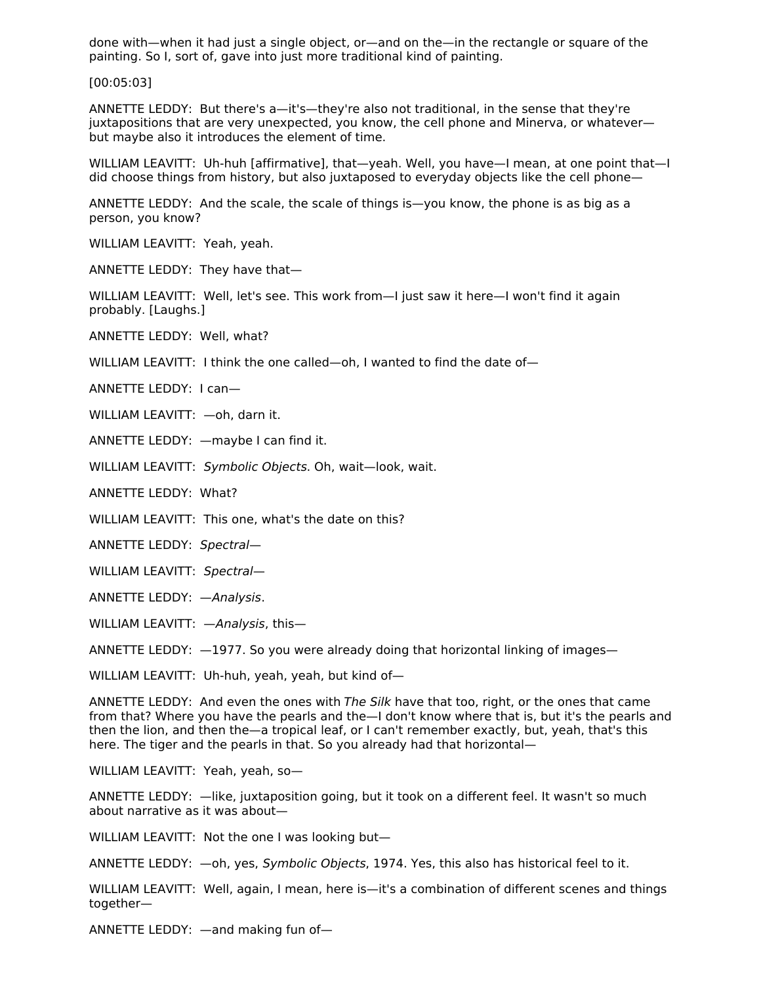done with—when it had just a single object, or—and on the—in the rectangle or square of the painting. So I, sort of, gave into just more traditional kind of painting.

[00:05:03]

ANNETTE LEDDY: But there's a—it's—they're also not traditional, in the sense that they're juxtapositions that are very unexpected, you know, the cell phone and Minerva, or whatever but maybe also it introduces the element of time.

WILLIAM LEAVITT: Uh-huh [affirmative], that—yeah. Well, you have—I mean, at one point that—I did choose things from history, but also juxtaposed to everyday objects like the cell phone—

ANNETTE LEDDY: And the scale, the scale of things is—you know, the phone is as big as a person, you know?

WILLIAM LEAVITT: Yeah, yeah.

ANNETTE LEDDY: They have that—

WILLIAM LEAVITT: Well, let's see. This work from—I just saw it here—I won't find it again probably. [Laughs.]

ANNETTE LEDDY: Well, what?

WILLIAM LEAVITT: I think the one called—oh, I wanted to find the date of—

ANNETTE LEDDY: I can—

WILLIAM LEAVITT: —oh, darn it.

ANNETTE LEDDY: —maybe I can find it.

WILLIAM LEAVITT: Symbolic Objects. Oh, wait—look, wait.

ANNETTE LEDDY: What?

WILLIAM LEAVITT: This one, what's the date on this?

ANNETTE LEDDY: Spectral—

WILLIAM LEAVITT: Spectral—

ANNETTE LEDDY: —Analysis.

WILLIAM LEAVITT: - Analysis, this-

ANNETTE LEDDY: —1977. So you were already doing that horizontal linking of images—

WILLIAM LEAVITT: Uh-huh, yeah, yeah, but kind of-

ANNETTE LEDDY: And even the ones with The Silk have that too, right, or the ones that came from that? Where you have the pearls and the—I don't know where that is, but it's the pearls and then the lion, and then the—a tropical leaf, or I can't remember exactly, but, yeah, that's this here. The tiger and the pearls in that. So you already had that horizontal—

WILLIAM LEAVITT: Yeah, yeah, so—

ANNETTE LEDDY: —like, juxtaposition going, but it took on a different feel. It wasn't so much about narrative as it was about—

WILLIAM LEAVITT: Not the one I was looking but—

ANNETTE LEDDY: - oh, yes, Symbolic Objects, 1974. Yes, this also has historical feel to it.

WILLIAM LEAVITT: Well, again, I mean, here is—it's a combination of different scenes and things together—

ANNETTE LEDDY: —and making fun of—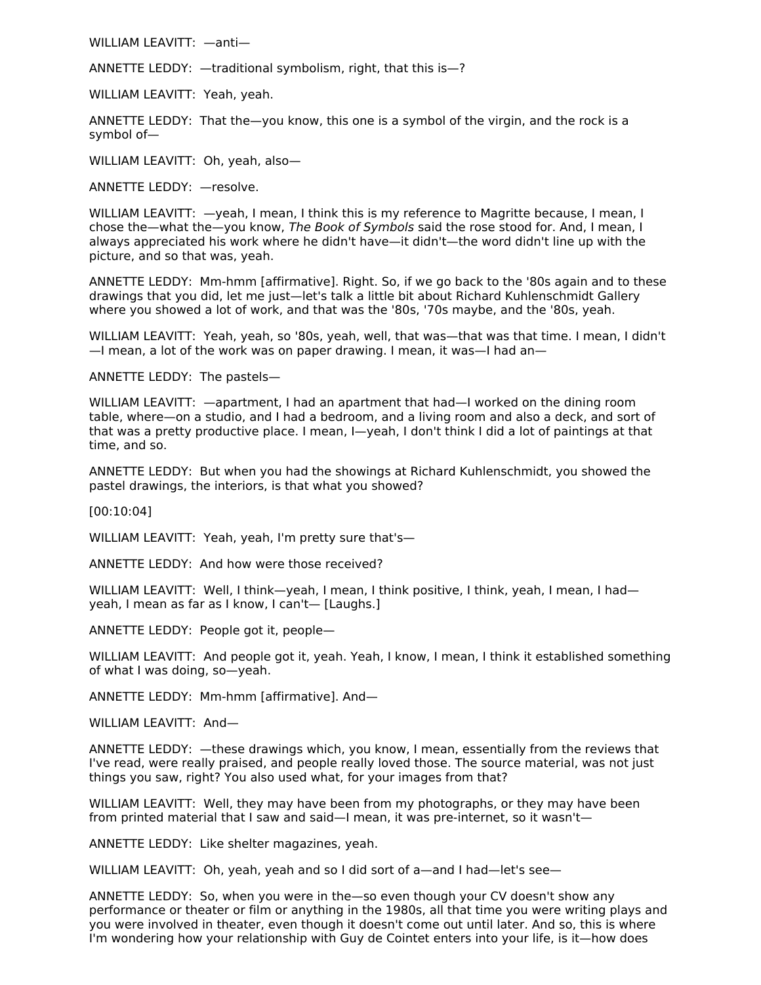WILLIAM LEAVITT: —anti—

ANNETTE LEDDY: —traditional symbolism, right, that this is—?

WILLIAM LEAVITT: Yeah, yeah.

ANNETTE LEDDY: That the—you know, this one is a symbol of the virgin, and the rock is a symbol of—

WILLIAM LEAVITT: Oh, yeah, also—

ANNETTE LEDDY: —resolve.

WILLIAM LEAVITT: —yeah, I mean, I think this is my reference to Magritte because, I mean, I chose the—what the—you know, The Book of Symbols said the rose stood for. And, I mean, I always appreciated his work where he didn't have—it didn't—the word didn't line up with the picture, and so that was, yeah.

ANNETTE LEDDY: Mm-hmm [affirmative]. Right. So, if we go back to the '80s again and to these drawings that you did, let me just—let's talk a little bit about Richard Kuhlenschmidt Gallery where you showed a lot of work, and that was the '80s, '70s maybe, and the '80s, yeah.

WILLIAM LEAVITT: Yeah, yeah, so '80s, yeah, well, that was—that was that time. I mean, I didn't —I mean, a lot of the work was on paper drawing. I mean, it was—I had an—

ANNETTE LEDDY: The pastels—

WILLIAM LEAVITT: —apartment, I had an apartment that had—I worked on the dining room table, where—on a studio, and I had a bedroom, and a living room and also a deck, and sort of that was a pretty productive place. I mean, I—yeah, I don't think I did a lot of paintings at that time, and so.

ANNETTE LEDDY: But when you had the showings at Richard Kuhlenschmidt, you showed the pastel drawings, the interiors, is that what you showed?

[00:10:04]

WILLIAM LEAVITT: Yeah, yeah, I'm pretty sure that's—

ANNETTE LEDDY: And how were those received?

WILLIAM LEAVITT: Well, I think—yeah, I mean, I think positive, I think, yeah, I mean, I had yeah, I mean as far as I know, I can't— [Laughs.]

ANNETTE LEDDY: People got it, people—

WILLIAM LEAVITT: And people got it, yeah. Yeah, I know, I mean, I think it established something of what I was doing, so—yeah.

ANNETTE LEDDY: Mm-hmm [affirmative]. And—

WILLIAM LEAVITT: And—

ANNETTE LEDDY: —these drawings which, you know, I mean, essentially from the reviews that I've read, were really praised, and people really loved those. The source material, was not just things you saw, right? You also used what, for your images from that?

WILLIAM LEAVITT: Well, they may have been from my photographs, or they may have been from printed material that I saw and said—I mean, it was pre-internet, so it wasn't—

ANNETTE LEDDY: Like shelter magazines, yeah.

WILLIAM LEAVITT: Oh, yeah, yeah and so I did sort of a—and I had—let's see—

ANNETTE LEDDY: So, when you were in the—so even though your CV doesn't show any performance or theater or film or anything in the 1980s, all that time you were writing plays and you were involved in theater, even though it doesn't come out until later. And so, this is where I'm wondering how your relationship with Guy de Cointet enters into your life, is it—how does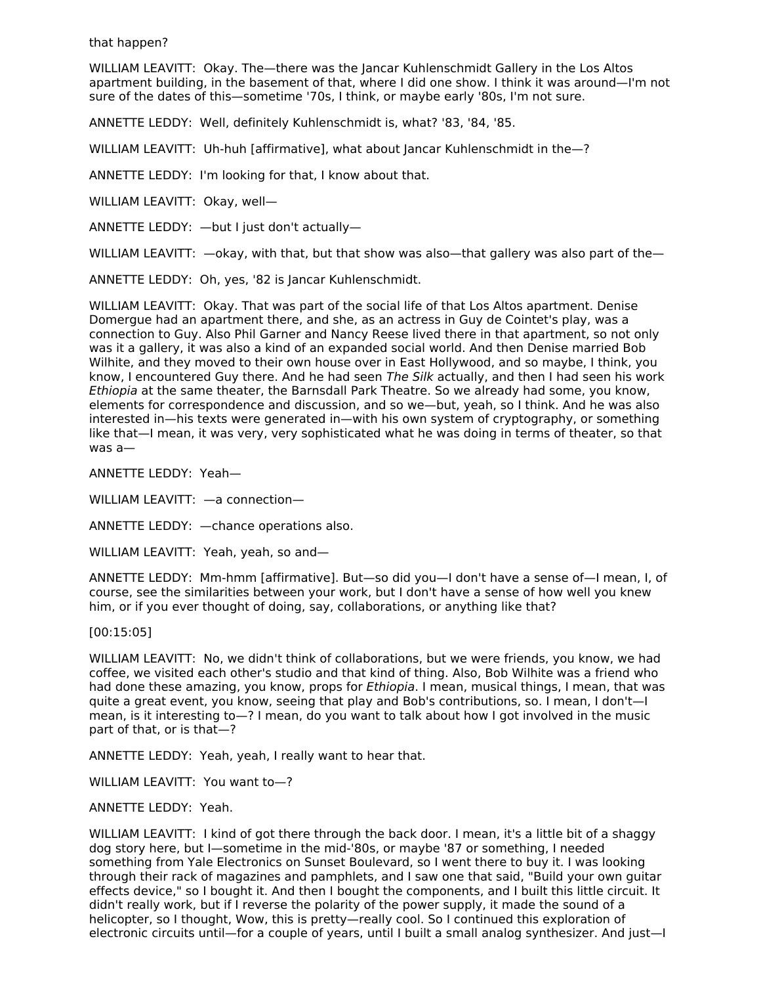that happen?

WILLIAM LEAVITT: Okay. The—there was the Jancar Kuhlenschmidt Gallery in the Los Altos apartment building, in the basement of that, where I did one show. I think it was around—I'm not sure of the dates of this—sometime '70s, I think, or maybe early '80s, I'm not sure.

ANNETTE LEDDY: Well, definitely Kuhlenschmidt is, what? '83, '84, '85.

WILLIAM LEAVITT: Uh-huh [affirmative], what about Jancar Kuhlenschmidt in the—?

ANNETTE LEDDY: I'm looking for that, I know about that.

WILLIAM LEAVITT: Okay, well—

ANNETTE LEDDY: —but I just don't actually—

WILLIAM LEAVITT:  $-$ okay, with that, but that show was also-that gallery was also part of the-

ANNETTE LEDDY: Oh, yes, '82 is Jancar Kuhlenschmidt.

WILLIAM LEAVITT: Okay. That was part of the social life of that Los Altos apartment. Denise Domergue had an apartment there, and she, as an actress in Guy de Cointet's play, was a connection to Guy. Also Phil Garner and Nancy Reese lived there in that apartment, so not only was it a gallery, it was also a kind of an expanded social world. And then Denise married Bob Wilhite, and they moved to their own house over in East Hollywood, and so maybe, I think, you know, I encountered Guy there. And he had seen The Silk actually, and then I had seen his work Ethiopia at the same theater, the Barnsdall Park Theatre. So we already had some, you know, elements for correspondence and discussion, and so we—but, yeah, so I think. And he was also interested in—his texts were generated in—with his own system of cryptography, or something like that—I mean, it was very, very sophisticated what he was doing in terms of theater, so that was a—

ANNETTE LEDDY: Yeah—

WILLIAM LEAVITT: —a connection—

ANNETTE LEDDY: —chance operations also.

WILLIAM LEAVITT: Yeah, yeah, so and—

ANNETTE LEDDY: Mm-hmm [affirmative]. But—so did you—I don't have a sense of—I mean, I, of course, see the similarities between your work, but I don't have a sense of how well you knew him, or if you ever thought of doing, say, collaborations, or anything like that?

[00:15:05]

WILLIAM LEAVITT: No, we didn't think of collaborations, but we were friends, you know, we had coffee, we visited each other's studio and that kind of thing. Also, Bob Wilhite was a friend who had done these amazing, you know, props for *Ethiopia*. I mean, musical things, I mean, that was quite a great event, you know, seeing that play and Bob's contributions, so. I mean, I don't—I mean, is it interesting to—? I mean, do you want to talk about how I got involved in the music part of that, or is that—?

ANNETTE LEDDY: Yeah, yeah, I really want to hear that.

WILLIAM LEAVITT: You want to—?

ANNETTE LEDDY: Yeah.

WILLIAM LEAVITT: I kind of got there through the back door. I mean, it's a little bit of a shaggy dog story here, but I—sometime in the mid-'80s, or maybe '87 or something, I needed something from Yale Electronics on Sunset Boulevard, so I went there to buy it. I was looking through their rack of magazines and pamphlets, and I saw one that said, "Build your own guitar effects device," so I bought it. And then I bought the components, and I built this little circuit. It didn't really work, but if I reverse the polarity of the power supply, it made the sound of a helicopter, so I thought, Wow, this is pretty—really cool. So I continued this exploration of electronic circuits until—for a couple of years, until I built a small analog synthesizer. And just—I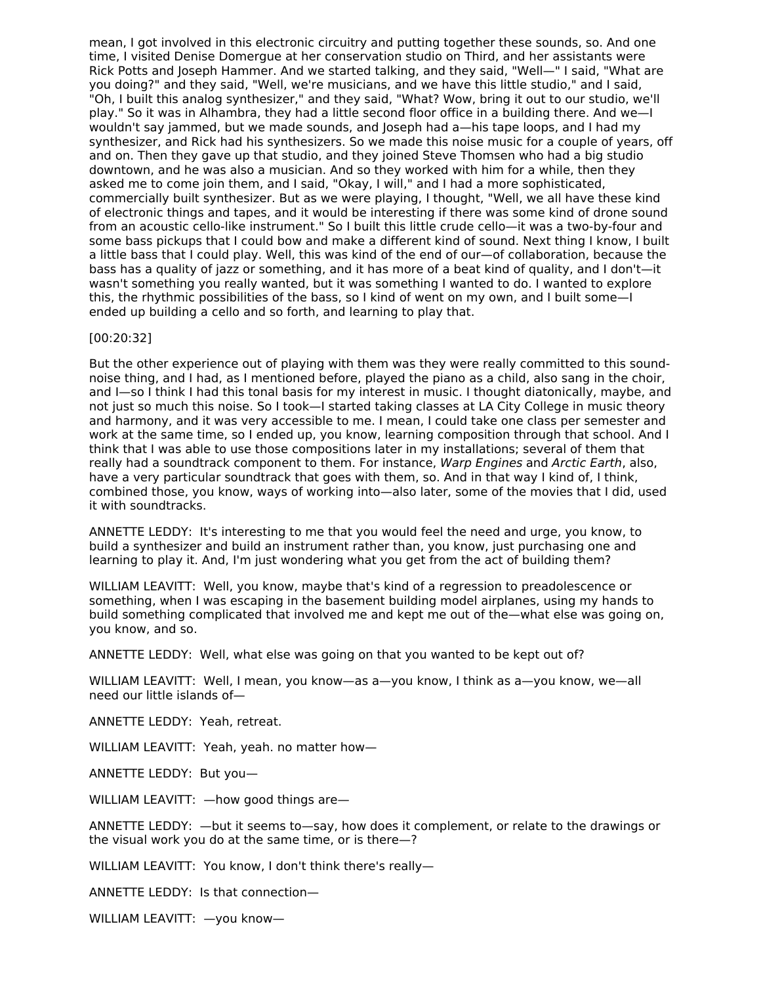mean, I got involved in this electronic circuitry and putting together these sounds, so. And one time, I visited Denise Domergue at her conservation studio on Third, and her assistants were Rick Potts and Joseph Hammer. And we started talking, and they said, "Well—" I said, "What are you doing?" and they said, "Well, we're musicians, and we have this little studio," and I said, "Oh, I built this analog synthesizer," and they said, "What? Wow, bring it out to our studio, we'll play." So it was in Alhambra, they had a little second floor office in a building there. And we—I wouldn't say jammed, but we made sounds, and Joseph had a—his tape loops, and I had my synthesizer, and Rick had his synthesizers. So we made this noise music for a couple of years, off and on. Then they gave up that studio, and they joined Steve Thomsen who had a big studio downtown, and he was also a musician. And so they worked with him for a while, then they asked me to come join them, and I said, "Okay, I will," and I had a more sophisticated, commercially built synthesizer. But as we were playing, I thought, "Well, we all have these kind of electronic things and tapes, and it would be interesting if there was some kind of drone sound from an acoustic cello-like instrument." So I built this little crude cello—it was a two-by-four and some bass pickups that I could bow and make a different kind of sound. Next thing I know, I built a little bass that I could play. Well, this was kind of the end of our—of collaboration, because the bass has a quality of jazz or something, and it has more of a beat kind of quality, and I don't—it wasn't something you really wanted, but it was something I wanted to do. I wanted to explore this, the rhythmic possibilities of the bass, so I kind of went on my own, and I built some—I ended up building a cello and so forth, and learning to play that.

#### [00:20:32]

But the other experience out of playing with them was they were really committed to this soundnoise thing, and I had, as I mentioned before, played the piano as a child, also sang in the choir, and I—so I think I had this tonal basis for my interest in music. I thought diatonically, maybe, and not just so much this noise. So I took—I started taking classes at LA City College in music theory and harmony, and it was very accessible to me. I mean, I could take one class per semester and work at the same time, so I ended up, you know, learning composition through that school. And I think that I was able to use those compositions later in my installations; several of them that really had a soundtrack component to them. For instance, Warp Engines and Arctic Earth, also, have a very particular soundtrack that goes with them, so. And in that way I kind of, I think, combined those, you know, ways of working into—also later, some of the movies that I did, used it with soundtracks.

ANNETTE LEDDY: It's interesting to me that you would feel the need and urge, you know, to build a synthesizer and build an instrument rather than, you know, just purchasing one and learning to play it. And, I'm just wondering what you get from the act of building them?

WILLIAM LEAVITT: Well, you know, maybe that's kind of a regression to preadolescence or something, when I was escaping in the basement building model airplanes, using my hands to build something complicated that involved me and kept me out of the—what else was going on, you know, and so.

ANNETTE LEDDY: Well, what else was going on that you wanted to be kept out of?

WILLIAM LEAVITT: Well, I mean, you know—as a—you know, I think as a—you know, we—all need our little islands of—

ANNETTE LEDDY: Yeah, retreat.

WILLIAM LEAVITT: Yeah, yeah. no matter how—

ANNETTE LEDDY: But you—

WILLIAM LEAVITT: —how good things are—

ANNETTE LEDDY: —but it seems to—say, how does it complement, or relate to the drawings or the visual work you do at the same time, or is there—?

WILLIAM LEAVITT: You know, I don't think there's really—

ANNETTE LEDDY: Is that connection—

WILLIAM LEAVITT: —you know—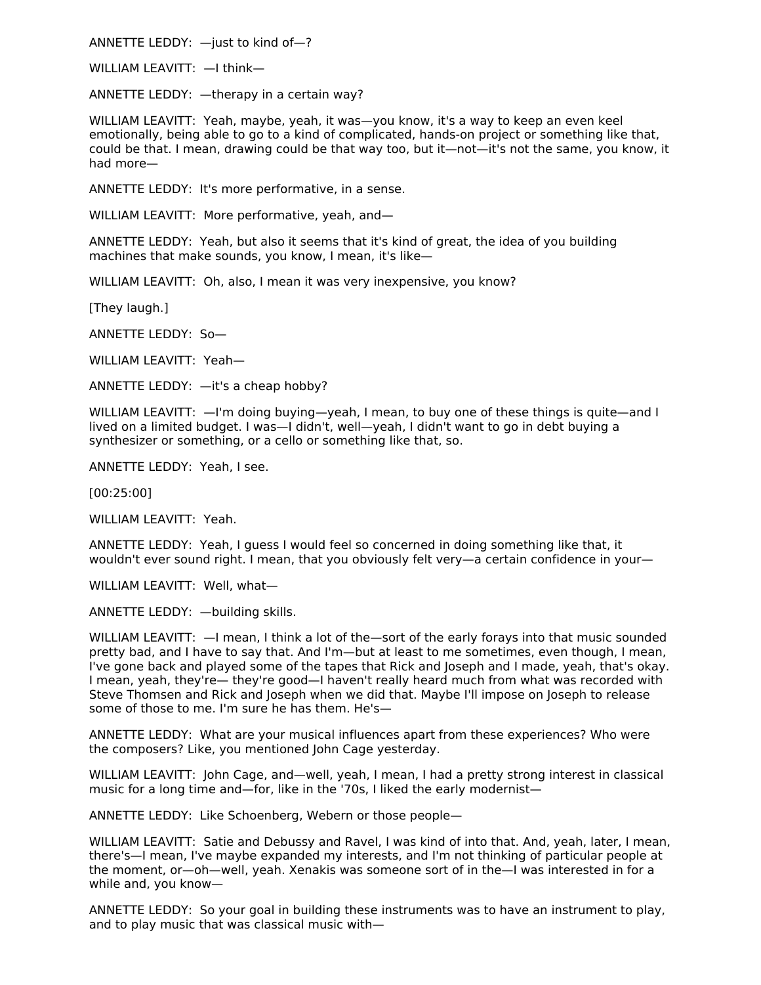ANNETTE LEDDY: —just to kind of—?

WILLIAM LEAVITT: —I think—

ANNETTE LEDDY: —therapy in a certain way?

WILLIAM LEAVITT: Yeah, maybe, yeah, it was—you know, it's a way to keep an even keel emotionally, being able to go to a kind of complicated, hands-on project or something like that, could be that. I mean, drawing could be that way too, but it—not—it's not the same, you know, it had more—

ANNETTE LEDDY: It's more performative, in a sense.

WILLIAM LEAVITT: More performative, yeah, and—

ANNETTE LEDDY: Yeah, but also it seems that it's kind of great, the idea of you building machines that make sounds, you know, I mean, it's like—

WILLIAM LEAVITT: Oh, also, I mean it was very inexpensive, you know?

[They laugh.]

ANNETTE LEDDY: So—

WILLIAM LEAVITT: Yeah—

ANNETTE LEDDY: —it's a cheap hobby?

WILLIAM LEAVITT:  $-1'm$  doing buying—yeah, I mean, to buy one of these things is quite—and I lived on a limited budget. I was—I didn't, well—yeah, I didn't want to go in debt buying a synthesizer or something, or a cello or something like that, so.

ANNETTE LEDDY: Yeah, I see.

[00:25:00]

WILLIAM LEAVITT: Yeah.

ANNETTE LEDDY: Yeah, I guess I would feel so concerned in doing something like that, it wouldn't ever sound right. I mean, that you obviously felt very—a certain confidence in your—

WILLIAM LEAVITT: Well, what-

ANNETTE LEDDY: —building skills.

WILLIAM LEAVITT: —I mean, I think a lot of the—sort of the early forays into that music sounded pretty bad, and I have to say that. And I'm—but at least to me sometimes, even though, I mean, I've gone back and played some of the tapes that Rick and Joseph and I made, yeah, that's okay. I mean, yeah, they're— they're good—I haven't really heard much from what was recorded with Steve Thomsen and Rick and Joseph when we did that. Maybe I'll impose on Joseph to release some of those to me. I'm sure he has them. He's—

ANNETTE LEDDY: What are your musical influences apart from these experiences? Who were the composers? Like, you mentioned John Cage yesterday.

WILLIAM LEAVITT: John Cage, and—well, yeah, I mean, I had a pretty strong interest in classical music for a long time and—for, like in the '70s, I liked the early modernist—

ANNETTE LEDDY: Like Schoenberg, Webern or those people—

WILLIAM LEAVITT: Satie and Debussy and Ravel, I was kind of into that. And, yeah, later, I mean, there's—I mean, I've maybe expanded my interests, and I'm not thinking of particular people at the moment, or—oh—well, yeah. Xenakis was someone sort of in the—I was interested in for a while and, you know—

ANNETTE LEDDY: So your goal in building these instruments was to have an instrument to play, and to play music that was classical music with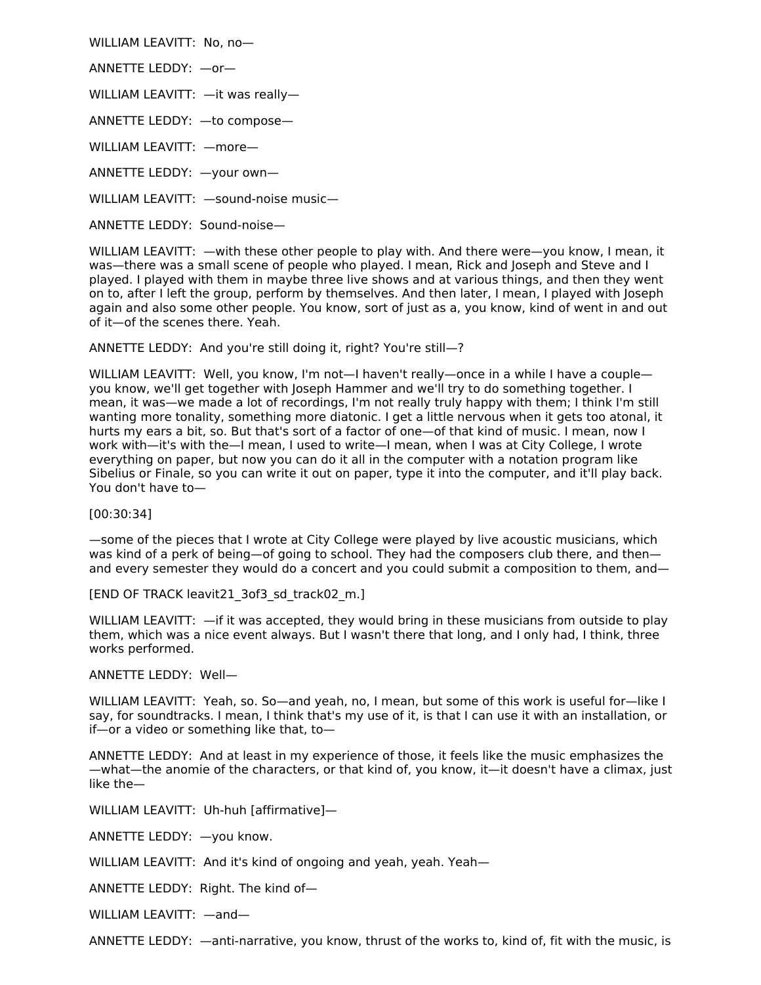WILLIAM LEAVITT: No, no—

ANNETTE LEDDY: —or—

WILLIAM LEAVITT: —it was really—

ANNETTE LEDDY: —to compose—

WILLIAM LEAVITT: —more—

ANNETTE LEDDY: —your own—

WILLIAM LEAVITT: —sound-noise music—

ANNETTE LEDDY: Sound-noise—

WILLIAM LEAVITT: —with these other people to play with. And there were—you know, I mean, it was—there was a small scene of people who played. I mean, Rick and Joseph and Steve and I played. I played with them in maybe three live shows and at various things, and then they went on to, after I left the group, perform by themselves. And then later, I mean, I played with Joseph again and also some other people. You know, sort of just as a, you know, kind of went in and out of it—of the scenes there. Yeah.

ANNETTE LEDDY: And you're still doing it, right? You're still—?

WILLIAM LEAVITT: Well, you know, I'm not—I haven't really—once in a while I have a couple you know, we'll get together with Joseph Hammer and we'll try to do something together. I mean, it was—we made a lot of recordings, I'm not really truly happy with them; I think I'm still wanting more tonality, something more diatonic. I get a little nervous when it gets too atonal, it hurts my ears a bit, so. But that's sort of a factor of one—of that kind of music. I mean, now I work with—it's with the—I mean, I used to write—I mean, when I was at City College, I wrote everything on paper, but now you can do it all in the computer with a notation program like Sibelius or Finale, so you can write it out on paper, type it into the computer, and it'll play back. You don't have to—

[00:30:34]

—some of the pieces that I wrote at City College were played by live acoustic musicians, which was kind of a perk of being—of going to school. They had the composers club there, and then and every semester they would do a concert and you could submit a composition to them, and—

[END OF TRACK leavit21\_3of3\_sd\_track02\_m.]

WILLIAM LEAVITT:  $\overline{-}$  if it was accepted, they would bring in these musicians from outside to play them, which was a nice event always. But I wasn't there that long, and I only had, I think, three works performed.

ANNETTE LEDDY: Well—

WILLIAM LEAVITT: Yeah, so. So—and yeah, no, I mean, but some of this work is useful for—like I say, for soundtracks. I mean, I think that's my use of it, is that I can use it with an installation, or if—or a video or something like that, to—

ANNETTE LEDDY: And at least in my experience of those, it feels like the music emphasizes the —what—the anomie of the characters, or that kind of, you know, it—it doesn't have a climax, just like the—

WILLIAM LEAVITT: Uh-huh [affirmative]—

ANNETTE LEDDY: —you know.

WILLIAM LEAVITT: And it's kind of ongoing and yeah, yeah. Yeah—

ANNETTE LEDDY: Right. The kind of—

WILLIAM LEAVITT: —and—

ANNETTE LEDDY: —anti-narrative, you know, thrust of the works to, kind of, fit with the music, is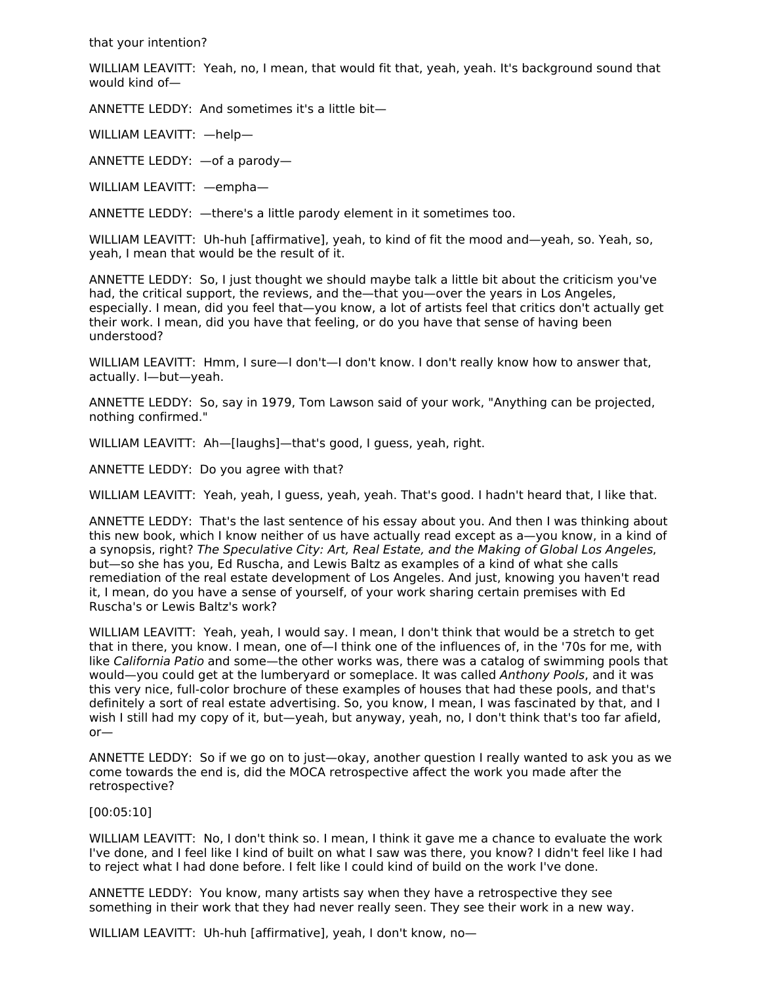that your intention?

WILLIAM LEAVITT: Yeah, no, I mean, that would fit that, yeah, yeah. It's background sound that would kind of—

ANNETTE LEDDY: And sometimes it's a little bit—

WILLIAM LEAVITT: —help—

ANNETTE LEDDY: —of a parody—

WILLIAM LEAVITT: —empha—

ANNETTE LEDDY: —there's a little parody element in it sometimes too.

WILLIAM LEAVITT: Uh-huh [affirmative], yeah, to kind of fit the mood and—yeah, so. Yeah, so, yeah, I mean that would be the result of it.

ANNETTE LEDDY: So, I just thought we should maybe talk a little bit about the criticism you've had, the critical support, the reviews, and the—that you—over the years in Los Angeles, especially. I mean, did you feel that—you know, a lot of artists feel that critics don't actually get their work. I mean, did you have that feeling, or do you have that sense of having been understood?

WILLIAM LEAVITT: Hmm, I sure-I don't-I don't know. I don't really know how to answer that, actually. I—but—yeah.

ANNETTE LEDDY: So, say in 1979, Tom Lawson said of your work, "Anything can be projected, nothing confirmed."

WILLIAM LEAVITT: Ah—[laughs]—that's good, I guess, yeah, right.

ANNETTE LEDDY: Do you agree with that?

WILLIAM LEAVITT: Yeah, yeah, I guess, yeah, yeah. That's good. I hadn't heard that, I like that.

ANNETTE LEDDY: That's the last sentence of his essay about you. And then I was thinking about this new book, which I know neither of us have actually read except as a—you know, in a kind of a synopsis, right? The Speculative City: Art, Real Estate, and the Making of Global Los Angeles, but—so she has you, Ed Ruscha, and Lewis Baltz as examples of a kind of what she calls remediation of the real estate development of Los Angeles. And just, knowing you haven't read it, I mean, do you have a sense of yourself, of your work sharing certain premises with Ed Ruscha's or Lewis Baltz's work?

WILLIAM LEAVITT: Yeah, yeah, I would say. I mean, I don't think that would be a stretch to get that in there, you know. I mean, one of—I think one of the influences of, in the '70s for me, with like California Patio and some—the other works was, there was a catalog of swimming pools that would—you could get at the lumberyard or someplace. It was called Anthony Pools, and it was this very nice, full-color brochure of these examples of houses that had these pools, and that's definitely a sort of real estate advertising. So, you know, I mean, I was fascinated by that, and I wish I still had my copy of it, but—yeah, but anyway, yeah, no, I don't think that's too far afield, or—

ANNETTE LEDDY: So if we go on to just—okay, another question I really wanted to ask you as we come towards the end is, did the MOCA retrospective affect the work you made after the retrospective?

[00:05:10]

WILLIAM LEAVITT: No, I don't think so. I mean, I think it gave me a chance to evaluate the work I've done, and I feel like I kind of built on what I saw was there, you know? I didn't feel like I had to reject what I had done before. I felt like I could kind of build on the work I've done.

ANNETTE LEDDY: You know, many artists say when they have a retrospective they see something in their work that they had never really seen. They see their work in a new way.

WILLIAM LEAVITT: Uh-huh [affirmative], yeah, I don't know, no-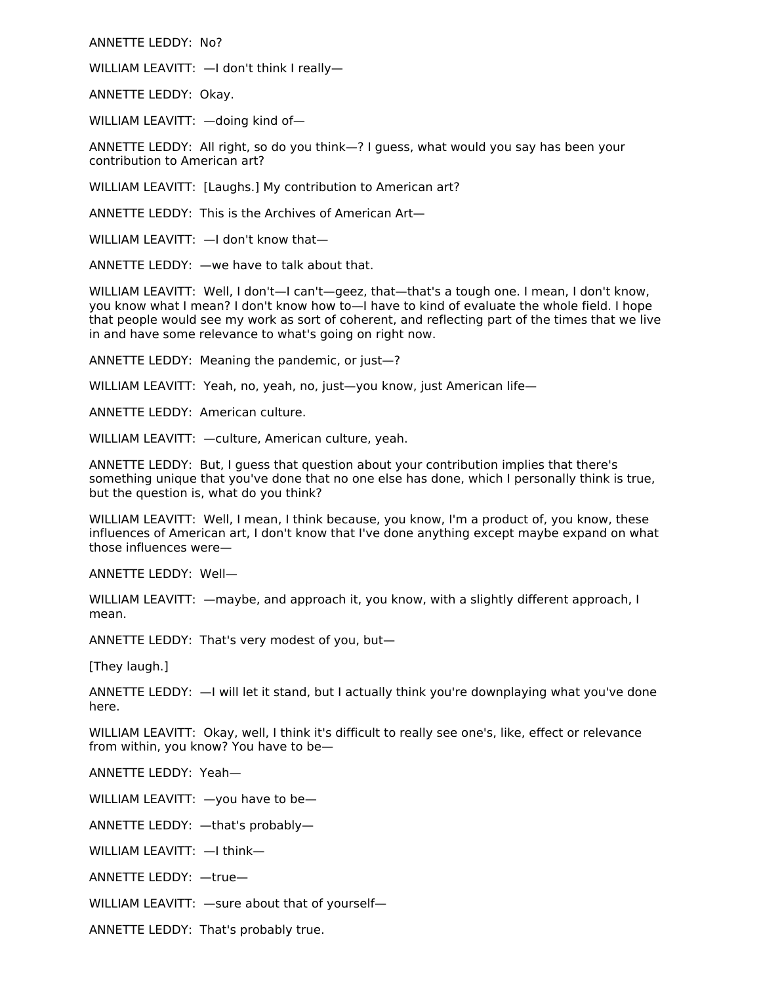ANNETTE LEDDY: No?

WILLIAM LEAVITT: —I don't think I really—

ANNETTE LEDDY: Okay.

WILLIAM LEAVITT: —doing kind of—

ANNETTE LEDDY: All right, so do you think—? I guess, what would you say has been your contribution to American art?

WILLIAM LEAVITT: [Laughs.] My contribution to American art?

ANNETTE LEDDY: This is the Archives of American Art—

WILLIAM LEAVITT:  $-$ I don't know that-

ANNETTE LEDDY: —we have to talk about that.

WILLIAM LEAVITT: Well, I don't-I can't-geez, that-that's a tough one. I mean, I don't know, you know what I mean? I don't know how to—I have to kind of evaluate the whole field. I hope that people would see my work as sort of coherent, and reflecting part of the times that we live in and have some relevance to what's going on right now.

ANNETTE LEDDY: Meaning the pandemic, or just—?

WILLIAM LEAVITT: Yeah, no, yeah, no, just—you know, just American life—

ANNETTE LEDDY: American culture.

WILLIAM LEAVITT: —culture, American culture, yeah.

ANNETTE LEDDY: But, I guess that question about your contribution implies that there's something unique that you've done that no one else has done, which I personally think is true, but the question is, what do you think?

WILLIAM LEAVITT: Well, I mean, I think because, you know, I'm a product of, you know, these influences of American art, I don't know that I've done anything except maybe expand on what those influences were—

ANNETTE LEDDY: Well—

WILLIAM LEAVITT:  $-$ maybe, and approach it, you know, with a slightly different approach, I mean.

ANNETTE LEDDY: That's very modest of you, but—

[They laugh.]

ANNETTE LEDDY: —I will let it stand, but I actually think you're downplaying what you've done here.

WILLIAM LEAVITT: Okay, well, I think it's difficult to really see one's, like, effect or relevance from within, you know? You have to be—

ANNETTE LEDDY: Yeah—

WILLIAM LEAVITT: —you have to be—

ANNETTE LEDDY: —that's probably—

WILLIAM LEAVITT: —I think—

ANNETTE LEDDY: —true—

WILLIAM LEAVITT: —sure about that of yourself—

ANNETTE LEDDY: That's probably true.